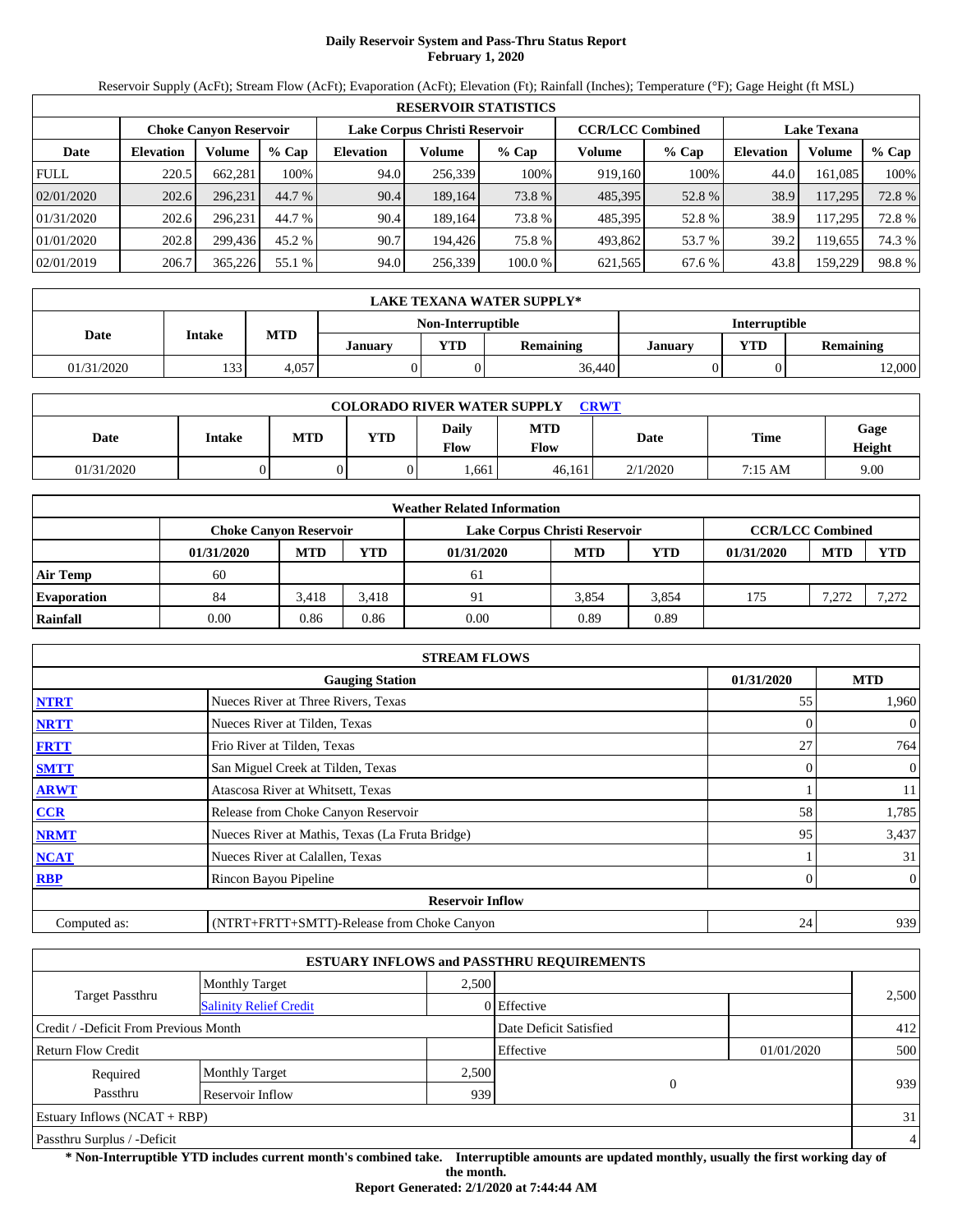# **Daily Reservoir System and Pass-Thru Status Report February 1, 2020**

Reservoir Supply (AcFt); Stream Flow (AcFt); Evaporation (AcFt); Elevation (Ft); Rainfall (Inches); Temperature (°F); Gage Height (ft MSL)

|             | <b>RESERVOIR STATISTICS</b> |                               |         |                  |                               |         |                         |         |                    |         |        |  |
|-------------|-----------------------------|-------------------------------|---------|------------------|-------------------------------|---------|-------------------------|---------|--------------------|---------|--------|--|
|             |                             | <b>Choke Canyon Reservoir</b> |         |                  | Lake Corpus Christi Reservoir |         | <b>CCR/LCC Combined</b> |         | <b>Lake Texana</b> |         |        |  |
| Date        | <b>Elevation</b>            | Volume                        | $%$ Cap | <b>Elevation</b> | Volume                        | $%$ Cap | Volume                  | $%$ Cap | <b>Elevation</b>   | Volume  | % Cap  |  |
| <b>FULL</b> | 220.5                       | 662.281                       | 100%    | 94.0             | 256.339                       | 100%    | 919.160                 | 100%    | 44.0               | 161.085 | 100%   |  |
| 02/01/2020  | 202.6                       | 296.231                       | 44.7 %  | 90.4             | 189.164                       | 73.8 %  | 485,395                 | 52.8%   | 38.9               | 117.295 | 72.8 % |  |
| 01/31/2020  | 202.6                       | 296.231                       | 44.7 %  | 90.4             | 189.164                       | 73.8 %  | 485.395                 | 52.8%   | 38.9               | 117,295 | 72.8%  |  |
| 01/01/2020  | 202.8                       | 299.436                       | 45.2 %  | 90.7             | 194.426                       | 75.8 %  | 493.862                 | 53.7 %  | 39.2               | 119.655 | 74.3 % |  |
| 02/01/2019  | 206.7                       | 365,226                       | 55.1 %  | 94.0             | 256,339                       | 100.0 % | 621,565                 | 67.6 %  | 43.8               | 159.229 | 98.8%  |  |

|            | LAKE TEXANA WATER SUPPLY* |            |         |                   |                  |                      |     |                  |  |  |  |
|------------|---------------------------|------------|---------|-------------------|------------------|----------------------|-----|------------------|--|--|--|
|            |                           |            |         | Non-Interruptible |                  | <b>Interruptible</b> |     |                  |  |  |  |
| Date       | Intake                    | <b>MTD</b> | Januarv | <b>YTD</b>        | <b>Remaining</b> | Januarv              | YTD | <b>Remaining</b> |  |  |  |
| 01/31/2020 | 133                       | 4,057      |         |                   | 36,440           |                      |     | 2,000            |  |  |  |

| <b>COLORADO RIVER WATER SUPPLY</b><br><b>CRWT</b> |        |            |     |               |                    |          |             |                |  |  |
|---------------------------------------------------|--------|------------|-----|---------------|--------------------|----------|-------------|----------------|--|--|
| <b>Date</b>                                       | Intake | <b>MTD</b> | YTD | Daily<br>Flow | <b>MTD</b><br>Flow | Date     | <b>Time</b> | Gage<br>Height |  |  |
| 01/31/2020                                        |        |            |     | .661          | 46,161             | 2/1/2020 | 7:15 AM     | 9.00           |  |  |

|                    | <b>Weather Related Information</b> |            |            |                               |            |       |                         |            |            |  |  |
|--------------------|------------------------------------|------------|------------|-------------------------------|------------|-------|-------------------------|------------|------------|--|--|
|                    | <b>Choke Canyon Reservoir</b>      |            |            | Lake Corpus Christi Reservoir |            |       | <b>CCR/LCC Combined</b> |            |            |  |  |
|                    | 01/31/2020                         | <b>MTD</b> | <b>YTD</b> | 01/31/2020                    | <b>MTD</b> | YTD   | 01/31/2020              | <b>MTD</b> | <b>YTD</b> |  |  |
| <b>Air Temp</b>    | 60                                 |            |            | 61                            |            |       |                         |            |            |  |  |
| <b>Evaporation</b> | 84                                 | 3.418      | 3.418      | 91                            | 3.854      | 3.854 | 175                     | 7,272      | 7,272      |  |  |
| Rainfall           | 0.00                               | 0.86       | 0.86       | 0.00                          | 0.89       | 0.89  |                         |            |            |  |  |

|              | <b>STREAM FLOWS</b>                             |            |                |
|--------------|-------------------------------------------------|------------|----------------|
|              | <b>Gauging Station</b>                          | 01/31/2020 | <b>MTD</b>     |
| <b>NTRT</b>  | Nueces River at Three Rivers, Texas             | 55         | 1,960          |
| <b>NRTT</b>  | Nueces River at Tilden, Texas                   |            | $\overline{0}$ |
| <b>FRTT</b>  | Frio River at Tilden, Texas                     | 27         | 764            |
| <b>SMTT</b>  | San Miguel Creek at Tilden, Texas               | $\Omega$   | $\overline{0}$ |
| <b>ARWT</b>  | Atascosa River at Whitsett, Texas               |            | 11             |
| <b>CCR</b>   | Release from Choke Canyon Reservoir             | 58         | 1,785          |
| <b>NRMT</b>  | Nueces River at Mathis, Texas (La Fruta Bridge) | 95         | 3,437          |
| <b>NCAT</b>  | Nueces River at Calallen, Texas                 |            | 31             |
| <b>RBP</b>   | Rincon Bayou Pipeline                           | 0          | $\overline{0}$ |
|              | <b>Reservoir Inflow</b>                         |            |                |
| Computed as: | (NTRT+FRTT+SMTT)-Release from Choke Canyon      | 24         | 939            |

|                                       |                               |       | <b>ESTUARY INFLOWS and PASSTHRU REQUIREMENTS</b> |            |                |
|---------------------------------------|-------------------------------|-------|--------------------------------------------------|------------|----------------|
|                                       | <b>Monthly Target</b>         | 2,500 |                                                  |            |                |
| <b>Target Passthru</b>                | <b>Salinity Relief Credit</b> |       | 0 Effective                                      |            | 2,500          |
| Credit / -Deficit From Previous Month |                               |       | Date Deficit Satisfied                           |            | 412            |
| <b>Return Flow Credit</b>             |                               |       | Effective                                        | 01/01/2020 | 500            |
| Required                              | <b>Monthly Target</b>         | 2,500 |                                                  |            |                |
| Passthru                              | Reservoir Inflow              | 939   | $\overline{0}$                                   |            | 939            |
| Estuary Inflows $(NCAT + RBP)$        |                               |       |                                                  |            | 31             |
| Passthru Surplus / -Deficit           |                               |       |                                                  |            | $\overline{4}$ |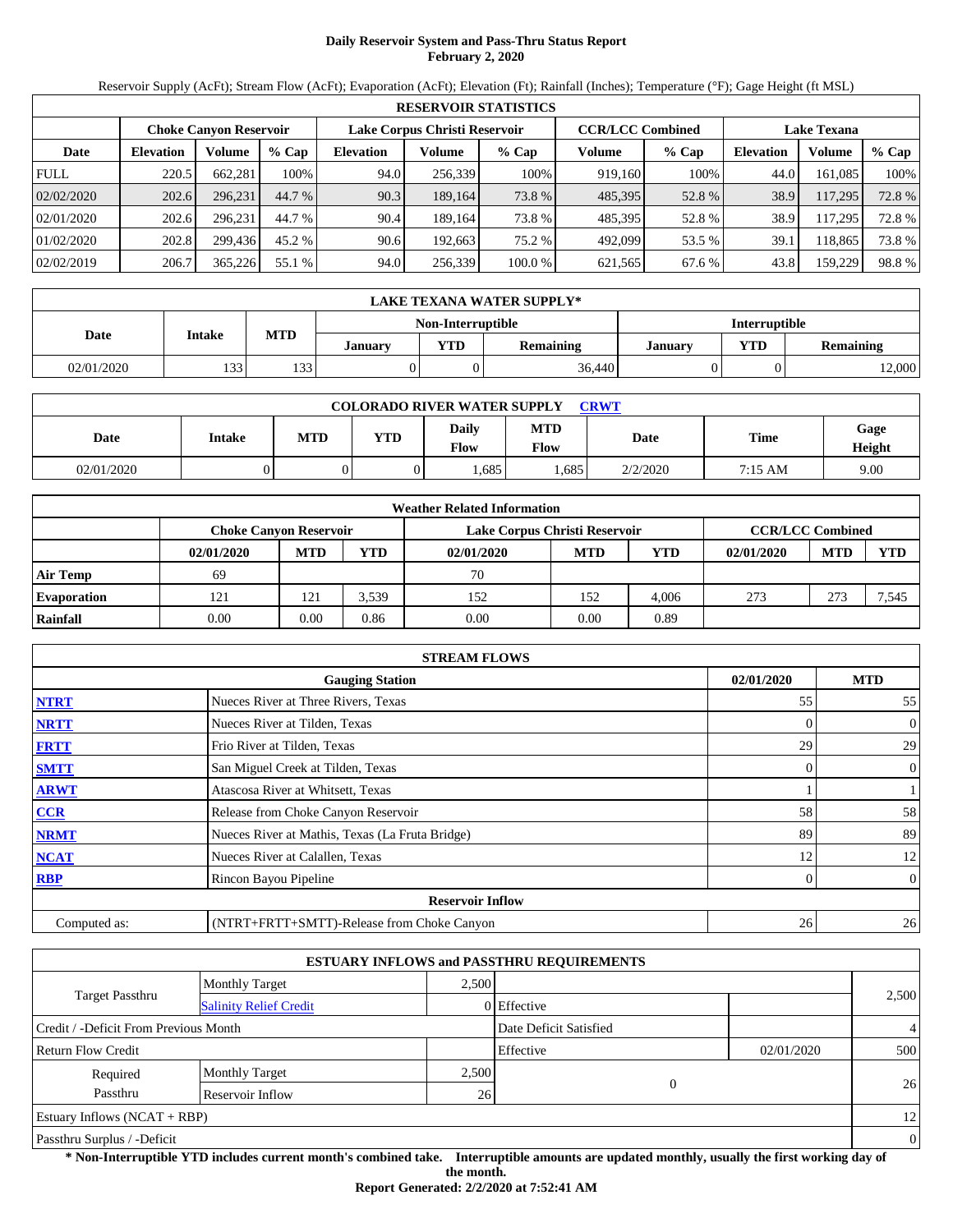# **Daily Reservoir System and Pass-Thru Status Report February 2, 2020**

Reservoir Supply (AcFt); Stream Flow (AcFt); Evaporation (AcFt); Elevation (Ft); Rainfall (Inches); Temperature (°F); Gage Height (ft MSL)

|             | <b>RESERVOIR STATISTICS</b> |                               |         |                  |                               |         |                         |         |                    |         |        |  |
|-------------|-----------------------------|-------------------------------|---------|------------------|-------------------------------|---------|-------------------------|---------|--------------------|---------|--------|--|
|             |                             | <b>Choke Canvon Reservoir</b> |         |                  | Lake Corpus Christi Reservoir |         | <b>CCR/LCC Combined</b> |         | <b>Lake Texana</b> |         |        |  |
| Date        | <b>Elevation</b>            | Volume                        | $%$ Cap | <b>Elevation</b> | Volume                        | % Cap   | Volume                  | $%$ Cap | <b>Elevation</b>   | Volume  | % Cap  |  |
| <b>FULL</b> | 220.5                       | 662.281                       | 100%    | 94.0             | 256,339                       | 100%    | 919.160                 | 100%    | 44.0               | 161.085 | 100%   |  |
| 02/02/2020  | 202.6                       | 296.231                       | 44.7 %  | 90.3             | 189.164                       | 73.8 %  | 485,395                 | 52.8%   | 38.9               | 117,295 | 72.8 % |  |
| 02/01/2020  | 202.6                       | 296.231                       | 44.7 %  | 90.4             | 189.164                       | 73.8 %  | 485,395                 | 52.8%   | 38.9               | 117.295 | 72.8%  |  |
| 01/02/2020  | 202.8                       | 299.436                       | 45.2 %  | 90.6             | 192.663                       | 75.2 %  | 492.099                 | 53.5 %  | 39.1               | 118.865 | 73.8 % |  |
| 02/02/2019  | 206.7                       | 365,226                       | 55.1 %  | 94.0             | 256,339                       | 100.0 % | 621,565                 | 67.6 %  | 43.8               | 159,229 | 98.8%  |  |

|            | LAKE TEXANA WATER SUPPLY* |            |         |                   |                  |                      |            |                  |  |  |  |
|------------|---------------------------|------------|---------|-------------------|------------------|----------------------|------------|------------------|--|--|--|
|            |                           |            |         | Non-Interruptible |                  | <b>Interruptible</b> |            |                  |  |  |  |
| Date       | Intake                    | <b>MTD</b> | Januarv | $'T$ D            | <b>Remaining</b> | <b>January</b>       | <b>VTD</b> | <b>Remaining</b> |  |  |  |
| 02/01/2020 | 133                       | 133'       |         |                   | 36.440           |                      |            | 12,000           |  |  |  |

| <b>COLORADO RIVER WATER SUPPLY</b><br><b>CRWT</b> |        |     |            |               |                           |          |         |                |  |  |
|---------------------------------------------------|--------|-----|------------|---------------|---------------------------|----------|---------|----------------|--|--|
| Date                                              | Intake | MTD | <b>YTD</b> | Daily<br>Flow | <b>MTD</b><br><b>Flow</b> | Date     | Time    | Gage<br>Height |  |  |
| 02/01/2020                                        |        |     |            | .685          | .685                      | 2/2/2020 | 7:15 AM | 9.00           |  |  |

|                    |            |                               |            | <b>Weather Related Information</b> |            |       |                         |            |       |
|--------------------|------------|-------------------------------|------------|------------------------------------|------------|-------|-------------------------|------------|-------|
|                    |            | <b>Choke Canyon Reservoir</b> |            | Lake Corpus Christi Reservoir      |            |       | <b>CCR/LCC Combined</b> |            |       |
|                    | 02/01/2020 | <b>MTD</b>                    | <b>YTD</b> | 02/01/2020                         | <b>MTD</b> | YTD   | 02/01/2020              | <b>MTD</b> | YTD   |
| <b>Air Temp</b>    | 69         |                               |            | 70                                 |            |       |                         |            |       |
| <b>Evaporation</b> | 121        | 121                           | 3,539      | 152                                | 152        | 4.006 | 273                     | 273        | 7,545 |
| Rainfall           | 0.00       | 0.00                          | 0.86       | 0.00                               | 0.00       | 0.89  |                         |            |       |

|              | <b>STREAM FLOWS</b>                             |            |                |
|--------------|-------------------------------------------------|------------|----------------|
|              | <b>Gauging Station</b>                          | 02/01/2020 | <b>MTD</b>     |
| <b>NTRT</b>  | Nueces River at Three Rivers, Texas             | 55         | 55             |
| <b>NRTT</b>  | Nueces River at Tilden, Texas                   |            | $\overline{0}$ |
| <b>FRTT</b>  | Frio River at Tilden, Texas                     | 29         | 29             |
| <b>SMTT</b>  | San Miguel Creek at Tilden, Texas               | 0          | $\overline{0}$ |
| <b>ARWT</b>  | Atascosa River at Whitsett, Texas               |            |                |
| <b>CCR</b>   | Release from Choke Canyon Reservoir             | 58         | 58             |
| <b>NRMT</b>  | Nueces River at Mathis, Texas (La Fruta Bridge) | 89         | 89             |
| <b>NCAT</b>  | Nueces River at Calallen, Texas                 | 12         | 12             |
| <b>RBP</b>   | Rincon Bayou Pipeline                           | 0          | $\overline{0}$ |
|              | <b>Reservoir Inflow</b>                         |            |                |
| Computed as: | (NTRT+FRTT+SMTT)-Release from Choke Canyon      | 26         | 26             |

|                                       |                               |       | <b>ESTUARY INFLOWS and PASSTHRU REQUIREMENTS</b> |            |                |
|---------------------------------------|-------------------------------|-------|--------------------------------------------------|------------|----------------|
|                                       | <b>Monthly Target</b>         | 2.500 |                                                  |            |                |
| <b>Target Passthru</b>                | <b>Salinity Relief Credit</b> |       | 0 Effective                                      |            | 2,500          |
| Credit / -Deficit From Previous Month |                               |       | Date Deficit Satisfied                           |            | $\overline{4}$ |
| <b>Return Flow Credit</b>             |                               |       | Effective                                        | 02/01/2020 | 500            |
| Required                              | <b>Monthly Target</b>         | 2,500 |                                                  |            |                |
| Passthru                              | Reservoir Inflow              | 26    | $\overline{0}$                                   |            | 26             |
| Estuary Inflows $(NCAT + RBP)$        |                               |       |                                                  |            | 12             |
| Passthru Surplus / -Deficit           |                               |       |                                                  |            | $\theta$       |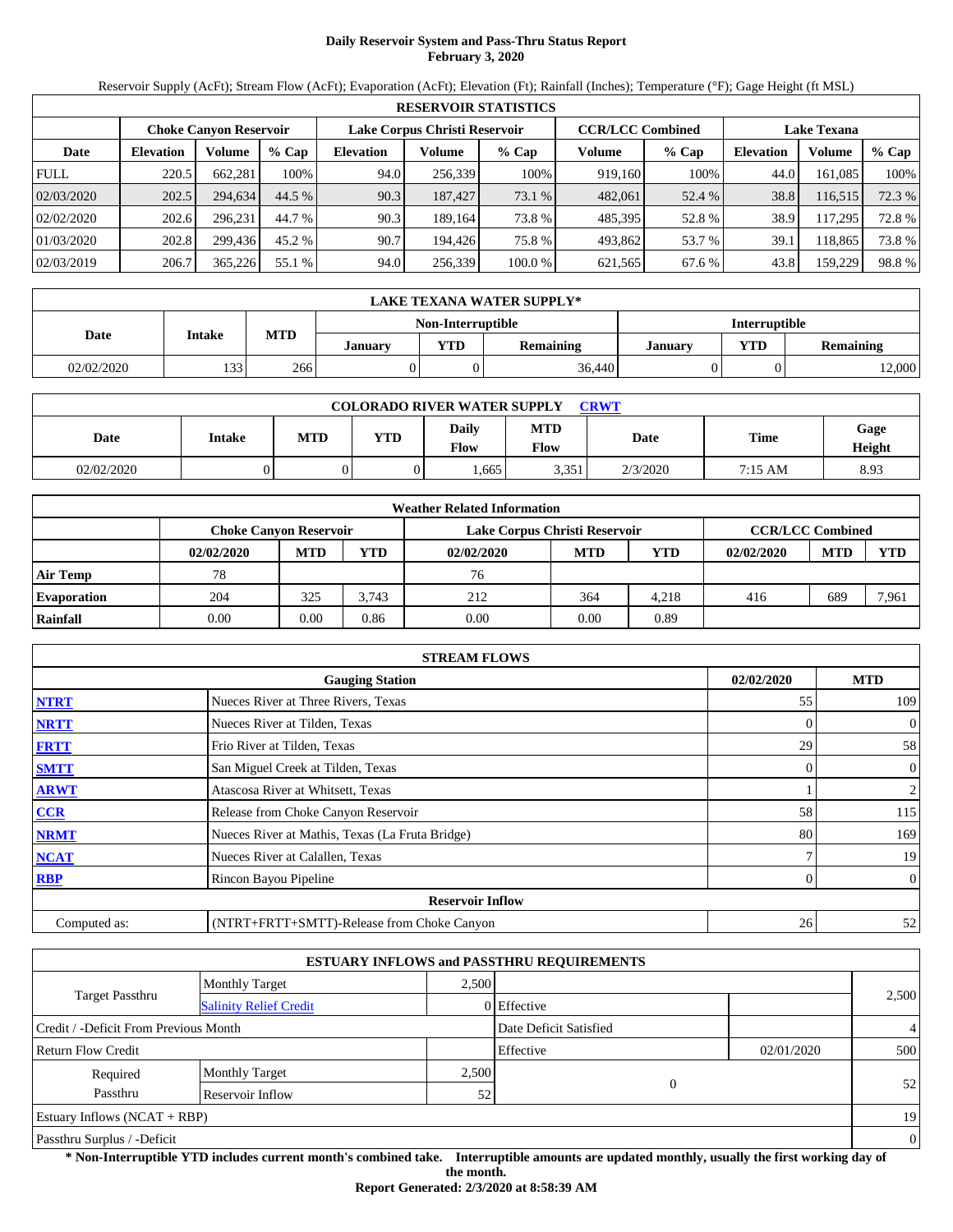# **Daily Reservoir System and Pass-Thru Status Report February 3, 2020**

Reservoir Supply (AcFt); Stream Flow (AcFt); Evaporation (AcFt); Elevation (Ft); Rainfall (Inches); Temperature (°F); Gage Height (ft MSL)

|             | <b>RESERVOIR STATISTICS</b> |                               |         |                  |                               |         |                         |         |                    |         |        |  |
|-------------|-----------------------------|-------------------------------|---------|------------------|-------------------------------|---------|-------------------------|---------|--------------------|---------|--------|--|
|             |                             | <b>Choke Canvon Reservoir</b> |         |                  | Lake Corpus Christi Reservoir |         | <b>CCR/LCC Combined</b> |         | <b>Lake Texana</b> |         |        |  |
| Date        | <b>Elevation</b>            | Volume                        | $%$ Cap | <b>Elevation</b> | Volume                        | % Cap   | Volume                  | $%$ Cap | <b>Elevation</b>   | Volume  | % Cap  |  |
| <b>FULL</b> | 220.5                       | 662.281                       | 100%    | 94.0             | 256,339                       | 100%    | 919.160                 | 100%    | 44.0               | 161.085 | 100%   |  |
| 02/03/2020  | 202.5                       | 294.634                       | 44.5 %  | 90.3             | 187,427                       | 73.1 %  | 482,061                 | 52.4 %  | 38.8               | 116,515 | 72.3 % |  |
| 02/02/2020  | 202.6                       | 296.231                       | 44.7 %  | 90.3             | 189.164                       | 73.8 %  | 485,395                 | 52.8%   | 38.9               | 117.295 | 72.8%  |  |
| 01/03/2020  | 202.8                       | 299.436                       | 45.2 %  | 90.7             | 194.426                       | 75.8%   | 493.862                 | 53.7 %  | 39.1               | 118.865 | 73.8 % |  |
| 02/03/2019  | 206.7                       | 365,226                       | 55.1 %  | 94.0             | 256,339                       | 100.0 % | 621,565                 | 67.6 %  | 43.8               | 159,229 | 98.8%  |  |

|            | <b>LAKE TEXANA WATER SUPPLY*</b> |            |         |                   |                  |                      |            |                  |  |  |  |
|------------|----------------------------------|------------|---------|-------------------|------------------|----------------------|------------|------------------|--|--|--|
|            |                                  |            |         | Non-Interruptible |                  | <b>Interruptible</b> |            |                  |  |  |  |
| Date       | Intake                           | <b>MTD</b> | Januarv | $'T$ D            | <b>Remaining</b> | January              | <b>VTD</b> | <b>Remaining</b> |  |  |  |
| 02/02/2020 | 133                              | 266        |         |                   | 36.440           |                      |            | 12,000           |  |  |  |

| <b>COLORADO RIVER WATER SUPPLY</b><br><b>CRWT</b> |        |     |            |               |                           |          |         |                |  |  |
|---------------------------------------------------|--------|-----|------------|---------------|---------------------------|----------|---------|----------------|--|--|
| Date                                              | Intake | MTD | <b>YTD</b> | Daily<br>Flow | <b>MTD</b><br><b>Flow</b> | Date     | Time    | Gage<br>Height |  |  |
| 02/02/2020                                        |        |     |            | .665          | $-251$<br>J.JJ 1          | 2/3/2020 | 7:15 AM | 8.93           |  |  |

|                    |            |                        |            | <b>Weather Related Information</b> |            |       |                         |            |       |
|--------------------|------------|------------------------|------------|------------------------------------|------------|-------|-------------------------|------------|-------|
|                    |            | Choke Canvon Reservoir |            | Lake Corpus Christi Reservoir      |            |       | <b>CCR/LCC Combined</b> |            |       |
|                    | 02/02/2020 | <b>MTD</b>             | <b>YTD</b> | 02/02/2020                         | <b>MTD</b> | YTD   | 02/02/2020              | <b>MTD</b> | YTD   |
| <b>Air Temp</b>    | 78         |                        |            | 76                                 |            |       |                         |            |       |
| <b>Evaporation</b> | 204        | 325                    | 3.743      | 212                                | 364        | 4.218 | 416                     | 689        | 7,961 |
| Rainfall           | 0.00       | 0.00                   | 0.86       | 0.00                               | 0.00       | 0.89  |                         |            |       |

|              | <b>STREAM FLOWS</b>                             |            |                |
|--------------|-------------------------------------------------|------------|----------------|
|              | <b>Gauging Station</b>                          | 02/02/2020 | <b>MTD</b>     |
| <b>NTRT</b>  | Nueces River at Three Rivers, Texas             | 55         | 109            |
| <b>NRTT</b>  | Nueces River at Tilden, Texas                   |            | $\overline{0}$ |
| <b>FRTT</b>  | Frio River at Tilden, Texas                     | 29         | 58             |
| <b>SMTT</b>  | San Miguel Creek at Tilden, Texas               | $\Omega$   | $\overline{0}$ |
| <b>ARWT</b>  | Atascosa River at Whitsett, Texas               |            | $\overline{2}$ |
| <b>CCR</b>   | Release from Choke Canyon Reservoir             | 58         | 115            |
| <b>NRMT</b>  | Nueces River at Mathis, Texas (La Fruta Bridge) | 80         | 169            |
| <b>NCAT</b>  | Nueces River at Calallen, Texas                 |            | 19             |
| <b>RBP</b>   | Rincon Bayou Pipeline                           | 0          | $\overline{0}$ |
|              | <b>Reservoir Inflow</b>                         |            |                |
| Computed as: | (NTRT+FRTT+SMTT)-Release from Choke Canyon      | 26         | 52             |

|                                       |                               |       | <b>ESTUARY INFLOWS and PASSTHRU REQUIREMENTS</b> |            |                |
|---------------------------------------|-------------------------------|-------|--------------------------------------------------|------------|----------------|
|                                       | Monthly Target                | 2.500 |                                                  |            |                |
| <b>Target Passthru</b>                | <b>Salinity Relief Credit</b> |       | 0 Effective                                      |            | 2,500          |
| Credit / -Deficit From Previous Month |                               |       | Date Deficit Satisfied                           |            | $\overline{4}$ |
| <b>Return Flow Credit</b>             |                               |       | Effective                                        | 02/01/2020 | 500            |
| Required                              | <b>Monthly Target</b>         | 2,500 |                                                  |            |                |
| Passthru                              | Reservoir Inflow              | 52    | $\Omega$                                         |            | 52             |
| Estuary Inflows $(NCAT + RBP)$        |                               |       |                                                  |            | 19             |
| Passthru Surplus / -Deficit           |                               |       |                                                  |            | $\theta$       |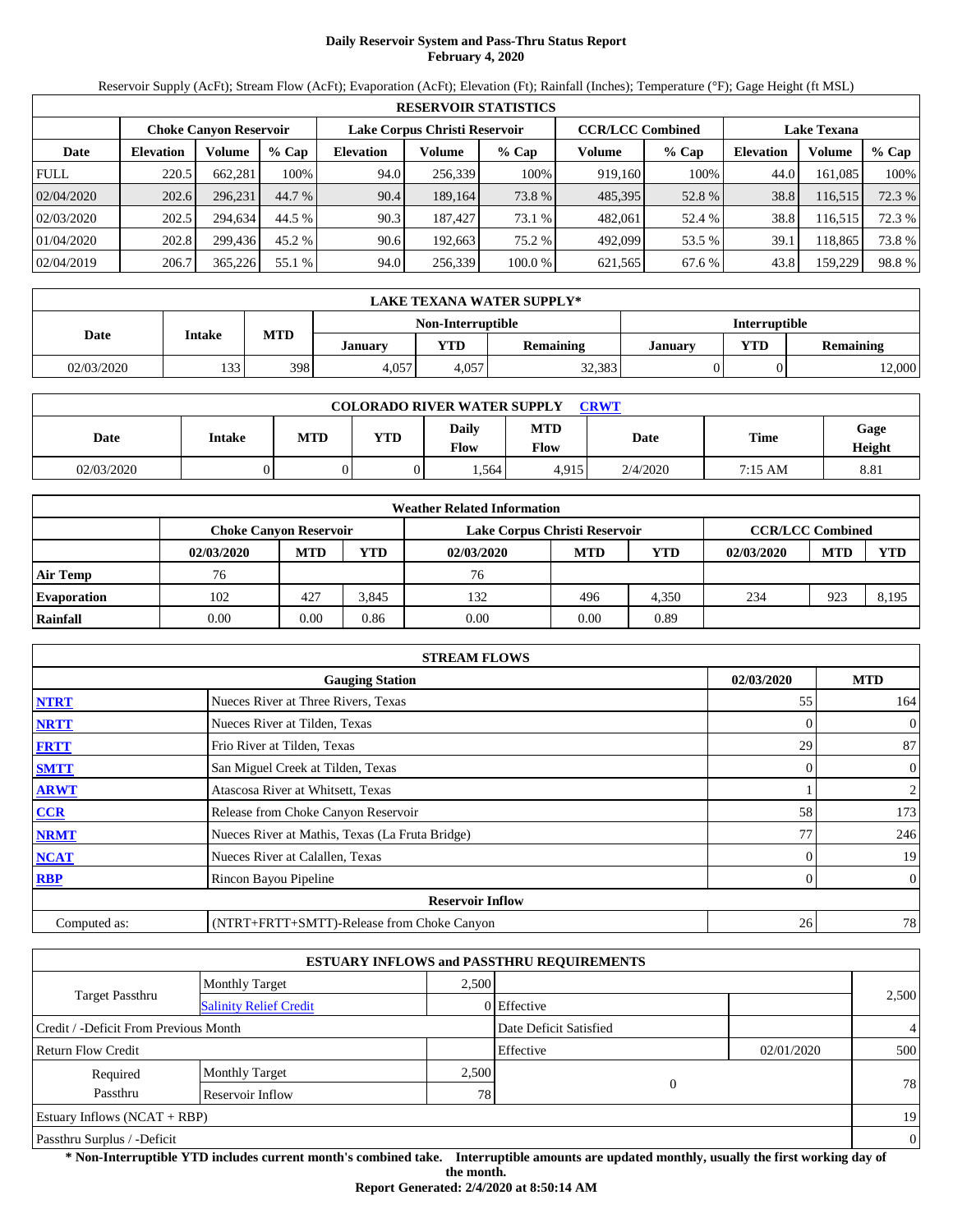# **Daily Reservoir System and Pass-Thru Status Report February 4, 2020**

Reservoir Supply (AcFt); Stream Flow (AcFt); Evaporation (AcFt); Elevation (Ft); Rainfall (Inches); Temperature (°F); Gage Height (ft MSL)

|             | <b>RESERVOIR STATISTICS</b> |                               |         |                  |                               |         |                         |         |                    |         |        |  |
|-------------|-----------------------------|-------------------------------|---------|------------------|-------------------------------|---------|-------------------------|---------|--------------------|---------|--------|--|
|             |                             | <b>Choke Canvon Reservoir</b> |         |                  | Lake Corpus Christi Reservoir |         | <b>CCR/LCC Combined</b> |         | <b>Lake Texana</b> |         |        |  |
| Date        | <b>Elevation</b>            | Volume                        | $%$ Cap | <b>Elevation</b> | Volume                        | % Cap   | Volume                  | $%$ Cap | <b>Elevation</b>   | Volume  | % Cap  |  |
| <b>FULL</b> | 220.5                       | 662.281                       | 100%    | 94.0             | 256.339                       | 100%    | 919.160                 | 100%    | 44.0               | 161.085 | 100%   |  |
| 02/04/2020  | 202.6                       | 296.231                       | 44.7 %  | 90.4             | 189.164                       | 73.8 %  | 485,395                 | 52.8 %  | 38.8               | 116,515 | 72.3 % |  |
| 02/03/2020  | 202.5                       | 294.634                       | 44.5 %  | 90.3             | 187.427                       | 73.1 %  | 482.061                 | 52.4 %  | 38.8               | 116,515 | 72.3 % |  |
| 01/04/2020  | 202.8                       | 299.436                       | 45.2 %  | 90.6             | 192.663                       | 75.2 %  | 492.099                 | 53.5 %  | 39.1               | 118.865 | 73.8 % |  |
| 02/04/2019  | 206.7                       | 365,226                       | 55.1 %  | 94.0             | 256,339                       | 100.0 % | 621,565                 | 67.6 %  | 43.8               | 159,229 | 98.8%  |  |

|            | LAKE TEXANA WATER SUPPLY* |            |         |                          |                  |         |                      |                  |  |  |  |
|------------|---------------------------|------------|---------|--------------------------|------------------|---------|----------------------|------------------|--|--|--|
|            |                           |            |         | <b>Non-Interruptible</b> |                  |         | <b>Interruptible</b> |                  |  |  |  |
| Date       | <b>Intake</b>             | <b>MTD</b> | January | $T\mathbf{D}$            | <b>Remaining</b> | Januarv | <b>VTD</b>           | <b>Remaining</b> |  |  |  |
| 02/03/2020 | 133.<br>1 J J             | 398        | 4,057   | 4.057                    | 32,383           |         |                      | 12,000           |  |  |  |

| <b>COLORADO RIVER WATER SUPPLY</b><br><b>CRWT</b> |        |     |     |                      |                           |          |         |                |  |  |
|---------------------------------------------------|--------|-----|-----|----------------------|---------------------------|----------|---------|----------------|--|--|
| Date                                              | Intake | MTD | YTD | <b>Daily</b><br>Flow | <b>MTD</b><br><b>Flow</b> | Date     | Time    | Gage<br>Height |  |  |
| 02/03/2020                                        |        |     |     | .564                 | 4.915                     | 2/4/2020 | 7:15 AM | 8.81           |  |  |

|                    |            |                        |            | <b>Weather Related Information</b> |            |       |                         |            |       |
|--------------------|------------|------------------------|------------|------------------------------------|------------|-------|-------------------------|------------|-------|
|                    |            | Choke Canvon Reservoir |            | Lake Corpus Christi Reservoir      |            |       | <b>CCR/LCC Combined</b> |            |       |
|                    | 02/03/2020 | <b>MTD</b>             | <b>YTD</b> | 02/03/2020                         | <b>MTD</b> | YTD   | 02/03/2020              | <b>MTD</b> | YTD   |
| <b>Air Temp</b>    | 76         |                        |            | 76                                 |            |       |                         |            |       |
| <b>Evaporation</b> | 102        | 427                    | 3.845      | 132                                | 496        | 4.350 | 234                     | 923        | 8,195 |
| Rainfall           | 0.00       | 0.00                   | 0.86       | 0.00                               | 0.00       | 0.89  |                         |            |       |

|              | <b>STREAM FLOWS</b>                             |            |                |
|--------------|-------------------------------------------------|------------|----------------|
|              | <b>Gauging Station</b>                          | 02/03/2020 | <b>MTD</b>     |
| <b>NTRT</b>  | Nueces River at Three Rivers, Texas             | 55         | 164            |
| <b>NRTT</b>  | Nueces River at Tilden, Texas                   |            | $\overline{0}$ |
| <b>FRTT</b>  | Frio River at Tilden, Texas                     | 29         | 87             |
| <b>SMTT</b>  | San Miguel Creek at Tilden, Texas               | 0          | $\overline{0}$ |
| <b>ARWT</b>  | Atascosa River at Whitsett, Texas               |            | $\overline{2}$ |
| <b>CCR</b>   | Release from Choke Canyon Reservoir             | 58         | 173            |
| <b>NRMT</b>  | Nueces River at Mathis, Texas (La Fruta Bridge) | 77         | 246            |
| <b>NCAT</b>  | Nueces River at Calallen, Texas                 |            | 19             |
| <b>RBP</b>   | Rincon Bayou Pipeline                           | 0          | $\overline{0}$ |
|              | <b>Reservoir Inflow</b>                         |            |                |
| Computed as: | (NTRT+FRTT+SMTT)-Release from Choke Canyon      | 26         | 78             |

|                                       |                               |       | <b>ESTUARY INFLOWS and PASSTHRU REQUIREMENTS</b> |            |                |
|---------------------------------------|-------------------------------|-------|--------------------------------------------------|------------|----------------|
|                                       | <b>Monthly Target</b>         | 2.500 |                                                  |            |                |
| <b>Target Passthru</b>                | <b>Salinity Relief Credit</b> |       | 0 Effective                                      |            | 2,500          |
| Credit / -Deficit From Previous Month |                               |       | Date Deficit Satisfied                           |            | $\overline{4}$ |
| <b>Return Flow Credit</b>             |                               |       | Effective                                        | 02/01/2020 | 500            |
| Required                              | <b>Monthly Target</b>         | 2,500 |                                                  |            |                |
| Passthru                              | Reservoir Inflow              | 78    | $\overline{0}$                                   |            | 78             |
| Estuary Inflows $(NCAT + RBP)$        |                               |       |                                                  |            | 19             |
| Passthru Surplus / -Deficit           |                               |       |                                                  |            | $\theta$       |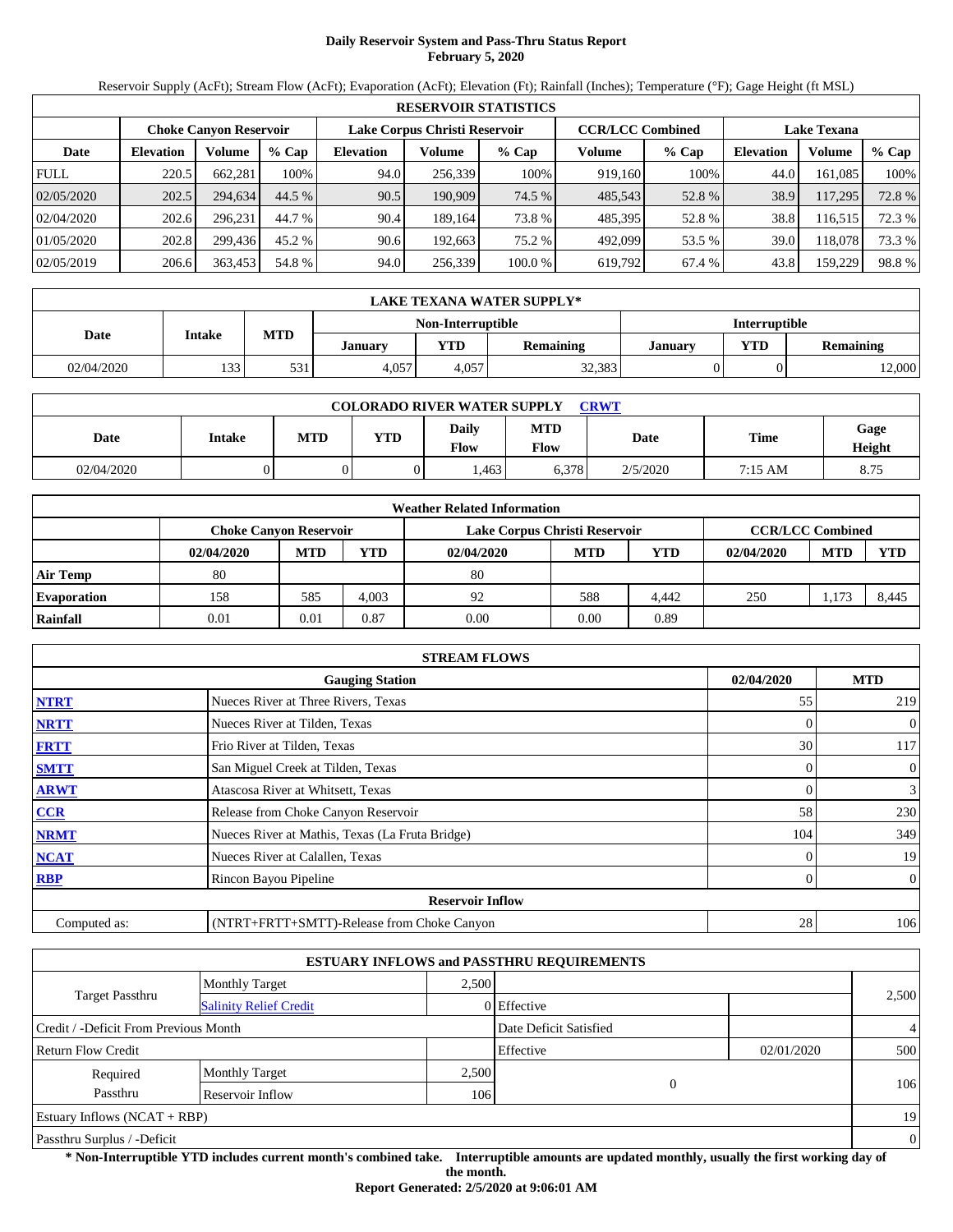# **Daily Reservoir System and Pass-Thru Status Report February 5, 2020**

Reservoir Supply (AcFt); Stream Flow (AcFt); Evaporation (AcFt); Elevation (Ft); Rainfall (Inches); Temperature (°F); Gage Height (ft MSL)

|             | <b>RESERVOIR STATISTICS</b> |                               |         |                  |                               |         |         |                         |                    |         |        |  |  |
|-------------|-----------------------------|-------------------------------|---------|------------------|-------------------------------|---------|---------|-------------------------|--------------------|---------|--------|--|--|
|             |                             | <b>Choke Canyon Reservoir</b> |         |                  | Lake Corpus Christi Reservoir |         |         | <b>CCR/LCC Combined</b> | <b>Lake Texana</b> |         |        |  |  |
| Date        | <b>Elevation</b>            | Volume                        | $%$ Cap | <b>Elevation</b> | Volume                        | $%$ Cap | Volume  | $%$ Cap                 | <b>Elevation</b>   | Volume  | % Cap  |  |  |
| <b>FULL</b> | 220.5                       | 662.281                       | 100%    | 94.0             | 256,339                       | 100%    | 919,160 | 100%                    | 44.0               | 161.085 | 100%   |  |  |
| 02/05/2020  | 202.5                       | 294.634                       | 44.5 %  | 90.5             | 190.909                       | 74.5 %  | 485,543 | 52.8%                   | 38.9               | 117,295 | 72.8 % |  |  |
| 02/04/2020  | 202.6                       | 296.231                       | 44.7 %  | 90.4             | 189.164                       | 73.8 %  | 485,395 | 52.8%                   | 38.8               | 116,515 | 72.3 % |  |  |
| 01/05/2020  | 202.8                       | 299.436                       | 45.2 %  | 90.6             | 192.663                       | 75.2 %  | 492,099 | 53.5 %                  | 39.0               | 118.078 | 73.3 % |  |  |
| 02/05/2019  | 206.6                       | 363,453                       | 54.8 %  | 94.0             | 256,339                       | 100.0 % | 619,792 | 67.4 %                  | 43.8               | 159,229 | 98.8%  |  |  |

|            | LAKE TEXANA WATER SUPPLY*                                       |     |       |                          |        |                      |            |                  |  |  |  |  |
|------------|-----------------------------------------------------------------|-----|-------|--------------------------|--------|----------------------|------------|------------------|--|--|--|--|
|            |                                                                 |     |       | <b>Non-Interruptible</b> |        | <b>Interruptible</b> |            |                  |  |  |  |  |
|            | <b>MTD</b><br><b>Intake</b><br>Date<br>$T\mathbf{D}$<br>Januarv |     |       |                          |        | Januarv              | <b>VTD</b> | <b>Remaining</b> |  |  |  |  |
| 02/04/2020 | 133                                                             | 531 | 4,057 | 4.057                    | 32,383 |                      |            | 12,000           |  |  |  |  |

| <b>COLORADO RIVER WATER SUPPLY</b><br><b>CRWT</b> |               |            |            |               |                           |          |         |                |  |  |
|---------------------------------------------------|---------------|------------|------------|---------------|---------------------------|----------|---------|----------------|--|--|
| Date                                              | <b>Intake</b> | <b>MTD</b> | <b>YTD</b> | Daily<br>Flow | <b>MTD</b><br><b>Flow</b> | Date     | Time    | Gage<br>Height |  |  |
| 02/04/2020                                        |               |            |            | .463          | 6,378                     | 2/5/2020 | 7:15 AM | 8.75           |  |  |

|                    | <b>Weather Related Information</b> |                                                                                    |            |            |            |       |            |            |       |  |  |  |
|--------------------|------------------------------------|------------------------------------------------------------------------------------|------------|------------|------------|-------|------------|------------|-------|--|--|--|
|                    |                                    | <b>CCR/LCC Combined</b><br>Lake Corpus Christi Reservoir<br>Choke Canvon Reservoir |            |            |            |       |            |            |       |  |  |  |
|                    | 02/04/2020                         | <b>MTD</b>                                                                         | <b>YTD</b> | 02/04/2020 | <b>MTD</b> | YTD   | 02/04/2020 | <b>MTD</b> | YTD   |  |  |  |
| <b>Air Temp</b>    | 80                                 |                                                                                    |            | 80         |            |       |            |            |       |  |  |  |
| <b>Evaporation</b> | 158                                | 585                                                                                | 4.003      | 92         | 588        | 4.442 | 250        | 1,173      | 8,445 |  |  |  |
| Rainfall           | 0.01                               | 0.01                                                                               | 0.87       | 0.00       | 0.00       | 0.89  |            |            |       |  |  |  |

|              | <b>STREAM FLOWS</b>                             |            |                |
|--------------|-------------------------------------------------|------------|----------------|
|              | <b>Gauging Station</b>                          | 02/04/2020 | <b>MTD</b>     |
| <b>NTRT</b>  | Nueces River at Three Rivers, Texas             | 55         | 219            |
| <b>NRTT</b>  | Nueces River at Tilden, Texas                   |            | $\overline{0}$ |
| <b>FRTT</b>  | Frio River at Tilden, Texas                     | 30         | 117            |
| <b>SMTT</b>  | San Miguel Creek at Tilden, Texas               | 0          | $\overline{0}$ |
| <b>ARWT</b>  | Atascosa River at Whitsett, Texas               |            | $\mathfrak{Z}$ |
| <b>CCR</b>   | Release from Choke Canyon Reservoir             | 58         | 230            |
| <b>NRMT</b>  | Nueces River at Mathis, Texas (La Fruta Bridge) | 104        | 349            |
| <b>NCAT</b>  | Nueces River at Calallen, Texas                 |            | 19             |
| <b>RBP</b>   | Rincon Bayou Pipeline                           | 0          | $\overline{0}$ |
|              | <b>Reservoir Inflow</b>                         |            |                |
| Computed as: | (NTRT+FRTT+SMTT)-Release from Choke Canyon      | 28         | 106            |

|                                       |                               |       | <b>ESTUARY INFLOWS and PASSTHRU REQUIREMENTS</b> |            |                |
|---------------------------------------|-------------------------------|-------|--------------------------------------------------|------------|----------------|
|                                       | Monthly Target                | 2.500 |                                                  |            |                |
| <b>Target Passthru</b>                | <b>Salinity Relief Credit</b> |       | 0 Effective                                      |            | 2,500          |
| Credit / -Deficit From Previous Month |                               |       | Date Deficit Satisfied                           |            | $\overline{4}$ |
| <b>Return Flow Credit</b>             |                               |       | Effective                                        | 02/01/2020 | 500            |
| Required                              | <b>Monthly Target</b>         | 2,500 |                                                  |            |                |
| Passthru                              | Reservoir Inflow              | 106   | $\Omega$                                         |            | 106            |
| Estuary Inflows $(NCAT + RBP)$        |                               |       |                                                  |            | 19             |
| Passthru Surplus / -Deficit           |                               |       |                                                  |            | $\overline{0}$ |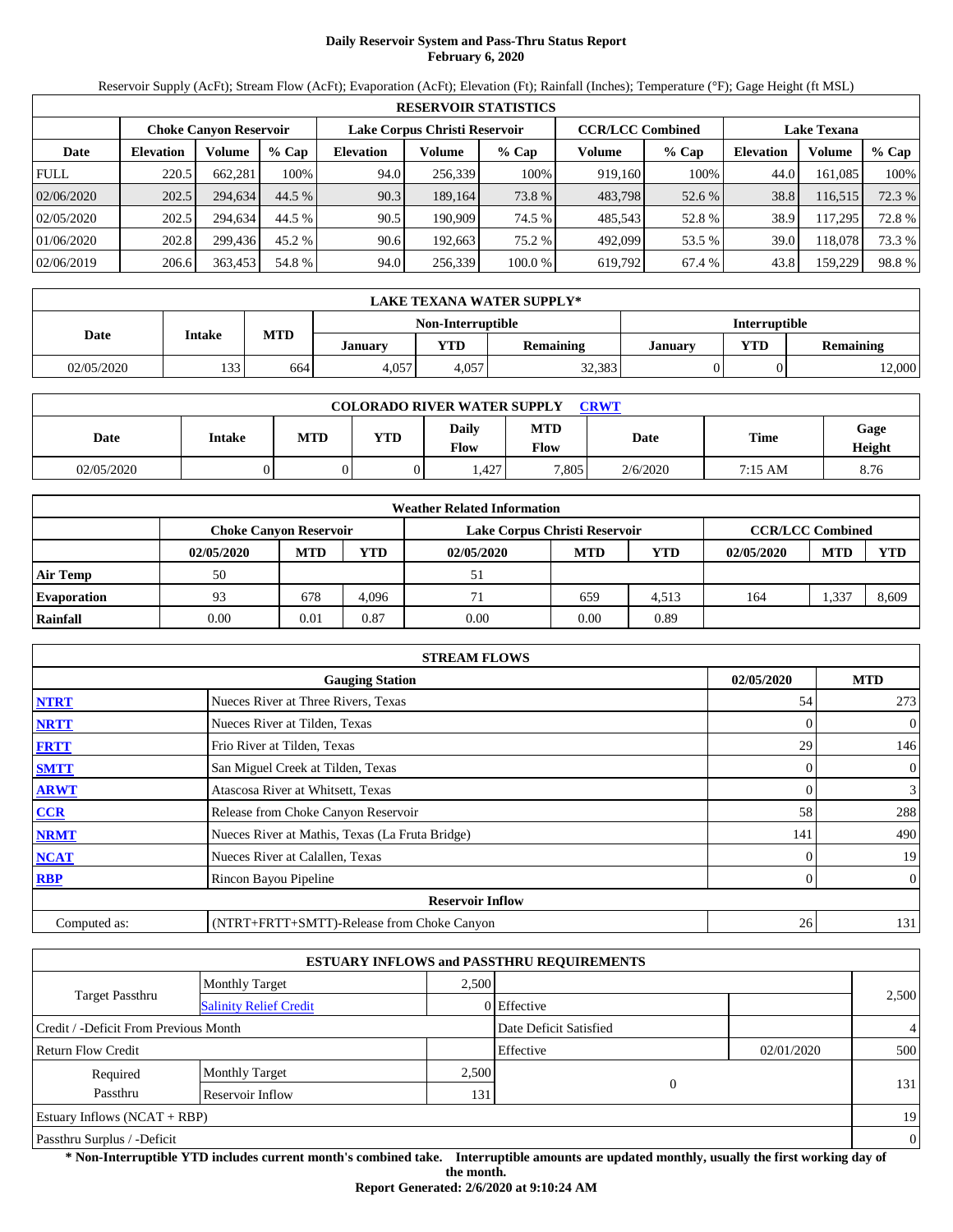# **Daily Reservoir System and Pass-Thru Status Report February 6, 2020**

Reservoir Supply (AcFt); Stream Flow (AcFt); Evaporation (AcFt); Elevation (Ft); Rainfall (Inches); Temperature (°F); Gage Height (ft MSL)

|             | <b>RESERVOIR STATISTICS</b> |                               |         |                               |         |         |                         |         |                    |         |        |  |  |
|-------------|-----------------------------|-------------------------------|---------|-------------------------------|---------|---------|-------------------------|---------|--------------------|---------|--------|--|--|
|             |                             | <b>Choke Canyon Reservoir</b> |         | Lake Corpus Christi Reservoir |         |         | <b>CCR/LCC Combined</b> |         | <b>Lake Texana</b> |         |        |  |  |
| Date        | <b>Elevation</b>            | Volume                        | $%$ Cap | <b>Elevation</b>              | Volume  | $%$ Cap | Volume                  | $%$ Cap | <b>Elevation</b>   | Volume  | % Cap  |  |  |
| <b>FULL</b> | 220.5                       | 662.281                       | 100%    | 94.0                          | 256.339 | 100%    | 919.160                 | 100%    | 44.0               | 161.085 | 100%   |  |  |
| 02/06/2020  | 202.5                       | 294.634                       | 44.5 %  | 90.3                          | 189,164 | 73.8 %  | 483,798                 | 52.6 %  | 38.8               | 116,515 | 72.3 % |  |  |
| 02/05/2020  | 202.5                       | 294.634                       | 44.5 %  | 90.5                          | 190.909 | 74.5 %  | 485.543                 | 52.8%   | 38.9               | 117.295 | 72.8%  |  |  |
| 01/06/2020  | 202.8                       | 299.436                       | 45.2 %  | 90.6                          | 192.663 | 75.2 %  | 492,099                 | 53.5 %  | 39.0               | 118.078 | 73.3 % |  |  |
| 02/06/2019  | 206.6                       | 363,453                       | 54.8 %  | 94.0                          | 256,339 | 100.0 % | 619,792                 | 67.4 %  | 43.8               | 159,229 | 98.8%  |  |  |

|            | LAKE TEXANA WATER SUPPLY*                             |     |       |                   |        |                      |            |                  |  |  |  |
|------------|-------------------------------------------------------|-----|-------|-------------------|--------|----------------------|------------|------------------|--|--|--|
|            |                                                       |     |       | Non-Interruptible |        | <b>Interruptible</b> |            |                  |  |  |  |
|            | <b>MTD</b><br><b>Intake</b><br>Date<br>VTD<br>Januarv |     |       |                   |        | <b>January</b>       | <b>VTD</b> | <b>Remaining</b> |  |  |  |
| 02/05/2020 | 133                                                   | 664 | 4.057 | 4.057             | 32,383 |                      |            | 2,000            |  |  |  |

| <b>COLORADO RIVER WATER SUPPLY</b><br><b>CRWT</b> |               |     |            |               |                           |          |         |                |  |  |
|---------------------------------------------------|---------------|-----|------------|---------------|---------------------------|----------|---------|----------------|--|--|
| Date                                              | <b>Intake</b> | MTD | <b>YTD</b> | Daily<br>Flow | <b>MTD</b><br><b>Flow</b> | Date     | Time    | Gage<br>Height |  |  |
| 02/05/2020                                        |               |     |            | .427          | 7,805                     | 2/6/2020 | 7:15 AM | 8.76           |  |  |

|                    | <b>Weather Related Information</b> |                                                                                    |            |            |            |       |            |            |       |  |  |  |
|--------------------|------------------------------------|------------------------------------------------------------------------------------|------------|------------|------------|-------|------------|------------|-------|--|--|--|
|                    |                                    | <b>CCR/LCC Combined</b><br>Lake Corpus Christi Reservoir<br>Choke Canvon Reservoir |            |            |            |       |            |            |       |  |  |  |
|                    | 02/05/2020                         | <b>MTD</b>                                                                         | <b>YTD</b> | 02/05/2020 | <b>MTD</b> | YTD   | 02/05/2020 | <b>MTD</b> | YTD   |  |  |  |
| <b>Air Temp</b>    | 50                                 |                                                                                    |            | 51         |            |       |            |            |       |  |  |  |
| <b>Evaporation</b> | 93                                 | 678                                                                                | 4.096      | 71         | 659        | 4.513 | 164        | .337       | 8,609 |  |  |  |
| Rainfall           | 0.00                               | 0.01                                                                               | 0.87       | 0.00       | 0.00       | 0.89  |            |            |       |  |  |  |

|              | <b>STREAM FLOWS</b>                             |            |                |
|--------------|-------------------------------------------------|------------|----------------|
|              | <b>Gauging Station</b>                          | 02/05/2020 | <b>MTD</b>     |
| <b>NTRT</b>  | Nueces River at Three Rivers, Texas             | 54         | 273            |
| <b>NRTT</b>  | Nueces River at Tilden, Texas                   |            | $\overline{0}$ |
| <b>FRTT</b>  | Frio River at Tilden, Texas                     | 29         | 146            |
| <b>SMTT</b>  | San Miguel Creek at Tilden, Texas               | 0          | $\overline{0}$ |
| <b>ARWT</b>  | Atascosa River at Whitsett, Texas               |            | $\mathfrak{Z}$ |
| <b>CCR</b>   | Release from Choke Canyon Reservoir             | 58         | 288            |
| <b>NRMT</b>  | Nueces River at Mathis, Texas (La Fruta Bridge) | 141        | 490            |
| <b>NCAT</b>  | Nueces River at Calallen, Texas                 |            | 19             |
| <b>RBP</b>   | Rincon Bayou Pipeline                           | 0          | $\overline{0}$ |
|              | <b>Reservoir Inflow</b>                         |            |                |
| Computed as: | (NTRT+FRTT+SMTT)-Release from Choke Canyon      | 26         | 131            |

|                                       |                               |       | <b>ESTUARY INFLOWS and PASSTHRU REQUIREMENTS</b> |            |                |
|---------------------------------------|-------------------------------|-------|--------------------------------------------------|------------|----------------|
|                                       | Monthly Target                | 2.500 |                                                  |            |                |
| <b>Target Passthru</b>                | <b>Salinity Relief Credit</b> |       | 0 Effective                                      |            | 2,500          |
| Credit / -Deficit From Previous Month |                               |       | Date Deficit Satisfied                           |            | $\overline{4}$ |
| <b>Return Flow Credit</b>             |                               |       | Effective                                        | 02/01/2020 | 500            |
| Required                              | <b>Monthly Target</b>         | 2,500 |                                                  |            |                |
| Passthru                              | Reservoir Inflow              | 131   | $\Omega$                                         |            | 131            |
| Estuary Inflows $(NCAT + RBP)$        |                               |       |                                                  |            | 19             |
| Passthru Surplus / -Deficit           |                               |       |                                                  |            | $\theta$       |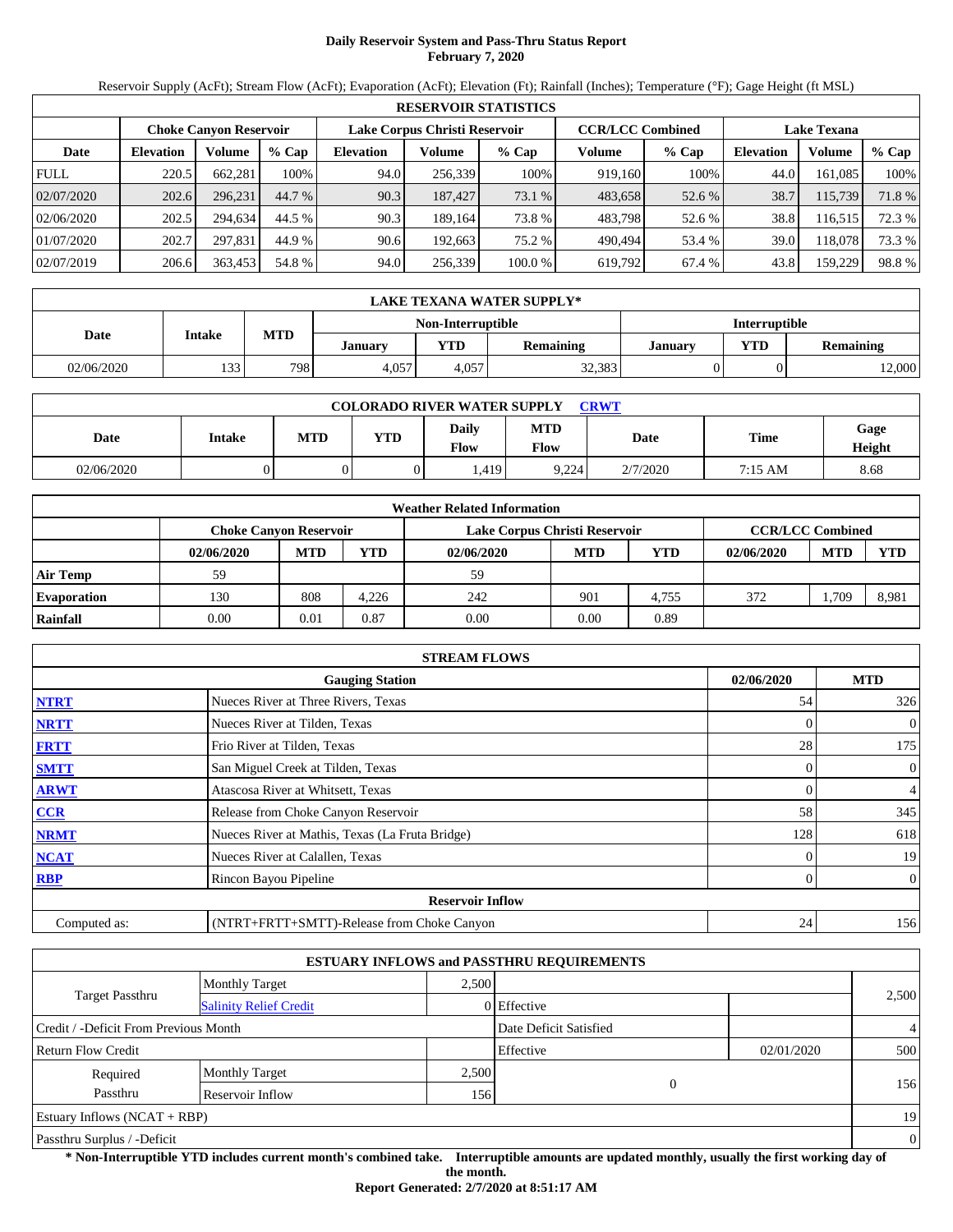# **Daily Reservoir System and Pass-Thru Status Report February 7, 2020**

Reservoir Supply (AcFt); Stream Flow (AcFt); Evaporation (AcFt); Elevation (Ft); Rainfall (Inches); Temperature (°F); Gage Height (ft MSL)

|             | <b>RESERVOIR STATISTICS</b> |                               |         |                  |                               |         |                         |         |                    |         |        |  |
|-------------|-----------------------------|-------------------------------|---------|------------------|-------------------------------|---------|-------------------------|---------|--------------------|---------|--------|--|
|             |                             | <b>Choke Canyon Reservoir</b> |         |                  | Lake Corpus Christi Reservoir |         | <b>CCR/LCC Combined</b> |         | <b>Lake Texana</b> |         |        |  |
| Date        | <b>Elevation</b>            | Volume                        | $%$ Cap | <b>Elevation</b> | Volume                        | $%$ Cap | Volume                  | $%$ Cap | <b>Elevation</b>   | Volume  | % Cap  |  |
| <b>FULL</b> | 220.5                       | 662.281                       | 100%    | 94.0             | 256.339                       | 100%    | 919.160                 | 100%    | 44.0               | 161.085 | 100%   |  |
| 02/07/2020  | 202.6                       | 296.231                       | 44.7 %  | 90.3             | 187,427                       | 73.1 %  | 483,658                 | 52.6 %  | 38.7               | 115,739 | 71.8%  |  |
| 02/06/2020  | 202.5                       | 294.634                       | 44.5 %  | 90.3             | 189.164                       | 73.8 %  | 483.798                 | 52.6 %  | 38.8               | 116,515 | 72.3 % |  |
| 01/07/2020  | 202.7                       | 297.831                       | 44.9 %  | 90.6             | 192.663                       | 75.2 %  | 490.494                 | 53.4 %  | 39.0               | 118.078 | 73.3 % |  |
| 02/07/2019  | 206.6                       | 363,453                       | 54.8 %  | 94.0             | 256,339                       | 100.0 % | 619,792                 | 67.4 %  | 43.8               | 159,229 | 98.8%  |  |

|            | LAKE TEXANA WATER SUPPLY* |            |         |                         |                  |                |                      |                  |  |  |  |
|------------|---------------------------|------------|---------|-------------------------|------------------|----------------|----------------------|------------------|--|--|--|
|            |                           |            |         | Non-Interruptible       |                  |                | <b>Interruptible</b> |                  |  |  |  |
| Date       | <b>Intake</b>             | <b>MTD</b> | Januarv | $\mathbf{T} \mathbf{D}$ | <b>Remaining</b> | <b>January</b> | <b>VTD</b>           | <b>Remaining</b> |  |  |  |
| 02/06/2020 | 133                       | 798        | 4,057   | 4.057                   | 32,383           |                |                      | 2,000            |  |  |  |

| <b>COLORADO RIVER WATER SUPPLY</b><br><b>CRWT</b> |        |     |            |               |                           |             |         |                |  |  |
|---------------------------------------------------|--------|-----|------------|---------------|---------------------------|-------------|---------|----------------|--|--|
| Date                                              | Intake | MTD | <b>YTD</b> | Daily<br>Flow | <b>MTD</b><br><b>Flow</b> | <b>Date</b> | Time    | Gage<br>Height |  |  |
| 02/06/2020                                        |        |     |            | 1,419         | 9,224                     | 2/7/2020    | 7:15 AM | 8.68           |  |  |

|                    |            |                        |            | <b>Weather Related Information</b> |            |       |                         |            |       |
|--------------------|------------|------------------------|------------|------------------------------------|------------|-------|-------------------------|------------|-------|
|                    |            | Choke Canvon Reservoir |            | Lake Corpus Christi Reservoir      |            |       | <b>CCR/LCC Combined</b> |            |       |
|                    | 02/06/2020 | <b>MTD</b>             | <b>YTD</b> | 02/06/2020                         | <b>MTD</b> | YTD   | 02/06/2020              | <b>MTD</b> | YTD   |
| <b>Air Temp</b>    | 59         |                        |            | 59                                 |            |       |                         |            |       |
| <b>Evaporation</b> | 130        | 808                    | 4.226      | 242                                | 901        | 4.755 | 372                     | .709       | 8,981 |
| Rainfall           | 0.00       | 0.01                   | 0.87       | 0.00                               | 0.00       | 0.89  |                         |            |       |

|              | <b>STREAM FLOWS</b>                             |            |                |
|--------------|-------------------------------------------------|------------|----------------|
|              | <b>Gauging Station</b>                          | 02/06/2020 | <b>MTD</b>     |
| <b>NTRT</b>  | Nueces River at Three Rivers, Texas             | 54         | 326            |
| <b>NRTT</b>  | Nueces River at Tilden, Texas                   |            | $\overline{0}$ |
| <b>FRTT</b>  | Frio River at Tilden, Texas                     | 28         | 175            |
| <b>SMTT</b>  | San Miguel Creek at Tilden, Texas               | 0          | $\overline{0}$ |
| <b>ARWT</b>  | Atascosa River at Whitsett, Texas               | 0          | $\overline{4}$ |
| <b>CCR</b>   | Release from Choke Canyon Reservoir             | 58         | 345            |
| <b>NRMT</b>  | Nueces River at Mathis, Texas (La Fruta Bridge) | 128        | 618            |
| <b>NCAT</b>  | Nueces River at Calallen, Texas                 |            | 19             |
| <b>RBP</b>   | Rincon Bayou Pipeline                           | 0          | $\overline{0}$ |
|              | <b>Reservoir Inflow</b>                         |            |                |
| Computed as: | (NTRT+FRTT+SMTT)-Release from Choke Canyon      | 24         | 156            |

|                                       |                               |       | <b>ESTUARY INFLOWS and PASSTHRU REQUIREMENTS</b> |            |                |
|---------------------------------------|-------------------------------|-------|--------------------------------------------------|------------|----------------|
|                                       | <b>Monthly Target</b>         | 2.500 |                                                  |            |                |
| <b>Target Passthru</b>                | <b>Salinity Relief Credit</b> |       | 0 Effective                                      |            | 2,500          |
| Credit / -Deficit From Previous Month |                               |       | Date Deficit Satisfied                           |            | $\overline{4}$ |
| <b>Return Flow Credit</b>             |                               |       | Effective                                        | 02/01/2020 | 500            |
| Required                              | <b>Monthly Target</b>         | 2,500 |                                                  |            |                |
| Passthru                              | Reservoir Inflow              | 156   | $\theta$                                         |            | 156            |
| Estuary Inflows $(NCAT + RBP)$        |                               |       |                                                  |            | 19             |
| Passthru Surplus / -Deficit           |                               |       |                                                  |            | $\overline{0}$ |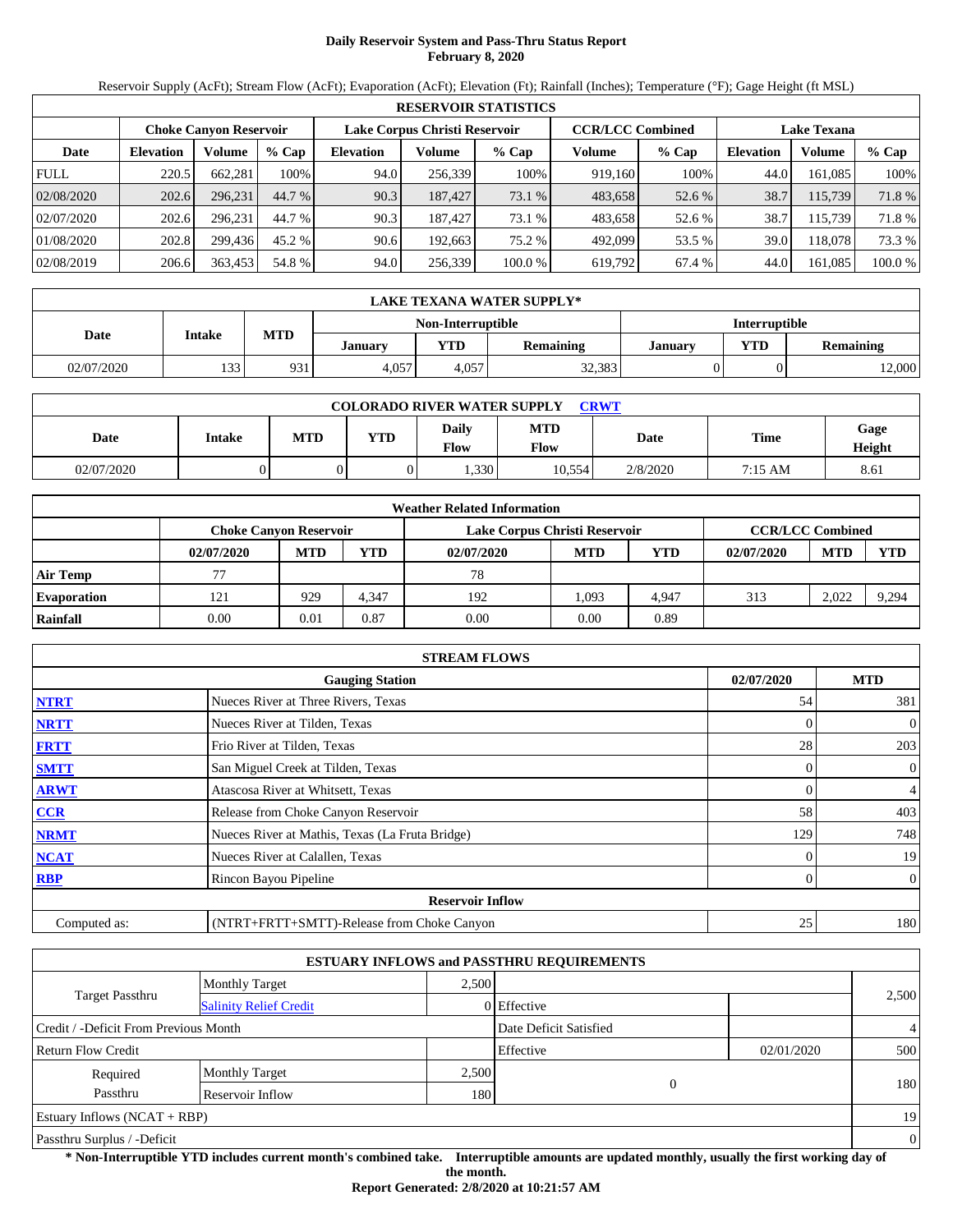# **Daily Reservoir System and Pass-Thru Status Report February 8, 2020**

Reservoir Supply (AcFt); Stream Flow (AcFt); Evaporation (AcFt); Elevation (Ft); Rainfall (Inches); Temperature (°F); Gage Height (ft MSL)

|             | <b>RESERVOIR STATISTICS</b> |                               |         |                  |                               |         |         |                         |                    |         |         |  |
|-------------|-----------------------------|-------------------------------|---------|------------------|-------------------------------|---------|---------|-------------------------|--------------------|---------|---------|--|
|             |                             | <b>Choke Canvon Reservoir</b> |         |                  | Lake Corpus Christi Reservoir |         |         | <b>CCR/LCC Combined</b> | <b>Lake Texana</b> |         |         |  |
| Date        | <b>Elevation</b>            | Volume                        | $%$ Cap | <b>Elevation</b> | Volume                        | $%$ Cap | Volume  | $%$ Cap                 | <b>Elevation</b>   | Volume  | % Cap   |  |
| <b>FULL</b> | 220.5                       | 662.281                       | 100%    | 94.0             | 256,339                       | 100%    | 919.160 | 100%                    | 44.0               | 161.085 | 100%    |  |
| 02/08/2020  | 202.6                       | 296.231                       | 44.7 %  | 90.3             | 187,427                       | 73.1 %  | 483,658 | 52.6 %                  | 38.7               | 115,739 | 71.8 %  |  |
| 02/07/2020  | 202.6                       | 296.231                       | 44.7 %  | 90.3             | 187,427                       | 73.1 %  | 483,658 | 52.6 %                  | 38.7               | 115.739 | 71.8 %  |  |
| 01/08/2020  | 202.8                       | 299.436                       | 45.2 %  | 90.6             | 192.663                       | 75.2 %  | 492,099 | 53.5 %                  | 39.0               | 118.078 | 73.3 %  |  |
| 02/08/2019  | 206.6                       | 363,453                       | 54.8 %  | 94.0             | 256,339                       | 100.0%  | 619,792 | 67.4 %                  | 44.0               | 161,085 | 100.0 % |  |

|            | LAKE TEXANA WATER SUPPLY* |            |         |                   |                  |                |                      |                  |  |  |  |
|------------|---------------------------|------------|---------|-------------------|------------------|----------------|----------------------|------------------|--|--|--|
|            |                           |            |         | Non-Interruptible |                  |                | <b>Interruptible</b> |                  |  |  |  |
| Date       | <b>Intake</b>             | <b>MTD</b> | Januarv | VTD               | <b>Remaining</b> | <b>January</b> | <b>VTD</b>           | <b>Remaining</b> |  |  |  |
| 02/07/2020 | 133 !                     | 931        | 4.057   | 4.057             | 32,383           |                |                      | 2,000            |  |  |  |

| <b>COLORADO RIVER WATER SUPPLY</b><br><b>CRWT</b> |        |            |     |                      |                           |          |             |                |  |  |
|---------------------------------------------------|--------|------------|-----|----------------------|---------------------------|----------|-------------|----------------|--|--|
| Date                                              | Intake | <b>MTD</b> | YTD | <b>Daily</b><br>Flow | <b>MTD</b><br><b>Flow</b> | Date     | <b>Time</b> | Gage<br>Height |  |  |
| 02/07/2020                                        |        |            |     | 1,330                | 10.554                    | 2/8/2020 | 7:15 AM     | 8.61           |  |  |

|                    | <b>Weather Related Information</b> |            |            |                               |            |       |                         |            |            |  |  |
|--------------------|------------------------------------|------------|------------|-------------------------------|------------|-------|-------------------------|------------|------------|--|--|
|                    | <b>Choke Canyon Reservoir</b>      |            |            | Lake Corpus Christi Reservoir |            |       | <b>CCR/LCC Combined</b> |            |            |  |  |
|                    | 02/07/2020                         | <b>MTD</b> | <b>YTD</b> | 02/07/2020                    | <b>MTD</b> | YTD   | 02/07/2020              | <b>MTD</b> | <b>YTD</b> |  |  |
| <b>Air Temp</b>    |                                    |            |            | 78                            |            |       |                         |            |            |  |  |
| <b>Evaporation</b> | 121                                | 929        | 4.347      | 192                           | 1.093      | 4.947 | 313                     | 2.022      | 9,294      |  |  |
| Rainfall           | 0.00                               | 0.01       | 0.87       | 0.00                          | 0.00       | 0.89  |                         |            |            |  |  |

|              | <b>STREAM FLOWS</b>                             |            |                |
|--------------|-------------------------------------------------|------------|----------------|
|              | <b>Gauging Station</b>                          | 02/07/2020 | <b>MTD</b>     |
| <b>NTRT</b>  | Nueces River at Three Rivers, Texas             | 54         | 381            |
| <b>NRTT</b>  | Nueces River at Tilden, Texas                   |            | $\overline{0}$ |
| <b>FRTT</b>  | Frio River at Tilden, Texas                     | 28         | 203            |
| <b>SMTT</b>  | San Miguel Creek at Tilden, Texas               | 0          | $\overline{0}$ |
| <b>ARWT</b>  | Atascosa River at Whitsett, Texas               | 0          | $\overline{4}$ |
| <b>CCR</b>   | Release from Choke Canyon Reservoir             | 58         | 403            |
| <b>NRMT</b>  | Nueces River at Mathis, Texas (La Fruta Bridge) | 129        | 748            |
| <b>NCAT</b>  | Nueces River at Calallen, Texas                 |            | 19             |
| <b>RBP</b>   | Rincon Bayou Pipeline                           | 0          | $\overline{0}$ |
|              | <b>Reservoir Inflow</b>                         |            |                |
| Computed as: | (NTRT+FRTT+SMTT)-Release from Choke Canyon      | 25         | 180            |

|                                       |                               |       | <b>ESTUARY INFLOWS and PASSTHRU REQUIREMENTS</b> |            |                |
|---------------------------------------|-------------------------------|-------|--------------------------------------------------|------------|----------------|
|                                       | <b>Monthly Target</b>         | 2.500 |                                                  |            |                |
| <b>Target Passthru</b>                | <b>Salinity Relief Credit</b> |       | 0 Effective                                      |            | 2,500          |
| Credit / -Deficit From Previous Month |                               |       | Date Deficit Satisfied                           |            | $\overline{4}$ |
| <b>Return Flow Credit</b>             |                               |       | Effective                                        | 02/01/2020 | 500            |
| Required                              | <b>Monthly Target</b>         | 2,500 |                                                  |            |                |
| Passthru                              | Reservoir Inflow              | 180   | $\overline{0}$                                   |            | 180            |
| Estuary Inflows $(NCAT + RBP)$        |                               |       |                                                  |            | 19             |
| Passthru Surplus / -Deficit           |                               |       |                                                  |            | $\theta$       |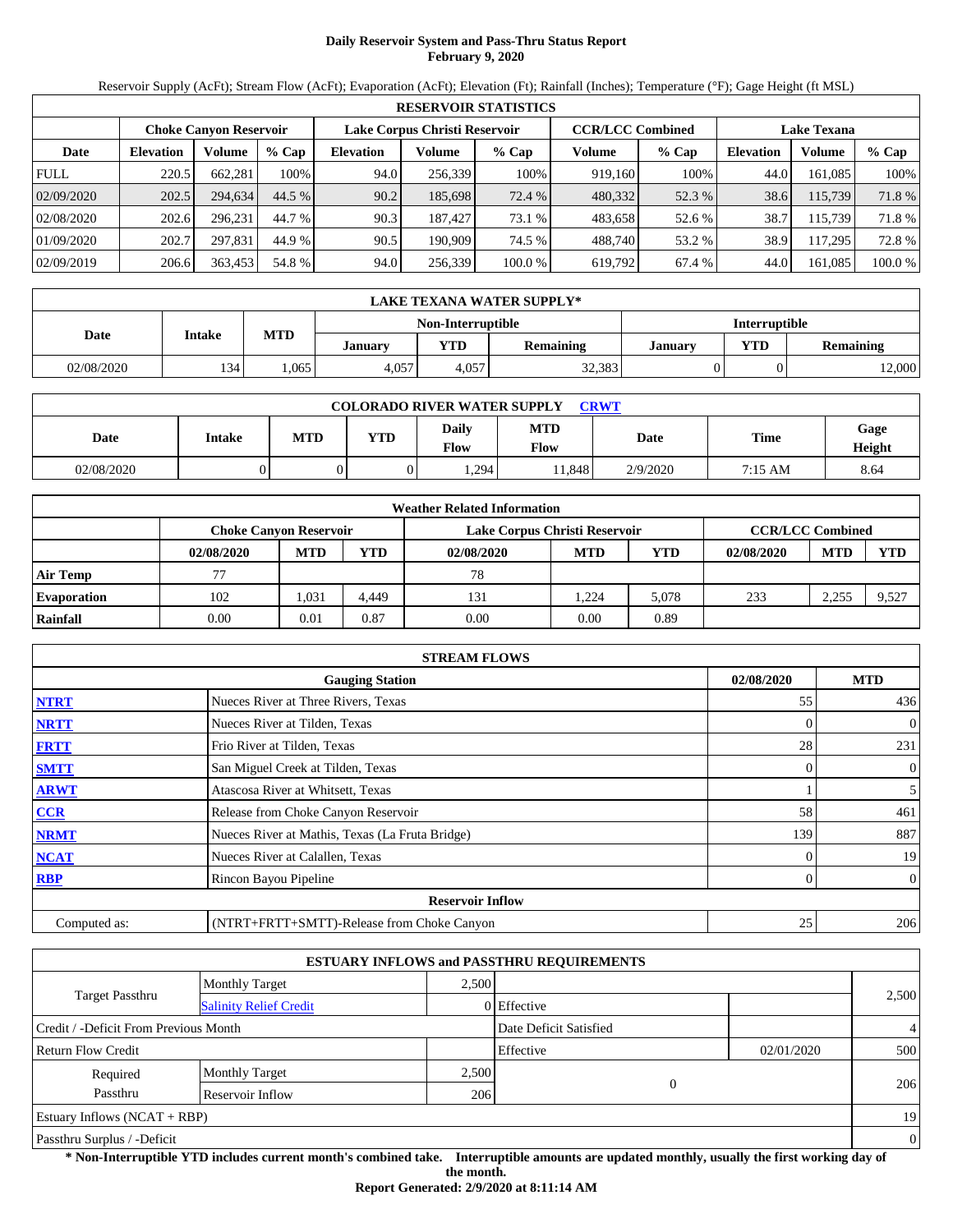# **Daily Reservoir System and Pass-Thru Status Report February 9, 2020**

Reservoir Supply (AcFt); Stream Flow (AcFt); Evaporation (AcFt); Elevation (Ft); Rainfall (Inches); Temperature (°F); Gage Height (ft MSL)

|             | <b>RESERVOIR STATISTICS</b> |                               |         |                  |                               |         |                         |         |                    |         |        |  |  |
|-------------|-----------------------------|-------------------------------|---------|------------------|-------------------------------|---------|-------------------------|---------|--------------------|---------|--------|--|--|
|             |                             | <b>Choke Canvon Reservoir</b> |         |                  | Lake Corpus Christi Reservoir |         | <b>CCR/LCC Combined</b> |         | <b>Lake Texana</b> |         |        |  |  |
| Date        | <b>Elevation</b>            | Volume                        | $%$ Cap | <b>Elevation</b> | Volume                        | $%$ Cap | Volume                  | $%$ Cap | <b>Elevation</b>   | Volume  | % Cap  |  |  |
| <b>FULL</b> | 220.5                       | 662.281                       | 100%    | 94.0             | 256.339                       | 100%    | 919.160                 | 100%    | 44.0               | 161.085 | 100%   |  |  |
| 02/09/2020  | 202.5                       | 294,634                       | 44.5 %  | 90.2             | 185,698                       | 72.4 %  | 480,332                 | 52.3 %  | 38.6               | 115,739 | 71.8 % |  |  |
| 02/08/2020  | 202.6                       | 296.231                       | 44.7 %  | 90.3             | 187,427                       | 73.1 %  | 483,658                 | 52.6 %  | 38.7               | 115.739 | 71.8 % |  |  |
| 01/09/2020  | 202.7                       | 297.831                       | 44.9 %  | 90.5             | 190.909                       | 74.5 %  | 488.740                 | 53.2 %  | 38.9               | 117,295 | 72.8 % |  |  |
| 02/09/2019  | 206.6                       | 363,453                       | 54.8 %  | 94.0             | 256,339                       | 100.0%  | 619,792                 | 67.4 %  | 44.0               | 161,085 | 100.0% |  |  |

|            | LAKE TEXANA WATER SUPPLY* |      |         |                   |                  |                |                      |                  |  |  |  |
|------------|---------------------------|------|---------|-------------------|------------------|----------------|----------------------|------------------|--|--|--|
|            |                           |      |         | Non-Interruptible |                  |                | <b>Interruptible</b> |                  |  |  |  |
| Date       | <b>Intake</b>             | MTD  | Januarv | VTD               | <b>Remaining</b> | <b>January</b> | <b>VTD</b>           | <b>Remaining</b> |  |  |  |
| 02/08/2020 | 134                       | .065 | 4.057   | 4.057             | 32,383           |                |                      | 12,000           |  |  |  |

| <b>COLORADO RIVER WATER SUPPLY</b><br><b>CRWT</b> |        |            |            |                      |                           |          |             |                |  |  |
|---------------------------------------------------|--------|------------|------------|----------------------|---------------------------|----------|-------------|----------------|--|--|
| Date                                              | Intake | <b>MTD</b> | <b>YTD</b> | <b>Daily</b><br>Flow | <b>MTD</b><br><b>Flow</b> | Date     | <b>Time</b> | Gage<br>Height |  |  |
| 02/08/2020                                        |        |            | 0          | 1,294                | 1.848                     | 2/9/2020 | 7:15 AM     | 8.64           |  |  |

|                    | <b>Weather Related Information</b> |                                                                                           |            |            |            |       |            |            |            |  |  |
|--------------------|------------------------------------|-------------------------------------------------------------------------------------------|------------|------------|------------|-------|------------|------------|------------|--|--|
|                    |                                    | <b>CCR/LCC Combined</b><br><b>Choke Canyon Reservoir</b><br>Lake Corpus Christi Reservoir |            |            |            |       |            |            |            |  |  |
|                    | 02/08/2020                         | <b>MTD</b>                                                                                | <b>YTD</b> | 02/08/2020 | <b>MTD</b> | YTD   | 02/08/2020 | <b>MTD</b> | <b>YTD</b> |  |  |
| <b>Air Temp</b>    |                                    |                                                                                           |            | 78         |            |       |            |            |            |  |  |
| <b>Evaporation</b> | 102                                | .031                                                                                      | 4.449      | 131        | 1.224      | 5.078 | 233        | 2,255      | 9,527      |  |  |
| Rainfall           | 0.00                               | 0.01                                                                                      | 0.87       | 0.00       | 0.00       | 0.89  |            |            |            |  |  |

|              | <b>STREAM FLOWS</b>                             |            |                |
|--------------|-------------------------------------------------|------------|----------------|
|              | <b>Gauging Station</b>                          | 02/08/2020 | <b>MTD</b>     |
| <b>NTRT</b>  | Nueces River at Three Rivers, Texas             | 55         | 436            |
| <b>NRTT</b>  | Nueces River at Tilden, Texas                   |            | $\overline{0}$ |
| <b>FRTT</b>  | Frio River at Tilden, Texas                     | 28         | 231            |
| <b>SMTT</b>  | San Miguel Creek at Tilden, Texas               | $\Omega$   | $\overline{0}$ |
| <b>ARWT</b>  | Atascosa River at Whitsett, Texas               |            | 5 <sup>5</sup> |
| <b>CCR</b>   | Release from Choke Canyon Reservoir             | 58         | 461            |
| <b>NRMT</b>  | Nueces River at Mathis, Texas (La Fruta Bridge) | 139        | 887            |
| <b>NCAT</b>  | Nueces River at Calallen, Texas                 |            | 19             |
| <b>RBP</b>   | Rincon Bayou Pipeline                           | 0          | $\overline{0}$ |
|              | <b>Reservoir Inflow</b>                         |            |                |
| Computed as: | (NTRT+FRTT+SMTT)-Release from Choke Canyon      | 25         | 206            |

|                                       |                               |       | <b>ESTUARY INFLOWS and PASSTHRU REQUIREMENTS</b> |            |                |
|---------------------------------------|-------------------------------|-------|--------------------------------------------------|------------|----------------|
|                                       | <b>Monthly Target</b>         | 2.500 |                                                  |            |                |
| <b>Target Passthru</b>                | <b>Salinity Relief Credit</b> |       | 0 Effective                                      |            | 2,500          |
| Credit / -Deficit From Previous Month |                               |       | Date Deficit Satisfied                           |            | $\overline{4}$ |
| <b>Return Flow Credit</b>             |                               |       | Effective                                        | 02/01/2020 | 500            |
| Required                              | <b>Monthly Target</b>         | 2,500 |                                                  |            |                |
| Passthru                              | Reservoir Inflow              | 206   | $\theta$                                         |            | 206            |
| Estuary Inflows $(NCAT + RBP)$        |                               |       |                                                  |            | 19             |
| Passthru Surplus / -Deficit           |                               |       |                                                  |            | $\mathbf{0}$   |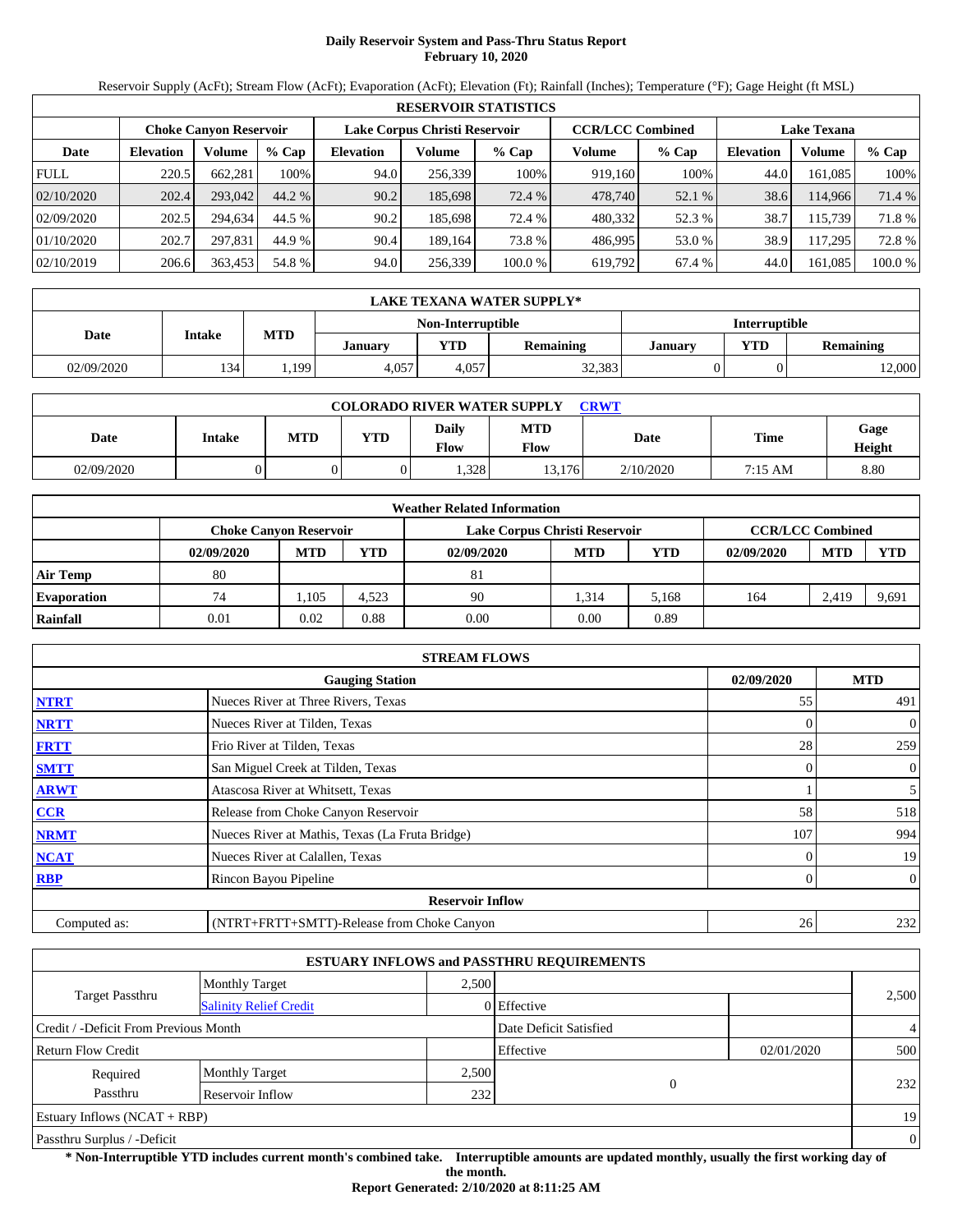# **Daily Reservoir System and Pass-Thru Status Report February 10, 2020**

Reservoir Supply (AcFt); Stream Flow (AcFt); Evaporation (AcFt); Elevation (Ft); Rainfall (Inches); Temperature (°F); Gage Height (ft MSL)

|             | <b>RESERVOIR STATISTICS</b> |                               |         |                               |         |                                               |         |         |                  |         |         |  |  |
|-------------|-----------------------------|-------------------------------|---------|-------------------------------|---------|-----------------------------------------------|---------|---------|------------------|---------|---------|--|--|
|             |                             | <b>Choke Canvon Reservoir</b> |         | Lake Corpus Christi Reservoir |         | <b>CCR/LCC Combined</b><br><b>Lake Texana</b> |         |         |                  |         |         |  |  |
| Date        | <b>Elevation</b>            | Volume                        | $%$ Cap | <b>Elevation</b>              | Volume  | $%$ Cap                                       | Volume  | $%$ Cap | <b>Elevation</b> | Volume  | $%$ Cap |  |  |
| <b>FULL</b> | 220.5                       | 662.281                       | 100%    | 94.0                          | 256,339 | 100%                                          | 919,160 | 100%    | 44.0             | 161.085 | 100%    |  |  |
| 02/10/2020  | 202.4                       | 293,042                       | 44.2 %  | 90.2                          | 185,698 | 72.4 %                                        | 478,740 | 52.1 %  | 38.6             | 114.966 | 71.4 %  |  |  |
| 02/09/2020  | 202.5                       | 294.634                       | 44.5 %  | 90.2                          | 185,698 | 72.4 %                                        | 480,332 | 52.3 %  | 38.7             | 115.739 | 71.8 %  |  |  |
| 01/10/2020  | 202.7                       | 297.831                       | 44.9 %  | 90.4                          | 189.164 | 73.8 %                                        | 486.995 | 53.0 %  | 38.9             | 117,295 | 72.8 %  |  |  |
| 02/10/2019  | 206.6                       | 363,453                       | 54.8 %  | 94.0                          | 256,339 | 100.0%                                        | 619,792 | 67.4 %  | 44.0             | 161,085 | 100.0 % |  |  |

|                                           | LAKE TEXANA WATER SUPPLY* |            |         |       |                  |         |            |                  |  |  |  |
|-------------------------------------------|---------------------------|------------|---------|-------|------------------|---------|------------|------------------|--|--|--|
| <b>Interruptible</b><br>Non-Interruptible |                           |            |         |       |                  |         |            |                  |  |  |  |
| Date                                      | <b>Intake</b>             | <b>MTD</b> | Januarv | VTD   | <b>Remaining</b> | January | <b>YTD</b> | <b>Remaining</b> |  |  |  |
| 02/09/2020                                | 134                       | 1,199      | 4.057   | 4.057 | 32,383           |         |            | 12,000           |  |  |  |

| <b>COLORADO RIVER WATER SUPPLY</b><br><b>CRWT</b> |        |     |            |                               |                    |           |         |                |  |  |
|---------------------------------------------------|--------|-----|------------|-------------------------------|--------------------|-----------|---------|----------------|--|--|
| Date                                              | Intake | MTD | <b>YTD</b> | <b>Daily</b><br>$F_{\rm low}$ | <b>MTD</b><br>Flow | Date      | Time    | Gage<br>Height |  |  |
| 02/09/2020                                        |        |     |            | .328                          | 13.176             | 2/10/2020 | 7:15 AM | 8.80           |  |  |

|                    | <b>Weather Related Information</b> |            |            |                               |                |       |            |                         |            |  |  |  |
|--------------------|------------------------------------|------------|------------|-------------------------------|----------------|-------|------------|-------------------------|------------|--|--|--|
|                    | <b>Choke Canyon Reservoir</b>      |            |            | Lake Corpus Christi Reservoir |                |       |            | <b>CCR/LCC Combined</b> |            |  |  |  |
|                    | 02/09/2020                         | <b>MTD</b> | <b>YTD</b> | 02/09/2020                    | <b>MTD</b>     | YTD   | 02/09/2020 | <b>MTD</b>              | <b>YTD</b> |  |  |  |
| <b>Air Temp</b>    | 80                                 |            |            | 81                            |                |       |            |                         |            |  |  |  |
| <b>Evaporation</b> | 74                                 | .105       | 4,523      | 90                            | 1.314          | 5.168 | 164        | 2.419                   | 9,691      |  |  |  |
| Rainfall           | 0.01                               | 0.02       | 0.88       | 0.00                          | $0.00^{\circ}$ | 0.89  |            |                         |            |  |  |  |

|              | <b>STREAM FLOWS</b>                             |            |                |  |  |  |  |  |
|--------------|-------------------------------------------------|------------|----------------|--|--|--|--|--|
|              | <b>Gauging Station</b>                          | 02/09/2020 | <b>MTD</b>     |  |  |  |  |  |
| <b>NTRT</b>  | Nueces River at Three Rivers, Texas             | 55         | 491            |  |  |  |  |  |
| <b>NRTT</b>  | Nueces River at Tilden, Texas                   |            | $\overline{0}$ |  |  |  |  |  |
| <b>FRTT</b>  | Frio River at Tilden, Texas                     | 28         | 259            |  |  |  |  |  |
| <b>SMTT</b>  | San Miguel Creek at Tilden, Texas               | $\Omega$   | $\overline{0}$ |  |  |  |  |  |
| <b>ARWT</b>  | Atascosa River at Whitsett, Texas               |            | 5 <sup>5</sup> |  |  |  |  |  |
| <b>CCR</b>   | Release from Choke Canyon Reservoir             | 58         | 518            |  |  |  |  |  |
| <b>NRMT</b>  | Nueces River at Mathis, Texas (La Fruta Bridge) | 107        | 994            |  |  |  |  |  |
| <b>NCAT</b>  | Nueces River at Calallen, Texas                 |            | 19             |  |  |  |  |  |
| <b>RBP</b>   | Rincon Bayou Pipeline                           | 0          | $\overline{0}$ |  |  |  |  |  |
|              | <b>Reservoir Inflow</b>                         |            |                |  |  |  |  |  |
| Computed as: | (NTRT+FRTT+SMTT)-Release from Choke Canyon      | 26         | 232            |  |  |  |  |  |

|                                       |                               |       | <b>ESTUARY INFLOWS and PASSTHRU REQUIREMENTS</b> |            |                |
|---------------------------------------|-------------------------------|-------|--------------------------------------------------|------------|----------------|
|                                       | Monthly Target                | 2.500 |                                                  |            |                |
| <b>Target Passthru</b>                | <b>Salinity Relief Credit</b> |       | 0 Effective                                      |            | 2,500          |
| Credit / -Deficit From Previous Month |                               |       | Date Deficit Satisfied                           |            | $\overline{4}$ |
| <b>Return Flow Credit</b>             |                               |       | Effective                                        | 02/01/2020 | 500            |
| Required                              | <b>Monthly Target</b>         | 2,500 |                                                  |            |                |
| Passthru                              | Reservoir Inflow              | 232   | $\Omega$                                         |            | 232            |
| Estuary Inflows $(NCAT + RBP)$        |                               |       |                                                  |            | 19             |
| Passthru Surplus / -Deficit           |                               |       |                                                  |            | $\overline{0}$ |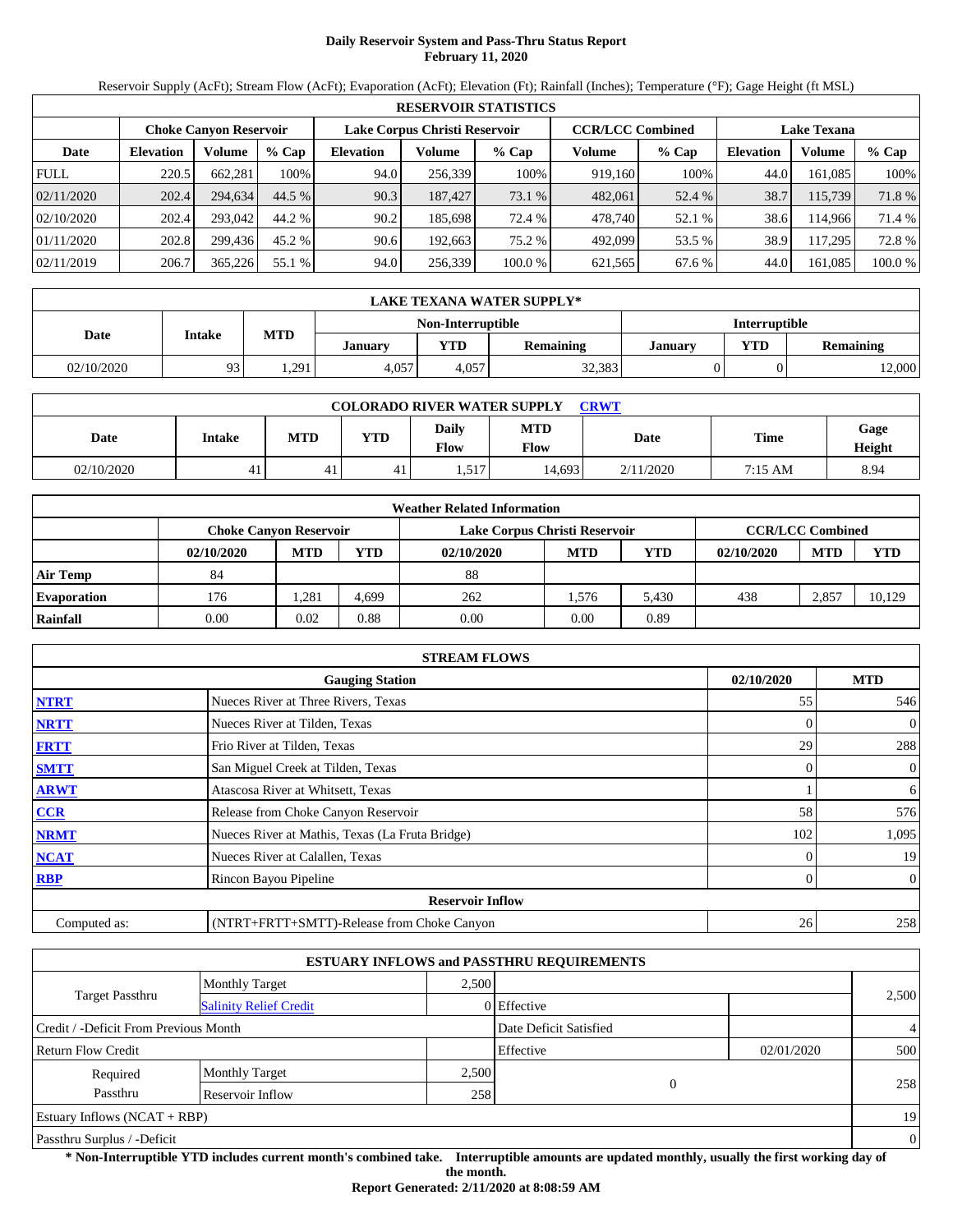# **Daily Reservoir System and Pass-Thru Status Report February 11, 2020**

Reservoir Supply (AcFt); Stream Flow (AcFt); Evaporation (AcFt); Elevation (Ft); Rainfall (Inches); Temperature (°F); Gage Height (ft MSL)

|             | <b>RESERVOIR STATISTICS</b> |                               |         |                  |                               |         |                         |         |                    |         |        |  |  |
|-------------|-----------------------------|-------------------------------|---------|------------------|-------------------------------|---------|-------------------------|---------|--------------------|---------|--------|--|--|
|             |                             | <b>Choke Canvon Reservoir</b> |         |                  | Lake Corpus Christi Reservoir |         | <b>CCR/LCC Combined</b> |         | <b>Lake Texana</b> |         |        |  |  |
| Date        | <b>Elevation</b>            | Volume                        | $%$ Cap | <b>Elevation</b> | Volume                        | $%$ Cap | Volume                  | $%$ Cap | <b>Elevation</b>   | Volume  | % Cap  |  |  |
| <b>FULL</b> | 220.5                       | 662.281                       | 100%    | 94.0             | 256,339                       | 100%    | 919.160                 | 100%    | 44.0               | 161.085 | 100%   |  |  |
| 02/11/2020  | 202.4                       | 294,634                       | 44.5 %  | 90.3             | 187,427                       | 73.1 %  | 482,061                 | 52.4 %  | 38.7               | 115,739 | 71.8 % |  |  |
| 02/10/2020  | 202.4                       | 293,042                       | 44.2 %  | 90.2             | 185,698                       | 72.4 %  | 478,740                 | 52.1 %  | 38.6               | 114.966 | 71.4 % |  |  |
| 01/11/2020  | 202.8                       | 299.436                       | 45.2 %  | 90.6             | 192.663                       | 75.2 %  | 492,099                 | 53.5 %  | 38.9               | 117.295 | 72.8 % |  |  |
| 02/11/2019  | 206.7                       | 365,226                       | 55.1 %  | 94.0             | 256,339                       | 100.0%  | 621,565                 | 67.6 %  | 44.0               | 161,085 | 100.0% |  |  |

|            | LAKE TEXANA WATER SUPPLY* |       |         |                   |                  |                |                      |           |  |  |  |
|------------|---------------------------|-------|---------|-------------------|------------------|----------------|----------------------|-----------|--|--|--|
|            |                           |       |         | Non-Interruptible |                  |                | <b>Interruptible</b> |           |  |  |  |
| Date       | <b>Intake</b>             | MTD   | Januarv | VTD               | <b>Remaining</b> | <b>January</b> | <b>VTD</b>           | Remaining |  |  |  |
| 02/10/2020 | Q <sub>3</sub><br>,,,,    | 1,291 | 4.057   | 4.057             | 32,383           |                |                      | 12,000    |  |  |  |

| <b>COLORADO RIVER WATER SUPPLY</b><br><b>CRWT</b> |        |     |            |                             |                    |           |         |                |  |  |  |
|---------------------------------------------------|--------|-----|------------|-----------------------------|--------------------|-----------|---------|----------------|--|--|--|
| Date                                              | Intake | MTD | <b>YTD</b> | <b>Daily</b><br><b>Flow</b> | <b>MTD</b><br>Flow | Date      | Time    | Gage<br>Height |  |  |  |
| 02/10/2020                                        | 4,     | 41  | 41         | 517<br>1.J 1                | 14.693             | 2/11/2020 | 7:15 AM | 8.94           |  |  |  |

|                    | <b>Weather Related Information</b>                                                        |            |       |            |            |       |            |            |            |  |  |  |
|--------------------|-------------------------------------------------------------------------------------------|------------|-------|------------|------------|-------|------------|------------|------------|--|--|--|
|                    | <b>CCR/LCC Combined</b><br>Lake Corpus Christi Reservoir<br><b>Choke Canvon Reservoir</b> |            |       |            |            |       |            |            |            |  |  |  |
|                    | 02/10/2020                                                                                | <b>MTD</b> | YTD   | 02/10/2020 | <b>MTD</b> | YTD   | 02/10/2020 | <b>MTD</b> | <b>YTD</b> |  |  |  |
| <b>Air Temp</b>    | 84                                                                                        |            |       | 88         |            |       |            |            |            |  |  |  |
| <b>Evaporation</b> | 176                                                                                       | .281       | 4.699 | 262        | . 576      | 5.430 | 438        | 2,857      | 10,129     |  |  |  |
| Rainfall           | 0.00                                                                                      | 0.02       | 0.88  | 0.00       | 0.00       | 0.89  |            |            |            |  |  |  |

|              | <b>STREAM FLOWS</b>                             |            |                |
|--------------|-------------------------------------------------|------------|----------------|
|              | <b>Gauging Station</b>                          | 02/10/2020 | <b>MTD</b>     |
| <b>NTRT</b>  | Nueces River at Three Rivers, Texas             | 55         | 546            |
| <b>NRTT</b>  | Nueces River at Tilden, Texas                   |            | $\overline{0}$ |
| <b>FRTT</b>  | Frio River at Tilden, Texas                     | 29         | 288            |
| <b>SMTT</b>  | San Miguel Creek at Tilden, Texas               | $\Omega$   | $\overline{0}$ |
| <b>ARWT</b>  | Atascosa River at Whitsett, Texas               |            | 6              |
| <b>CCR</b>   | Release from Choke Canyon Reservoir             | 58         | 576            |
| <b>NRMT</b>  | Nueces River at Mathis, Texas (La Fruta Bridge) | 102        | 1,095          |
| <b>NCAT</b>  | Nueces River at Calallen, Texas                 |            | 19             |
| <b>RBP</b>   | Rincon Bayou Pipeline                           | 0          | $\overline{0}$ |
|              | <b>Reservoir Inflow</b>                         |            |                |
| Computed as: | (NTRT+FRTT+SMTT)-Release from Choke Canyon      | 26         | 258            |

|                                       |                               |       | <b>ESTUARY INFLOWS and PASSTHRU REQUIREMENTS</b> |            |                |
|---------------------------------------|-------------------------------|-------|--------------------------------------------------|------------|----------------|
|                                       | <b>Monthly Target</b>         | 2.500 |                                                  |            |                |
| <b>Target Passthru</b>                | <b>Salinity Relief Credit</b> |       | 0 Effective                                      |            | 2,500          |
| Credit / -Deficit From Previous Month |                               |       | Date Deficit Satisfied                           |            | $\overline{4}$ |
| <b>Return Flow Credit</b>             |                               |       | Effective                                        | 02/01/2020 | 500            |
| Required                              | <b>Monthly Target</b>         | 2,500 |                                                  |            |                |
| Passthru                              | Reservoir Inflow              | 258   | $\theta$                                         |            | 258            |
| Estuary Inflows $(NCAT + RBP)$        |                               |       |                                                  |            | 19             |
| Passthru Surplus / -Deficit           |                               |       |                                                  |            | $\overline{0}$ |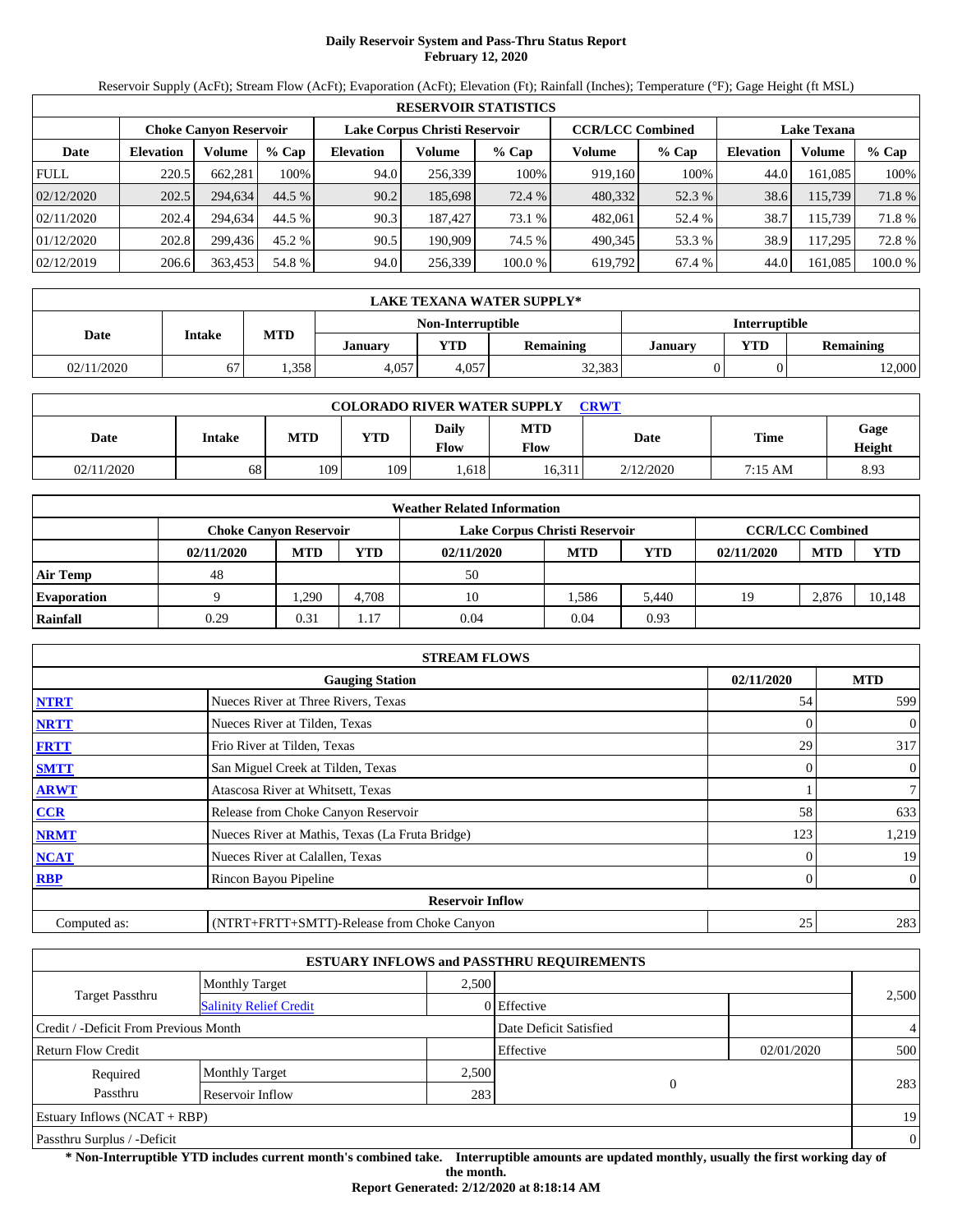# **Daily Reservoir System and Pass-Thru Status Report February 12, 2020**

Reservoir Supply (AcFt); Stream Flow (AcFt); Evaporation (AcFt); Elevation (Ft); Rainfall (Inches); Temperature (°F); Gage Height (ft MSL)

|             | <b>RESERVOIR STATISTICS</b> |                               |         |                  |                               |         |         |                         |                    |         |         |  |  |
|-------------|-----------------------------|-------------------------------|---------|------------------|-------------------------------|---------|---------|-------------------------|--------------------|---------|---------|--|--|
|             |                             | <b>Choke Canvon Reservoir</b> |         |                  | Lake Corpus Christi Reservoir |         |         | <b>CCR/LCC Combined</b> | <b>Lake Texana</b> |         |         |  |  |
| Date        | <b>Elevation</b>            | Volume                        | $%$ Cap | <b>Elevation</b> | Volume                        | $%$ Cap | Volume  | $%$ Cap                 | <b>Elevation</b>   | Volume  | % Cap   |  |  |
| <b>FULL</b> | 220.5                       | 662.281                       | 100%    | 94.0             | 256,339                       | 100%    | 919,160 | 100%                    | 44.0               | 161.085 | 100%    |  |  |
| 02/12/2020  | 202.5                       | 294,634                       | 44.5 %  | 90.2             | 185,698                       | 72.4 %  | 480,332 | 52.3 %                  | 38.6               | 115,739 | 71.8 %  |  |  |
| 02/11/2020  | 202.4                       | 294.634                       | 44.5 %  | 90.3             | 187,427                       | 73.1 %  | 482,061 | 52.4 %                  | 38.7               | 115.739 | 71.8 %  |  |  |
| 01/12/2020  | 202.8                       | 299.436                       | 45.2 %  | 90.5             | 190.909                       | 74.5 %  | 490.345 | 53.3 %                  | 38.9               | 117,295 | 72.8 %  |  |  |
| 02/12/2019  | 206.6                       | 363,453                       | 54.8 %  | 94.0             | 256,339                       | 100.0%  | 619,792 | 67.4 %                  | 44.0               | 161,085 | 100.0 % |  |  |

|                                           | LAKE TEXANA WATER SUPPLY* |            |         |       |           |                |            |                  |  |  |  |
|-------------------------------------------|---------------------------|------------|---------|-------|-----------|----------------|------------|------------------|--|--|--|
| <b>Interruptible</b><br>Non-Interruptible |                           |            |         |       |           |                |            |                  |  |  |  |
| Date                                      | <b>Intake</b>             | <b>MTD</b> | Januarv | YTD   | Remaining | <b>January</b> | <b>YTD</b> | <b>Remaining</b> |  |  |  |
| 02/11/2020                                |                           | .358       | 4.057   | 4.057 | 32,383    |                |            | 12,000           |  |  |  |

| <b>COLORADO RIVER WATER SUPPLY</b><br><b>CRWT</b> |        |            |            |                      |                    |           |             |                |  |  |  |
|---------------------------------------------------|--------|------------|------------|----------------------|--------------------|-----------|-------------|----------------|--|--|--|
| Date                                              | Intake | <b>MTD</b> | <b>YTD</b> | Daily<br><b>Flow</b> | <b>MTD</b><br>Flow | Date      | <b>Time</b> | Gage<br>Height |  |  |  |
| 02/11/2020                                        | 68     | 109        | 109        | .618                 | 16.311             | 2/12/2020 | 7:15 AM     | 8.93           |  |  |  |

|                    | <b>Weather Related Information</b> |                                                                                           |       |            |            |       |            |            |            |  |  |  |
|--------------------|------------------------------------|-------------------------------------------------------------------------------------------|-------|------------|------------|-------|------------|------------|------------|--|--|--|
|                    |                                    | <b>CCR/LCC Combined</b><br>Lake Corpus Christi Reservoir<br><b>Choke Canyon Reservoir</b> |       |            |            |       |            |            |            |  |  |  |
|                    | 02/11/2020                         | <b>MTD</b>                                                                                | YTD   | 02/11/2020 | <b>MTD</b> | YTD   | 02/11/2020 | <b>MTD</b> | <b>YTD</b> |  |  |  |
| <b>Air Temp</b>    | 48                                 |                                                                                           |       | 50         |            |       |            |            |            |  |  |  |
| <b>Evaporation</b> |                                    | .290                                                                                      | 4.708 | 10         | 1.586      | 5,440 | 19         | 2,876      | 10,148     |  |  |  |
| Rainfall           | 0.29                               | 0.31                                                                                      | 1.17  | 0.04       | 0.04       | 0.93  |            |            |            |  |  |  |

|              | <b>STREAM FLOWS</b>                             |            |                |
|--------------|-------------------------------------------------|------------|----------------|
|              | <b>Gauging Station</b>                          | 02/11/2020 | <b>MTD</b>     |
| <b>NTRT</b>  | Nueces River at Three Rivers, Texas             | 54         | 599            |
| <b>NRTT</b>  | Nueces River at Tilden, Texas                   | $\Omega$   | $\overline{0}$ |
| <b>FRTT</b>  | Frio River at Tilden, Texas                     | 29         | 317            |
| <b>SMTT</b>  | San Miguel Creek at Tilden, Texas               | $\Omega$   | $\overline{0}$ |
| <b>ARWT</b>  | Atascosa River at Whitsett, Texas               |            | $\tau$         |
| <b>CCR</b>   | Release from Choke Canyon Reservoir             | 58         | 633            |
| <b>NRMT</b>  | Nueces River at Mathis, Texas (La Fruta Bridge) | 123        | 1,219          |
| <b>NCAT</b>  | Nueces River at Calallen, Texas                 |            | 19             |
| <b>RBP</b>   | Rincon Bayou Pipeline                           | $\Omega$   | $\overline{0}$ |
|              | <b>Reservoir Inflow</b>                         |            |                |
| Computed as: | (NTRT+FRTT+SMTT)-Release from Choke Canyon      | 25         | 283            |

|                                       |                               |       | <b>ESTUARY INFLOWS and PASSTHRU REQUIREMENTS</b> |            |                |
|---------------------------------------|-------------------------------|-------|--------------------------------------------------|------------|----------------|
|                                       | <b>Monthly Target</b>         | 2.500 |                                                  |            |                |
| Target Passthru                       | <b>Salinity Relief Credit</b> |       | 0 Effective                                      |            | 2,500          |
| Credit / -Deficit From Previous Month |                               |       | Date Deficit Satisfied                           |            | $\overline{4}$ |
| <b>Return Flow Credit</b>             |                               |       | Effective                                        | 02/01/2020 | 500            |
| Required                              | <b>Monthly Target</b>         | 2,500 |                                                  |            |                |
| Passthru                              | Reservoir Inflow              | 283   | $\Omega$                                         |            | 283            |
| Estuary Inflows $(NCAT + RBP)$        |                               |       |                                                  |            | 19             |
| Passthru Surplus / -Deficit           |                               |       |                                                  |            | $\theta$       |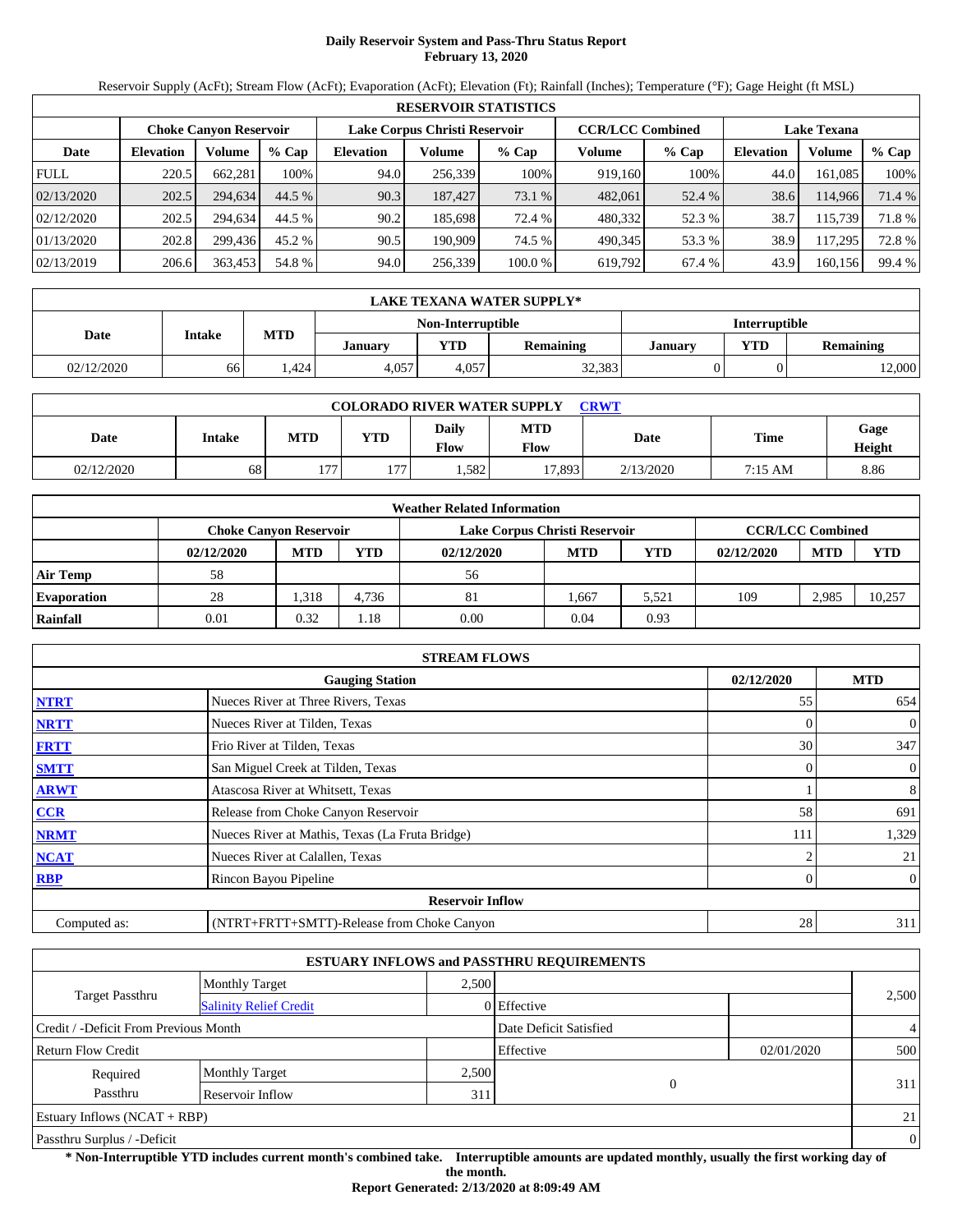# **Daily Reservoir System and Pass-Thru Status Report February 13, 2020**

Reservoir Supply (AcFt); Stream Flow (AcFt); Evaporation (AcFt); Elevation (Ft); Rainfall (Inches); Temperature (°F); Gage Height (ft MSL)

|             | <b>RESERVOIR STATISTICS</b> |                               |         |                               |         |         |                         |         |                    |         |        |  |  |
|-------------|-----------------------------|-------------------------------|---------|-------------------------------|---------|---------|-------------------------|---------|--------------------|---------|--------|--|--|
|             |                             | <b>Choke Canvon Reservoir</b> |         | Lake Corpus Christi Reservoir |         |         | <b>CCR/LCC Combined</b> |         | <b>Lake Texana</b> |         |        |  |  |
| Date        | <b>Elevation</b>            | <b>Volume</b>                 | $%$ Cap | <b>Elevation</b>              | Volume  | $%$ Cap | Volume                  | $%$ Cap | <b>Elevation</b>   | Volume  | % Cap  |  |  |
| <b>FULL</b> | 220.5                       | 662.281                       | 100%    | 94.0                          | 256,339 | 100%    | 919.160                 | 100%    | 44.0               | 161.085 | 100%   |  |  |
| 02/13/2020  | 202.5                       | 294.634                       | 44.5 %  | 90.3                          | 187.427 | 73.1 %  | 482,061                 | 52.4 %  | 38.6               | 114.966 | 71.4 % |  |  |
| 02/12/2020  | 202.5                       | 294.634                       | 44.5 %  | 90.2                          | 185,698 | 72.4 %  | 480,332                 | 52.3 %  | 38.7               | 115.739 | 71.8%  |  |  |
| 01/13/2020  | 202.8                       | 299.436                       | 45.2 %  | 90.5                          | 190.909 | 74.5 %  | 490.345                 | 53.3 %  | 38.9               | 117.295 | 72.8%  |  |  |
| 02/13/2019  | 206.6                       | 363,453                       | 54.8 %  | 94.0                          | 256,339 | 100.0%  | 619,792                 | 67.4 %  | 43.9               | 160,156 | 99.4 % |  |  |

|            | LAKE TEXANA WATER SUPPLY* |            |                                           |       |                  |                |            |                  |  |  |
|------------|---------------------------|------------|-------------------------------------------|-------|------------------|----------------|------------|------------------|--|--|
|            |                           |            | <b>Interruptible</b><br>Non-Interruptible |       |                  |                |            |                  |  |  |
| Date       | <b>Intake</b>             | <b>MTD</b> | Januarv                                   | VTD   | <b>Remaining</b> | <b>January</b> | <b>VTD</b> | <b>Remaining</b> |  |  |
| 02/12/2020 | 66                        | .424       | 4.057                                     | 4.057 | 32,383           |                |            | 12,000           |  |  |

| <b>COLORADO RIVER WATER SUPPLY</b><br><b>CRWT</b> |        |            |            |                        |                    |           |         |                |  |  |  |
|---------------------------------------------------|--------|------------|------------|------------------------|--------------------|-----------|---------|----------------|--|--|--|
| Date                                              | Intake | <b>MTD</b> | <b>YTD</b> | Daily<br>$F_{\rm low}$ | <b>MTD</b><br>Flow | Date      | Time    | Gage<br>Height |  |  |  |
| 02/12/2020                                        | 68     | 77         | $1 - 1$    | .582                   | 17.893             | 2/13/2020 | 7:15 AM | 8.86           |  |  |  |

|                    | <b>Weather Related Information</b> |                                                                                           |       |            |            |            |            |            |            |  |  |  |
|--------------------|------------------------------------|-------------------------------------------------------------------------------------------|-------|------------|------------|------------|------------|------------|------------|--|--|--|
|                    |                                    | <b>CCR/LCC Combined</b><br>Lake Corpus Christi Reservoir<br><b>Choke Canvon Reservoir</b> |       |            |            |            |            |            |            |  |  |  |
|                    | 02/12/2020                         | <b>MTD</b>                                                                                | YTD   | 02/12/2020 | <b>MTD</b> | <b>YTD</b> | 02/12/2020 | <b>MTD</b> | <b>YTD</b> |  |  |  |
| <b>Air Temp</b>    | 58                                 |                                                                                           |       | 56         |            |            |            |            |            |  |  |  |
| <b>Evaporation</b> | 28                                 | 1,318                                                                                     | 4.736 | 81         | 1,667      | 5,521      | 109        | 2,985      | 10,257     |  |  |  |
| Rainfall           | 0.01                               | 0.32                                                                                      | .18   | 0.00       | 0.04       | 0.93       |            |            |            |  |  |  |

|              | <b>STREAM FLOWS</b>                             |                |                |
|--------------|-------------------------------------------------|----------------|----------------|
|              | <b>Gauging Station</b>                          | 02/12/2020     | <b>MTD</b>     |
| <b>NTRT</b>  | Nueces River at Three Rivers, Texas             | 55             | 654            |
| <b>NRTT</b>  | Nueces River at Tilden, Texas                   |                | $\mathbf{0}$   |
| <b>FRTT</b>  | Frio River at Tilden, Texas                     | 30             | 347            |
| <b>SMTT</b>  | San Miguel Creek at Tilden, Texas               | $\overline{0}$ | $\mathbf{0}$   |
| <b>ARWT</b>  | Atascosa River at Whitsett, Texas               |                | 8              |
| <b>CCR</b>   | Release from Choke Canyon Reservoir             | 58             | 691            |
| <b>NRMT</b>  | Nueces River at Mathis, Texas (La Fruta Bridge) | 111            | 1,329          |
| <b>NCAT</b>  | Nueces River at Calallen, Texas                 |                | 21             |
| <b>RBP</b>   | Rincon Bayou Pipeline                           |                | $\overline{0}$ |
|              | <b>Reservoir Inflow</b>                         |                |                |
| Computed as: | (NTRT+FRTT+SMTT)-Release from Choke Canyon      | 28             | 311            |

|                                       |                               |       | <b>ESTUARY INFLOWS and PASSTHRU REQUIREMENTS</b> |            |                |
|---------------------------------------|-------------------------------|-------|--------------------------------------------------|------------|----------------|
|                                       | <b>Monthly Target</b>         | 2,500 |                                                  |            |                |
| <b>Target Passthru</b>                | <b>Salinity Relief Credit</b> |       | 0 Effective                                      |            | 2,500          |
| Credit / -Deficit From Previous Month |                               |       | Date Deficit Satisfied                           |            | $\overline{4}$ |
| <b>Return Flow Credit</b>             |                               |       | Effective                                        | 02/01/2020 | 500            |
| Required                              | <b>Monthly Target</b>         | 2,500 |                                                  |            |                |
| Passthru                              | Reservoir Inflow              | 311   | $\overline{0}$                                   |            | 311            |
| Estuary Inflows $(NCAT + RBP)$        |                               |       |                                                  |            | 21             |
| Passthru Surplus / -Deficit           |                               |       |                                                  |            | $\theta$       |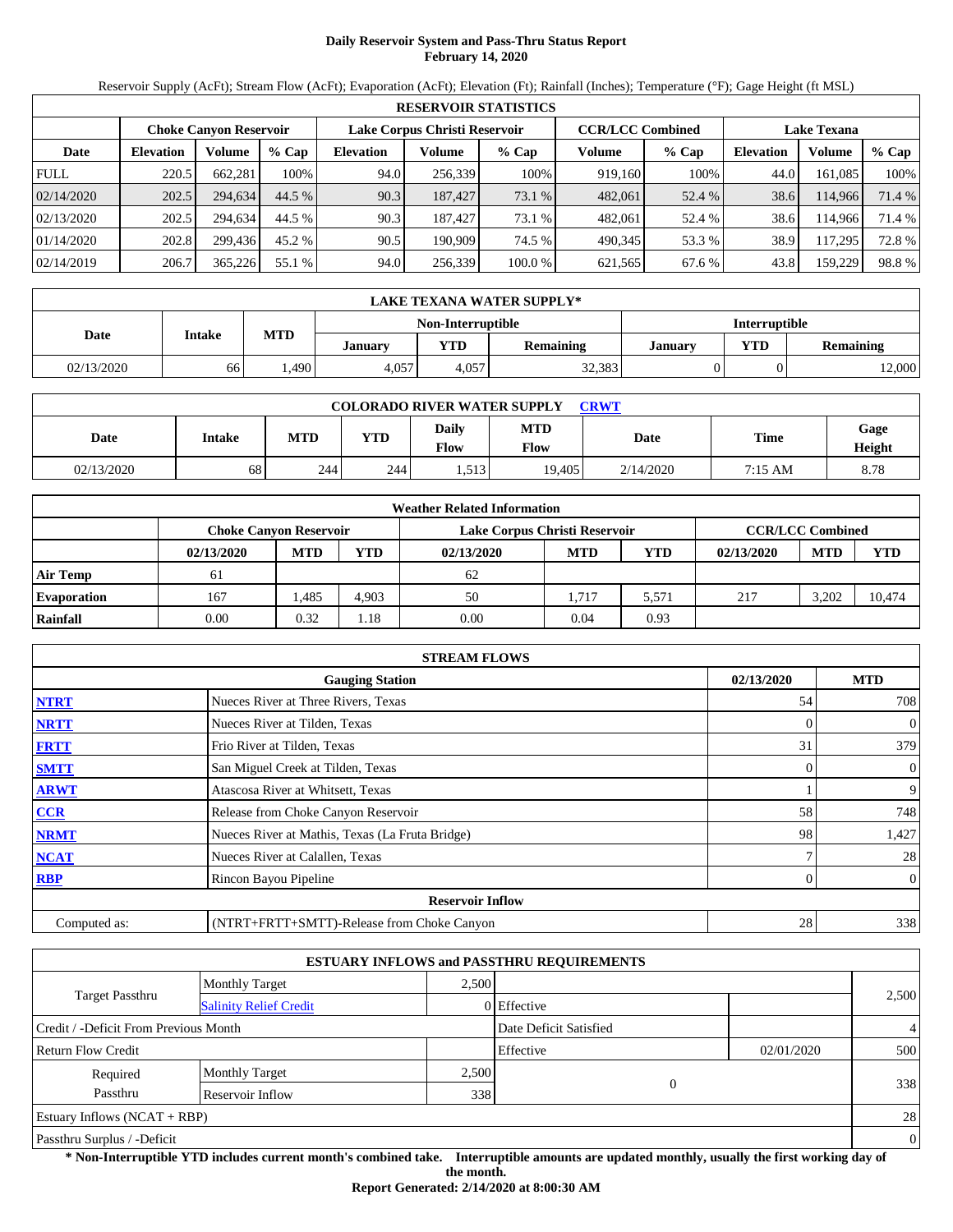# **Daily Reservoir System and Pass-Thru Status Report February 14, 2020**

Reservoir Supply (AcFt); Stream Flow (AcFt); Evaporation (AcFt); Elevation (Ft); Rainfall (Inches); Temperature (°F); Gage Height (ft MSL)

|             | <b>RESERVOIR STATISTICS</b> |                               |         |                               |         |         |                         |         |                    |         |        |  |  |
|-------------|-----------------------------|-------------------------------|---------|-------------------------------|---------|---------|-------------------------|---------|--------------------|---------|--------|--|--|
|             |                             | <b>Choke Canvon Reservoir</b> |         | Lake Corpus Christi Reservoir |         |         | <b>CCR/LCC Combined</b> |         | <b>Lake Texana</b> |         |        |  |  |
| Date        | <b>Elevation</b>            | <b>Volume</b>                 | $%$ Cap | <b>Elevation</b>              | Volume  | $%$ Cap | Volume                  | $%$ Cap | <b>Elevation</b>   | Volume  | % Cap  |  |  |
| <b>FULL</b> | 220.5                       | 662.281                       | 100%    | 94.0                          | 256,339 | 100%    | 919.160                 | 100%    | 44.0               | 161.085 | 100%   |  |  |
| 02/14/2020  | 202.5                       | 294.634                       | 44.5 %  | 90.3                          | 187.427 | 73.1 %  | 482,061                 | 52.4 %  | 38.6               | 114.966 | 71.4 % |  |  |
| 02/13/2020  | 202.5                       | 294.634                       | 44.5 %  | 90.3                          | 187.427 | 73.1 %  | 482,061                 | 52.4 %  | 38.6               | 114.966 | 71.4 % |  |  |
| 01/14/2020  | 202.8                       | 299.436                       | 45.2 %  | 90.5                          | 190.909 | 74.5 %  | 490.345                 | 53.3 %  | 38.9               | 117.295 | 72.8%  |  |  |
| 02/14/2019  | 206.7                       | 365,226                       | 55.1 %  | 94.0                          | 256,339 | 100.0%  | 621,565                 | 67.6 %  | 43.8               | 159,229 | 98.8%  |  |  |

|            | LAKE TEXANA WATER SUPPLY* |            |                                           |       |                  |                |            |           |  |  |
|------------|---------------------------|------------|-------------------------------------------|-------|------------------|----------------|------------|-----------|--|--|
|            |                           |            | <b>Interruptible</b><br>Non-Interruptible |       |                  |                |            |           |  |  |
| Date       | <b>Intake</b>             | <b>MTD</b> | Januarv                                   | VTD   | <b>Remaining</b> | <b>January</b> | <b>VTD</b> | Remaining |  |  |
| 02/13/2020 | 66                        | 1.490      | 4.057                                     | 4.057 | 32,383           |                |            | 12,000    |  |  |

| <b>COLORADO RIVER WATER SUPPLY</b><br><b>CRWT</b> |        |            |            |                        |                    |           |             |                |  |  |
|---------------------------------------------------|--------|------------|------------|------------------------|--------------------|-----------|-------------|----------------|--|--|
| Date                                              | Intake | <b>MTD</b> | <b>YTD</b> | Daily<br>$F_{\rm low}$ | <b>MTD</b><br>Flow | Date      | <b>Time</b> | Gage<br>Height |  |  |
| 02/13/2020                                        | 68     | 244        | 244        | 1,513                  | 19.405             | 2/14/2020 | 7:15 AM     | 8.78           |  |  |

|                    | <b>Weather Related Information</b> |                                                                                           |            |            |            |            |            |            |            |  |  |  |
|--------------------|------------------------------------|-------------------------------------------------------------------------------------------|------------|------------|------------|------------|------------|------------|------------|--|--|--|
|                    |                                    | <b>CCR/LCC Combined</b><br>Lake Corpus Christi Reservoir<br><b>Choke Canvon Reservoir</b> |            |            |            |            |            |            |            |  |  |  |
|                    | 02/13/2020                         | <b>MTD</b>                                                                                | <b>YTD</b> | 02/13/2020 | <b>MTD</b> | <b>YTD</b> | 02/13/2020 | <b>MTD</b> | <b>YTD</b> |  |  |  |
| <b>Air Temp</b>    | 61                                 |                                                                                           |            | 62         |            |            |            |            |            |  |  |  |
| <b>Evaporation</b> | 167                                | . 485                                                                                     | 4,903      | 50         | 1.717      | 5,571      | 217        | 3,202      | 10.474     |  |  |  |
| Rainfall           | $0.00\,$                           | 0.32                                                                                      | .18        | 0.00       | 0.04       | 0.93       |            |            |            |  |  |  |

|              | <b>STREAM FLOWS</b>                             |                 |                |
|--------------|-------------------------------------------------|-----------------|----------------|
|              | <b>Gauging Station</b>                          | 02/13/2020      | <b>MTD</b>     |
| <b>NTRT</b>  | Nueces River at Three Rivers, Texas             | 54              | 708            |
| <b>NRTT</b>  | Nueces River at Tilden, Texas                   | $\Omega$        | $\overline{0}$ |
| <b>FRTT</b>  | Frio River at Tilden, Texas                     | 31              | 379            |
| <b>SMTT</b>  | San Miguel Creek at Tilden, Texas               | $\Omega$        | $\overline{0}$ |
| <b>ARWT</b>  | Atascosa River at Whitsett, Texas               |                 | 9              |
| <b>CCR</b>   | Release from Choke Canyon Reservoir             | 58              | 748            |
| <b>NRMT</b>  | Nueces River at Mathis, Texas (La Fruta Bridge) | 98              | 1,427          |
| <b>NCAT</b>  | Nueces River at Calallen, Texas                 |                 | 28             |
| <b>RBP</b>   | Rincon Bayou Pipeline                           | 0               | $\overline{0}$ |
|              | <b>Reservoir Inflow</b>                         |                 |                |
| Computed as: | (NTRT+FRTT+SMTT)-Release from Choke Canyon      | 28 <sub>1</sub> | 338            |

|                                       |                               |       | <b>ESTUARY INFLOWS and PASSTHRU REQUIREMENTS</b> |            |                |
|---------------------------------------|-------------------------------|-------|--------------------------------------------------|------------|----------------|
|                                       | <b>Monthly Target</b>         | 2.500 |                                                  |            |                |
| Target Passthru                       | <b>Salinity Relief Credit</b> |       | 0 Effective                                      |            | 2,500          |
| Credit / -Deficit From Previous Month |                               |       | Date Deficit Satisfied                           |            | $\overline{4}$ |
| <b>Return Flow Credit</b>             |                               |       | Effective                                        | 02/01/2020 | 500            |
| Required                              | <b>Monthly Target</b>         | 2,500 |                                                  |            |                |
| Passthru                              | Reservoir Inflow              | 338   | $\Omega$                                         |            | 338            |
| Estuary Inflows $(NCAT + RBP)$        |                               |       |                                                  |            | 28             |
| Passthru Surplus / -Deficit           |                               |       |                                                  |            | $\theta$       |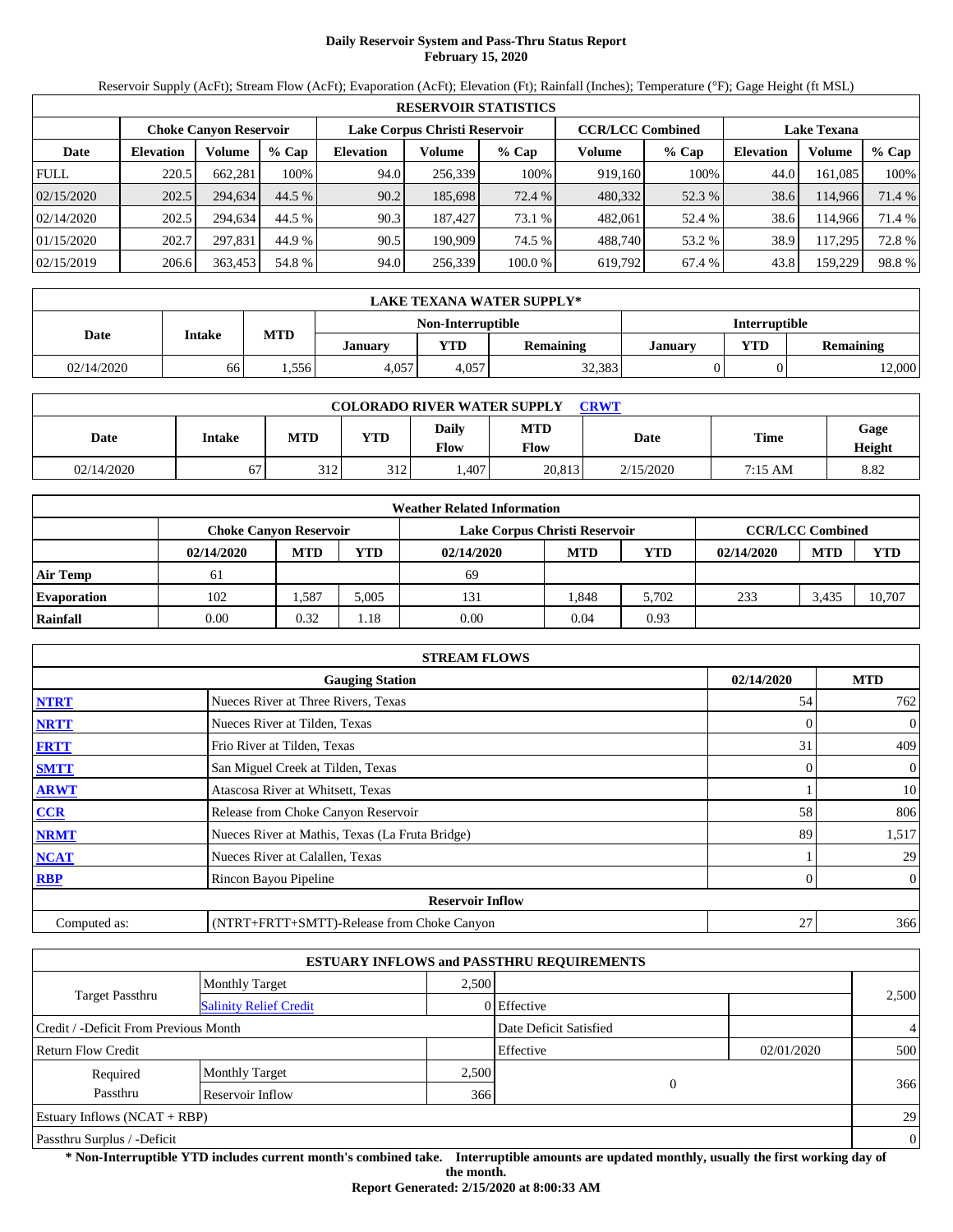# **Daily Reservoir System and Pass-Thru Status Report February 15, 2020**

Reservoir Supply (AcFt); Stream Flow (AcFt); Evaporation (AcFt); Elevation (Ft); Rainfall (Inches); Temperature (°F); Gage Height (ft MSL)

|             | <b>RESERVOIR STATISTICS</b> |                               |         |                               |         |         |                         |         |                    |         |        |  |  |
|-------------|-----------------------------|-------------------------------|---------|-------------------------------|---------|---------|-------------------------|---------|--------------------|---------|--------|--|--|
|             |                             | <b>Choke Canvon Reservoir</b> |         | Lake Corpus Christi Reservoir |         |         | <b>CCR/LCC Combined</b> |         | <b>Lake Texana</b> |         |        |  |  |
| Date        | <b>Elevation</b>            | <b>Volume</b>                 | $%$ Cap | <b>Elevation</b>              | Volume  | $%$ Cap | Volume                  | $%$ Cap | <b>Elevation</b>   | Volume  | % Cap  |  |  |
| <b>FULL</b> | 220.5                       | 662.281                       | 100%    | 94.0                          | 256,339 | 100%    | 919.160                 | 100%    | 44.0               | 161.085 | 100%   |  |  |
| 02/15/2020  | 202.5                       | 294,634                       | 44.5 %  | 90.2                          | 185,698 | 72.4 %  | 480,332                 | 52.3 %  | 38.6               | 114.966 | 71.4 % |  |  |
| 02/14/2020  | 202.5                       | 294.634                       | 44.5 %  | 90.3                          | 187.427 | 73.1 %  | 482.061                 | 52.4 %  | 38.6               | 114.966 | 71.4 % |  |  |
| 01/15/2020  | 202.7                       | 297.831                       | 44.9 %  | 90.5                          | 190.909 | 74.5 %  | 488.740                 | 53.2 %  | 38.9               | 117.295 | 72.8%  |  |  |
| 02/15/2019  | 206.6                       | 363,453                       | 54.8 %  | 94.0                          | 256,339 | 100.0%  | 619,792                 | 67.4 %  | 43.8               | 159,229 | 98.8%  |  |  |

|            | LAKE TEXANA WATER SUPPLY* |                                           |         |       |                  |                |            |                  |  |  |
|------------|---------------------------|-------------------------------------------|---------|-------|------------------|----------------|------------|------------------|--|--|
|            |                           | <b>Interruptible</b><br>Non-Interruptible |         |       |                  |                |            |                  |  |  |
| Date       | <b>Intake</b>             | <b>MTD</b>                                | Januarv | VTD-  | <b>Remaining</b> | <b>January</b> | <b>VTD</b> | <b>Remaining</b> |  |  |
| 02/14/2020 | 66                        | 1.556                                     | 4.057   | 4.057 | 32,383           |                |            | 12,000           |  |  |

| <b>COLORADO RIVER WATER SUPPLY</b><br><b>CRWT</b> |        |     |            |                             |                    |           |         |                |  |  |  |
|---------------------------------------------------|--------|-----|------------|-----------------------------|--------------------|-----------|---------|----------------|--|--|--|
| Date                                              | Intake | MTD | <b>YTD</b> | <b>Daily</b><br><b>Flow</b> | <b>MTD</b><br>Flow | Date      | Time    | Gage<br>Height |  |  |  |
| 02/14/2020                                        | 67     | 312 | 312        | .407                        | 20.813             | 2/15/2020 | 7:15 AM | 8.82           |  |  |  |

|                    | <b>Weather Related Information</b> |                                                                                           |            |            |            |       |            |            |            |  |  |
|--------------------|------------------------------------|-------------------------------------------------------------------------------------------|------------|------------|------------|-------|------------|------------|------------|--|--|
|                    |                                    | <b>CCR/LCC Combined</b><br>Lake Corpus Christi Reservoir<br><b>Choke Canyon Reservoir</b> |            |            |            |       |            |            |            |  |  |
|                    | 02/14/2020                         | <b>MTD</b>                                                                                | <b>YTD</b> | 02/14/2020 | <b>MTD</b> | YTD   | 02/14/2020 | <b>MTD</b> | <b>YTD</b> |  |  |
| <b>Air Temp</b>    | 61                                 |                                                                                           |            | 69         |            |       |            |            |            |  |  |
| <b>Evaporation</b> | 102                                | .587                                                                                      | 5.005      | 131        | .848       | 5.702 | 233        | 3.435      | 10.707     |  |  |
| Rainfall           | 0.00                               | 0.32                                                                                      | 1.18       | 0.00       | 0.04       | 0.93  |            |            |            |  |  |

|              | <b>STREAM FLOWS</b>                             |            |                          |
|--------------|-------------------------------------------------|------------|--------------------------|
|              | <b>Gauging Station</b>                          | 02/14/2020 | <b>MTD</b>               |
| <b>NTRT</b>  | Nueces River at Three Rivers, Texas             | 54         | 762                      |
| <b>NRTT</b>  | Nueces River at Tilden, Texas                   |            | $\mathbf{0}$<br>0        |
| <b>FRTT</b>  | Frio River at Tilden, Texas                     | 31         | 409                      |
| <b>SMTT</b>  | San Miguel Creek at Tilden, Texas               |            | $\mathbf{0}$<br>$\Omega$ |
| <b>ARWT</b>  | Atascosa River at Whitsett, Texas               |            | 10                       |
| <b>CCR</b>   | Release from Choke Canyon Reservoir             | 58         | 806                      |
| <b>NRMT</b>  | Nueces River at Mathis, Texas (La Fruta Bridge) | 89         | 1,517                    |
| <b>NCAT</b>  | Nueces River at Calallen, Texas                 |            | 29                       |
| <b>RBP</b>   | Rincon Bayou Pipeline                           |            | $\overline{0}$<br>0      |
|              | <b>Reservoir Inflow</b>                         |            |                          |
| Computed as: | (NTRT+FRTT+SMTT)-Release from Choke Canyon      | 27         | 366                      |

|                                       |                               |       | <b>ESTUARY INFLOWS and PASSTHRU REQUIREMENTS</b> |            |                |
|---------------------------------------|-------------------------------|-------|--------------------------------------------------|------------|----------------|
|                                       | <b>Monthly Target</b>         | 2.500 |                                                  |            |                |
| <b>Target Passthru</b>                | <b>Salinity Relief Credit</b> |       | 0 Effective                                      |            | 2,500          |
| Credit / -Deficit From Previous Month |                               |       | Date Deficit Satisfied                           |            | $\overline{4}$ |
| <b>Return Flow Credit</b>             |                               |       | Effective                                        | 02/01/2020 | 500            |
| Required                              | <b>Monthly Target</b>         | 2,500 |                                                  |            |                |
| Passthru<br>366<br>Reservoir Inflow   |                               |       | $\overline{0}$                                   |            | 366            |
| Estuary Inflows $(NCAT + RBP)$        |                               |       |                                                  |            | 29             |
| Passthru Surplus / -Deficit           |                               |       |                                                  |            | $\mathbf{0}$   |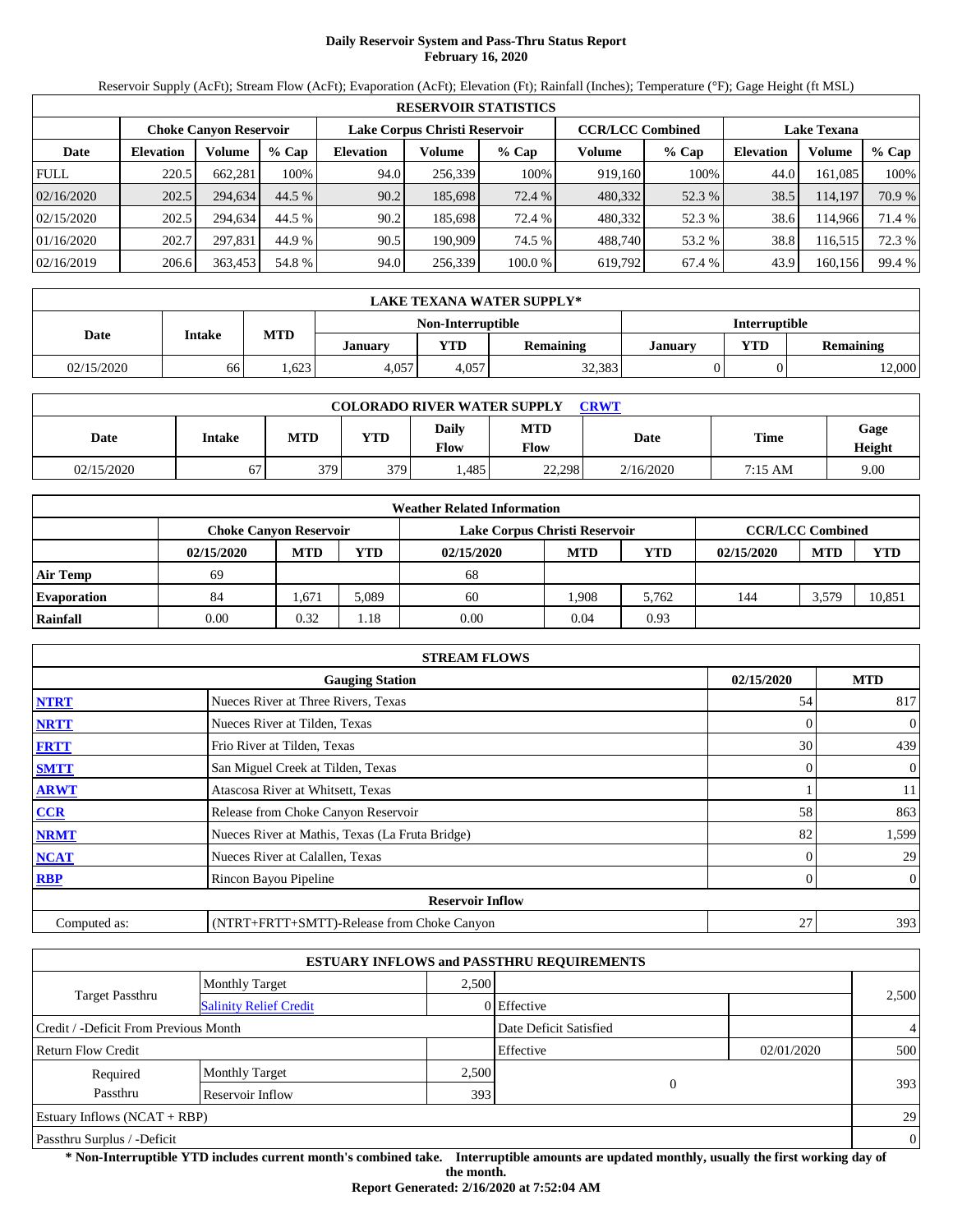# **Daily Reservoir System and Pass-Thru Status Report February 16, 2020**

Reservoir Supply (AcFt); Stream Flow (AcFt); Evaporation (AcFt); Elevation (Ft); Rainfall (Inches); Temperature (°F); Gage Height (ft MSL)

|             | <b>RESERVOIR STATISTICS</b> |                               |         |                  |                               |         |                         |         |                    |         |        |  |
|-------------|-----------------------------|-------------------------------|---------|------------------|-------------------------------|---------|-------------------------|---------|--------------------|---------|--------|--|
|             |                             | <b>Choke Canvon Reservoir</b> |         |                  | Lake Corpus Christi Reservoir |         | <b>CCR/LCC Combined</b> |         | <b>Lake Texana</b> |         |        |  |
| Date        | <b>Elevation</b>            | Volume                        | $%$ Cap | <b>Elevation</b> | Volume                        | % Cap   | Volume                  | $%$ Cap | <b>Elevation</b>   | Volume  | % Cap  |  |
| <b>FULL</b> | 220.5                       | 662,281                       | 100%    | 94.0             | 256,339                       | 100%    | 919.160                 | 100%    | 44.0               | 161.085 | 100%   |  |
| 02/16/2020  | 202.5                       | 294,634                       | 44.5 %  | 90.2             | 185,698                       | 72.4 %  | 480,332                 | 52.3 %  | 38.5               | 114.197 | 70.9 % |  |
| 02/15/2020  | 202.5                       | 294.634                       | 44.5 %  | 90.2             | 185.698                       | 72.4 %  | 480,332                 | 52.3 %  | 38.6               | 114.966 | 71.4 % |  |
| 01/16/2020  | 202.7                       | 297.831                       | 44.9 %  | 90.5             | 190.909                       | 74.5 %  | 488.740                 | 53.2 %  | 38.8               | 116.515 | 72.3 % |  |
| 02/16/2019  | 206.6                       | 363,453                       | 54.8 %  | 94.0             | 256,339                       | 100.0 % | 619,792                 | 67.4 %  | 43.9               | 160,156 | 99.4 % |  |

|            | LAKE TEXANA WATER SUPPLY* |            |         |       |                  |                |            |           |  |  |
|------------|---------------------------|------------|---------|-------|------------------|----------------|------------|-----------|--|--|
|            | <b>Interruptible</b>      |            |         |       |                  |                |            |           |  |  |
| Date       | <b>Intake</b>             | <b>MTD</b> | Januarv | YTD   | <b>Remaining</b> | <b>January</b> | <b>VTD</b> | Remaining |  |  |
| 02/15/2020 | 66                        | .623       | 4.057   | 4.057 | 32,383           |                |            | 12,000    |  |  |

| <b>COLORADO RIVER WATER SUPPLY</b><br><b>CRWT</b> |        |            |            |                      |                    |             |             |                |  |  |  |
|---------------------------------------------------|--------|------------|------------|----------------------|--------------------|-------------|-------------|----------------|--|--|--|
| Date                                              | Intake | <b>MTD</b> | <b>YTD</b> | Daily<br><b>Flow</b> | <b>MTD</b><br>Flow | <b>Date</b> | <b>Time</b> | Gage<br>Height |  |  |  |
| 02/15/2020                                        | 67     | 379        | 379        | .485                 | 22,298             | 2/16/2020   | 7:15 AM     | 9.00           |  |  |  |

|                    | <b>Weather Related Information</b> |                                                                                           |            |            |            |       |            |            |            |  |  |
|--------------------|------------------------------------|-------------------------------------------------------------------------------------------|------------|------------|------------|-------|------------|------------|------------|--|--|
|                    |                                    | <b>CCR/LCC Combined</b><br>Lake Corpus Christi Reservoir<br><b>Choke Canyon Reservoir</b> |            |            |            |       |            |            |            |  |  |
|                    | 02/15/2020                         | <b>MTD</b>                                                                                | <b>YTD</b> | 02/15/2020 | <b>MTD</b> | YTD   | 02/15/2020 | <b>MTD</b> | <b>YTD</b> |  |  |
| <b>Air Temp</b>    | 69                                 |                                                                                           |            | 68         |            |       |            |            |            |  |  |
| <b>Evaporation</b> | 84                                 | .,671                                                                                     | 5.089      | 60         | .908       | 5.762 | 144        | 3,579      | 10.851     |  |  |
| Rainfall           | 0.00                               | 0.32                                                                                      | . 18       | 0.00       | 0.04       | 0.93  |            |            |            |  |  |

|              | <b>STREAM FLOWS</b>                             |          |                |  |  |  |  |  |  |
|--------------|-------------------------------------------------|----------|----------------|--|--|--|--|--|--|
|              | <b>Gauging Station</b>                          |          |                |  |  |  |  |  |  |
| <b>NTRT</b>  | Nueces River at Three Rivers, Texas             | 54       | 817            |  |  |  |  |  |  |
| <b>NRTT</b>  | Nueces River at Tilden, Texas                   | $\Omega$ | $\overline{0}$ |  |  |  |  |  |  |
| <b>FRTT</b>  | Frio River at Tilden, Texas                     | 30       | 439            |  |  |  |  |  |  |
| <b>SMTT</b>  | San Miguel Creek at Tilden, Texas               | $\Omega$ | $\overline{0}$ |  |  |  |  |  |  |
| <b>ARWT</b>  | Atascosa River at Whitsett, Texas               |          | 11             |  |  |  |  |  |  |
| <b>CCR</b>   | Release from Choke Canyon Reservoir             | 58       | 863            |  |  |  |  |  |  |
| <b>NRMT</b>  | Nueces River at Mathis, Texas (La Fruta Bridge) | 82       | 1,599          |  |  |  |  |  |  |
| <b>NCAT</b>  | Nueces River at Calallen, Texas                 |          | 29             |  |  |  |  |  |  |
| <b>RBP</b>   | Rincon Bayou Pipeline                           | $\Omega$ | $\overline{0}$ |  |  |  |  |  |  |
|              | <b>Reservoir Inflow</b>                         |          |                |  |  |  |  |  |  |
| Computed as: | (NTRT+FRTT+SMTT)-Release from Choke Canyon      | 27       | 393            |  |  |  |  |  |  |

|                                       |                               |       | <b>ESTUARY INFLOWS and PASSTHRU REQUIREMENTS</b> |            |                |
|---------------------------------------|-------------------------------|-------|--------------------------------------------------|------------|----------------|
|                                       | <b>Monthly Target</b>         | 2.500 |                                                  |            |                |
| Target Passthru                       | <b>Salinity Relief Credit</b> |       | 0 Effective                                      |            | 2,500          |
| Credit / -Deficit From Previous Month |                               |       | Date Deficit Satisfied                           |            | $\overline{4}$ |
| <b>Return Flow Credit</b>             |                               |       | Effective                                        | 02/01/2020 | 500            |
| Required                              | <b>Monthly Target</b>         | 2,500 |                                                  |            |                |
| Passthru                              | Reservoir Inflow              | 393   | $\Omega$                                         |            | 393            |
| Estuary Inflows $(NCAT + RBP)$        |                               |       |                                                  |            | 29             |
| Passthru Surplus / -Deficit           |                               |       |                                                  |            | $\overline{0}$ |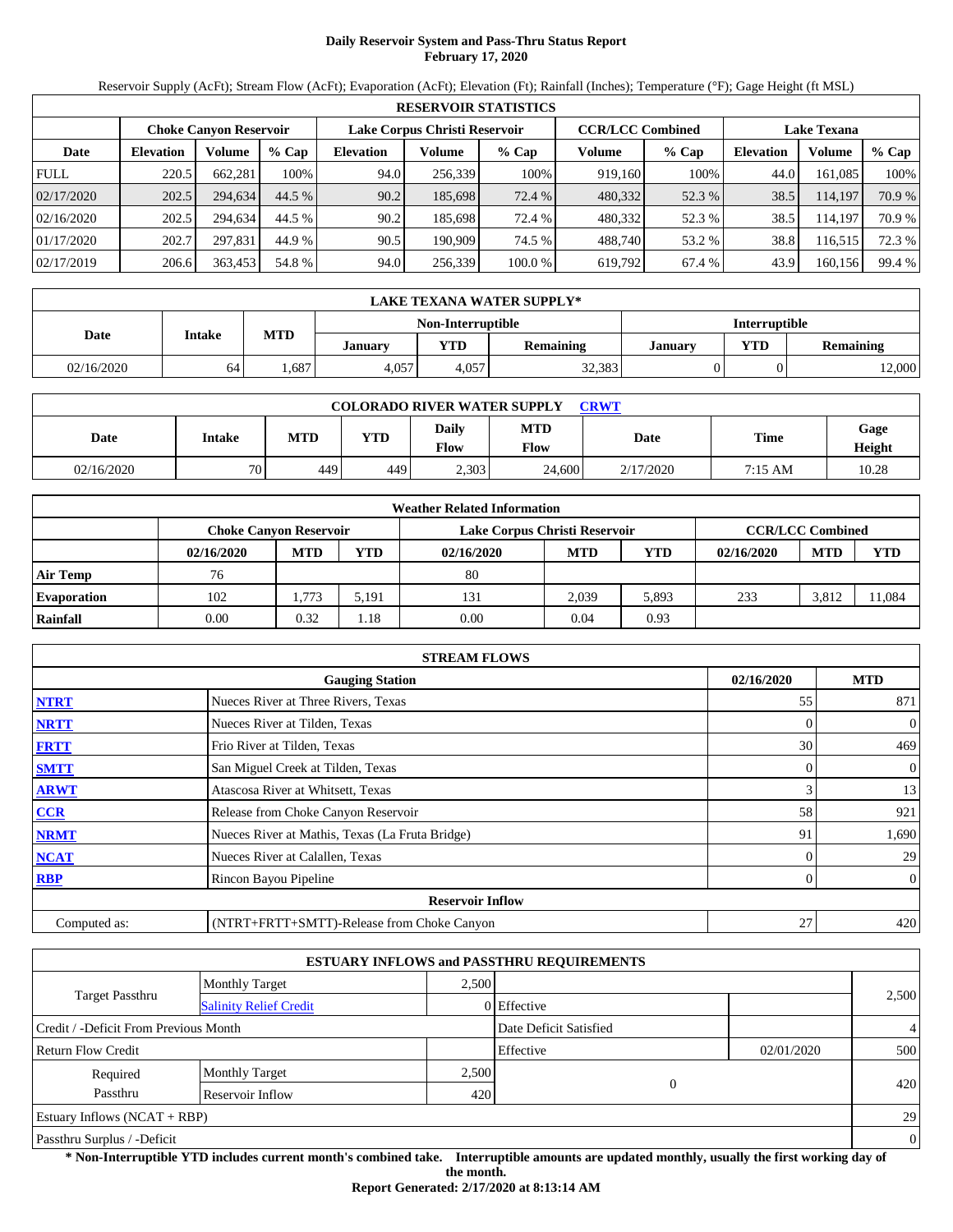# **Daily Reservoir System and Pass-Thru Status Report February 17, 2020**

Reservoir Supply (AcFt); Stream Flow (AcFt); Evaporation (AcFt); Elevation (Ft); Rainfall (Inches); Temperature (°F); Gage Height (ft MSL)

|             | <b>RESERVOIR STATISTICS</b> |                               |         |                  |                               |         |                         |         |                    |         |        |  |  |
|-------------|-----------------------------|-------------------------------|---------|------------------|-------------------------------|---------|-------------------------|---------|--------------------|---------|--------|--|--|
|             |                             | <b>Choke Canyon Reservoir</b> |         |                  | Lake Corpus Christi Reservoir |         | <b>CCR/LCC Combined</b> |         | <b>Lake Texana</b> |         |        |  |  |
| Date        | <b>Elevation</b>            | Volume                        | $%$ Cap | <b>Elevation</b> | Volume                        | $%$ Cap | Volume                  | $%$ Cap | <b>Elevation</b>   | Volume  | % Cap  |  |  |
| <b>FULL</b> | 220.5                       | 662.281                       | 100%    | 94.0             | 256,339                       | 100%    | 919,160                 | 100%    | 44.0               | 161.085 | 100%   |  |  |
| 02/17/2020  | 202.5                       | 294.634                       | 44.5 %  | 90.2             | 185,698                       | 72.4 %  | 480,332                 | 52.3 %  | 38.5               | 114,197 | 70.9 % |  |  |
| 02/16/2020  | 202.5                       | 294.634                       | 44.5 %  | 90.2             | 185.698                       | 72.4 %  | 480,332                 | 52.3 %  | 38.5               | 114.197 | 70.9 % |  |  |
| 01/17/2020  | 202.7                       | 297.831                       | 44.9 %  | 90.5             | 190.909                       | 74.5 %  | 488.740                 | 53.2 %  | 38.8               | 116.515 | 72.3 % |  |  |
| 02/17/2019  | 206.6                       | 363,453                       | 54.8 %  | 94.0             | 256,339                       | 100.0 % | 619,792                 | 67.4 %  | 43.9               | 160,156 | 99.4 % |  |  |

|            | LAKE TEXANA WATER SUPPLY*                 |            |                |       |                  |                |            |                  |  |  |
|------------|-------------------------------------------|------------|----------------|-------|------------------|----------------|------------|------------------|--|--|
|            | <b>Interruptible</b><br>Non-Interruptible |            |                |       |                  |                |            |                  |  |  |
| Date       | <b>Intake</b>                             | <b>MTD</b> | <b>January</b> | YTD   | <b>Remaining</b> | <b>January</b> | <b>VTD</b> | <b>Remaining</b> |  |  |
| 02/16/2020 | 64                                        | .687       | 4.057          | 4.057 | 32,383           |                |            | 12,000           |  |  |

| <b>COLORADO RIVER WATER SUPPLY</b><br><b>CRWT</b> |                 |     |            |                               |                    |           |         |                |  |  |  |
|---------------------------------------------------|-----------------|-----|------------|-------------------------------|--------------------|-----------|---------|----------------|--|--|--|
| Date                                              | Intake          | MTD | <b>YTD</b> | <b>Daily</b><br>$F_{\rm low}$ | <b>MTD</b><br>Flow | Date      | Time    | Gage<br>Height |  |  |  |
| 02/16/2020                                        | 70 <sub>1</sub> | 449 | 449        | 2.303                         | 24,600             | 2/17/2020 | 7:15 AM | 10.28          |  |  |  |

|                    |            |                               |       | <b>Weather Related Information</b> |            |       |            |                         |            |
|--------------------|------------|-------------------------------|-------|------------------------------------|------------|-------|------------|-------------------------|------------|
|                    |            | <b>Choke Canyon Reservoir</b> |       | Lake Corpus Christi Reservoir      |            |       |            | <b>CCR/LCC Combined</b> |            |
|                    | 02/16/2020 | <b>MTD</b>                    | YTD   | 02/16/2020                         | <b>MTD</b> | YTD   | 02/16/2020 | <b>MTD</b>              | <b>YTD</b> |
| <b>Air Temp</b>    | 76         |                               |       | 80                                 |            |       |            |                         |            |
| <b>Evaporation</b> | 102        | 1.773                         | 5.191 | 131                                | 2.039      | 5,893 | 233        | 3.812                   | 11,084     |
| Rainfall           | 0.00       | 0.32                          | l.18  | 0.00                               | 0.04       | 0.93  |            |                         |            |

|              | <b>STREAM FLOWS</b>                             |            |                |
|--------------|-------------------------------------------------|------------|----------------|
|              | <b>Gauging Station</b>                          | 02/16/2020 | <b>MTD</b>     |
| <b>NTRT</b>  | Nueces River at Three Rivers, Texas             | 55         | 871            |
| <b>NRTT</b>  | Nueces River at Tilden, Texas                   |            | $\mathbf{0}$   |
| <b>FRTT</b>  | Frio River at Tilden, Texas                     | 30         | 469            |
| <b>SMTT</b>  | San Miguel Creek at Tilden, Texas               | $\theta$   | $\overline{0}$ |
| <b>ARWT</b>  | Atascosa River at Whitsett, Texas               | 3          | 13             |
| <b>CCR</b>   | Release from Choke Canyon Reservoir             | 58         | 921            |
| <b>NRMT</b>  | Nueces River at Mathis, Texas (La Fruta Bridge) | 91         | 1,690          |
| <b>NCAT</b>  | Nueces River at Calallen, Texas                 |            | 29             |
| <b>RBP</b>   | Rincon Bayou Pipeline                           | $\Omega$   | $\overline{0}$ |
|              | <b>Reservoir Inflow</b>                         |            |                |
| Computed as: | (NTRT+FRTT+SMTT)-Release from Choke Canyon      | 27         | 420            |

|                                       |                               |       | <b>ESTUARY INFLOWS and PASSTHRU REQUIREMENTS</b> |            |                |
|---------------------------------------|-------------------------------|-------|--------------------------------------------------|------------|----------------|
|                                       | <b>Monthly Target</b>         | 2.500 |                                                  |            |                |
| <b>Target Passthru</b>                | <b>Salinity Relief Credit</b> |       | 0 Effective                                      |            | 2,500          |
| Credit / -Deficit From Previous Month |                               |       | Date Deficit Satisfied                           |            | $\overline{4}$ |
| <b>Return Flow Credit</b>             |                               |       | Effective                                        | 02/01/2020 | 500            |
| Required                              | <b>Monthly Target</b>         | 2,500 |                                                  |            |                |
| Passthru                              | Reservoir Inflow              | 420   | 0                                                |            | 420            |
| Estuary Inflows $(NCAT + RBP)$        |                               |       |                                                  |            | 29             |
| Passthru Surplus / -Deficit           |                               |       |                                                  |            | $\mathbf{0}$   |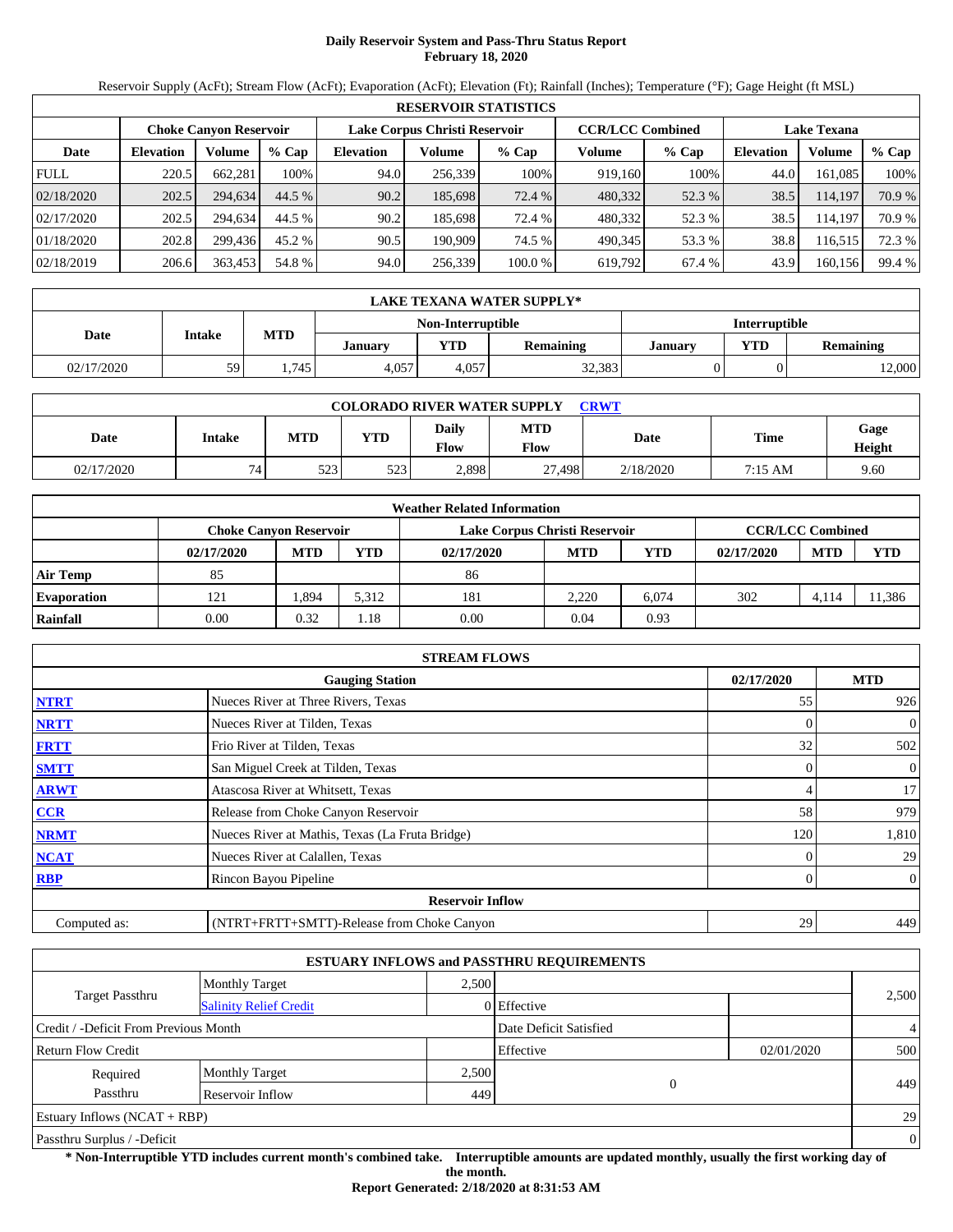# **Daily Reservoir System and Pass-Thru Status Report February 18, 2020**

Reservoir Supply (AcFt); Stream Flow (AcFt); Evaporation (AcFt); Elevation (Ft); Rainfall (Inches); Temperature (°F); Gage Height (ft MSL)

|             | <b>RESERVOIR STATISTICS</b> |                               |         |                  |                               |         |                         |         |                    |         |        |  |  |
|-------------|-----------------------------|-------------------------------|---------|------------------|-------------------------------|---------|-------------------------|---------|--------------------|---------|--------|--|--|
|             |                             | <b>Choke Canyon Reservoir</b> |         |                  | Lake Corpus Christi Reservoir |         | <b>CCR/LCC Combined</b> |         | <b>Lake Texana</b> |         |        |  |  |
| Date        | <b>Elevation</b>            | Volume                        | $%$ Cap | <b>Elevation</b> | Volume                        | $%$ Cap | Volume                  | $%$ Cap | <b>Elevation</b>   | Volume  | % Cap  |  |  |
| <b>FULL</b> | 220.5                       | 662.281                       | 100%    | 94.0             | 256,339                       | 100%    | 919,160                 | 100%    | 44.0               | 161.085 | 100%   |  |  |
| 02/18/2020  | 202.5                       | 294.634                       | 44.5 %  | 90.2             | 185,698                       | 72.4 %  | 480,332                 | 52.3 %  | 38.5               | 114,197 | 70.9 % |  |  |
| 02/17/2020  | 202.5                       | 294.634                       | 44.5 %  | 90.2             | 185.698                       | 72.4 %  | 480,332                 | 52.3 %  | 38.5               | 114.197 | 70.9 % |  |  |
| 01/18/2020  | 202.8                       | 299.436                       | 45.2 %  | 90.5             | 190.909                       | 74.5 %  | 490.345                 | 53.3 %  | 38.8               | 116.515 | 72.3 % |  |  |
| 02/18/2019  | 206.6                       | 363,453                       | 54.8 %  | 94.0             | 256,339                       | 100.0 % | 619,792                 | 67.4 %  | 43.9               | 160,156 | 99.4 % |  |  |

|            | LAKE TEXANA WATER SUPPLY*                 |            |         |       |                  |                |            |                  |  |  |
|------------|-------------------------------------------|------------|---------|-------|------------------|----------------|------------|------------------|--|--|
|            | <b>Interruptible</b><br>Non-Interruptible |            |         |       |                  |                |            |                  |  |  |
| Date       | <b>Intake</b>                             | <b>MTD</b> | Januarv | YTD   | <b>Remaining</b> | <b>January</b> | <b>VTD</b> | <b>Remaining</b> |  |  |
| 02/17/2020 | 59                                        | 1.745      | 4.057   | 4.057 | 32,383           |                |            | 12,000           |  |  |

| <b>COLORADO RIVER WATER SUPPLY</b><br><b>CRWT</b> |        |     |            |                             |                    |           |         |                |  |  |  |
|---------------------------------------------------|--------|-----|------------|-----------------------------|--------------------|-----------|---------|----------------|--|--|--|
| Date                                              | Intake | MTD | <b>YTD</b> | <b>Daily</b><br><b>Flow</b> | <b>MTD</b><br>Flow | Date      | Time    | Gage<br>Height |  |  |  |
| 02/17/2020                                        | 74.    | 523 | 523        | 2,898                       | 27,498             | 2/18/2020 | 7:15 AM | 9.60           |  |  |  |

|                    |            |                               |       | <b>Weather Related Information</b> |            |       |            |                         |            |
|--------------------|------------|-------------------------------|-------|------------------------------------|------------|-------|------------|-------------------------|------------|
|                    |            | <b>Choke Canyon Reservoir</b> |       | Lake Corpus Christi Reservoir      |            |       |            | <b>CCR/LCC Combined</b> |            |
|                    | 02/17/2020 | <b>MTD</b>                    | YTD   | 02/17/2020                         | <b>MTD</b> | YTD   | 02/17/2020 | <b>MTD</b>              | <b>YTD</b> |
| <b>Air Temp</b>    | 85         |                               |       | 86                                 |            |       |            |                         |            |
| <b>Evaporation</b> | 121        | 894. ا                        | 5,312 | 181                                | 2.220      | 6.074 | 302        | 4,114                   | 11,386     |
| Rainfall           | 0.00       | 0.32                          | l.18  | 0.00                               | 0.04       | 0.93  |            |                         |            |

|              | <b>STREAM FLOWS</b>                             |            |                |
|--------------|-------------------------------------------------|------------|----------------|
|              | <b>Gauging Station</b>                          | 02/17/2020 | <b>MTD</b>     |
| <b>NTRT</b>  | Nueces River at Three Rivers, Texas             | 55         | 926            |
| <b>NRTT</b>  | Nueces River at Tilden, Texas                   |            | $\overline{0}$ |
| <b>FRTT</b>  | Frio River at Tilden, Texas                     | 32         | 502            |
| <b>SMTT</b>  | San Miguel Creek at Tilden, Texas               | 0          | $\overline{0}$ |
| <b>ARWT</b>  | Atascosa River at Whitsett, Texas               | 4          | 17             |
| <b>CCR</b>   | Release from Choke Canyon Reservoir             | 58         | 979            |
| <b>NRMT</b>  | Nueces River at Mathis, Texas (La Fruta Bridge) | 120        | 1,810          |
| <b>NCAT</b>  | Nueces River at Calallen, Texas                 |            | 29             |
| <b>RBP</b>   | Rincon Bayou Pipeline                           | 0          | $\overline{0}$ |
|              | <b>Reservoir Inflow</b>                         |            |                |
| Computed as: | (NTRT+FRTT+SMTT)-Release from Choke Canyon      | 29         | 449            |

|                                                         |                       |       | <b>ESTUARY INFLOWS and PASSTHRU REQUIREMENTS</b> |            |                |
|---------------------------------------------------------|-----------------------|-------|--------------------------------------------------|------------|----------------|
|                                                         | <b>Monthly Target</b> | 2.500 |                                                  |            |                |
| <b>Target Passthru</b><br><b>Salinity Relief Credit</b> |                       |       | 0 Effective                                      |            | 2,500          |
| Credit / -Deficit From Previous Month                   |                       |       | Date Deficit Satisfied                           |            | $\overline{4}$ |
| <b>Return Flow Credit</b>                               |                       |       | Effective                                        | 02/01/2020 | 500            |
| Required                                                | <b>Monthly Target</b> | 2,500 |                                                  |            |                |
| Passthru                                                | Reservoir Inflow      | 449   | 0                                                |            | 449            |
| Estuary Inflows $(NCAT + RBP)$                          |                       |       |                                                  |            | 29             |
| Passthru Surplus / -Deficit                             |                       |       |                                                  |            | $\overline{0}$ |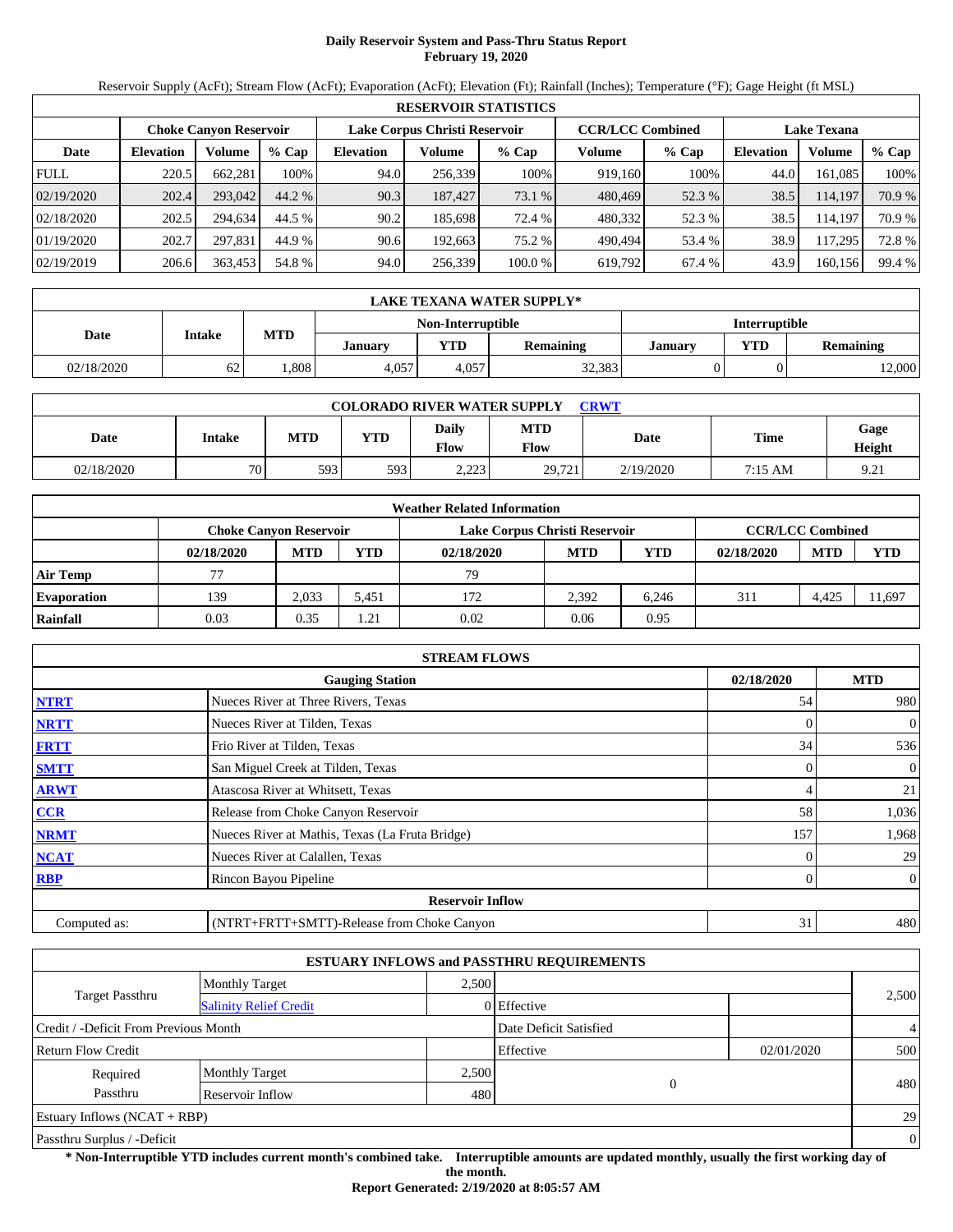# **Daily Reservoir System and Pass-Thru Status Report February 19, 2020**

Reservoir Supply (AcFt); Stream Flow (AcFt); Evaporation (AcFt); Elevation (Ft); Rainfall (Inches); Temperature (°F); Gage Height (ft MSL)

|             | <b>RESERVOIR STATISTICS</b> |                               |         |                               |         |         |                         |         |                    |         |        |  |
|-------------|-----------------------------|-------------------------------|---------|-------------------------------|---------|---------|-------------------------|---------|--------------------|---------|--------|--|
|             |                             | <b>Choke Canyon Reservoir</b> |         | Lake Corpus Christi Reservoir |         |         | <b>CCR/LCC Combined</b> |         | <b>Lake Texana</b> |         |        |  |
| Date        | <b>Elevation</b>            | Volume                        | $%$ Cap | <b>Elevation</b>              | Volume  | $%$ Cap | Volume                  | $%$ Cap | <b>Elevation</b>   | Volume  | % Cap  |  |
| <b>FULL</b> | 220.5                       | 662.281                       | 100%    | 94.0                          | 256,339 | 100%    | 919.160                 | 100%    | 44.0               | 161.085 | 100%   |  |
| 02/19/2020  | 202.4                       | 293,042                       | 44.2 %  | 90.3                          | 187,427 | 73.1 %  | 480,469                 | 52.3 %  | 38.5               | 114,197 | 70.9 % |  |
| 02/18/2020  | 202.5                       | 294.634                       | 44.5 %  | 90.2                          | 185.698 | 72.4 %  | 480,332                 | 52.3 %  | 38.5               | 114.197 | 70.9 % |  |
| 01/19/2020  | 202.7                       | 297.831                       | 44.9 %  | 90.6                          | 192.663 | 75.2 %  | 490.494                 | 53.4 %  | 38.9               | 117.295 | 72.8%  |  |
| 02/19/2019  | 206.6                       | 363,453                       | 54.8 %  | 94.0                          | 256,339 | 100.0 % | 619,792                 | 67.4 %  | 43.9               | 160.156 | 99.4 % |  |

|            | LAKE TEXANA WATER SUPPLY* |            |                |                   |                  |                      |            |                  |  |  |  |
|------------|---------------------------|------------|----------------|-------------------|------------------|----------------------|------------|------------------|--|--|--|
|            |                           |            |                | Non-Interruptible |                  | <b>Interruptible</b> |            |                  |  |  |  |
| Date       | <b>Intake</b>             | <b>MTD</b> | <b>January</b> | YTD               | <b>Remaining</b> | <b>January</b>       | <b>VTD</b> | <b>Remaining</b> |  |  |  |
| 02/18/2020 | 62                        | .808       | 4.057          | 4.057             | 32,383           |                      |            | 12,000           |  |  |  |

|            |        |            |            | <b>COLORADO RIVER WATER SUPPLY</b> |                           | <b>CRWT</b> |             |                         |
|------------|--------|------------|------------|------------------------------------|---------------------------|-------------|-------------|-------------------------|
| Date       | Intake | <b>MTD</b> | <b>YTD</b> | Daily<br><b>Flow</b>               | <b>MTD</b><br><b>Flow</b> | Date        | <b>Time</b> | Gage<br>Height          |
| 02/18/2020 | 70     | 593        | 593        | 2.222<br>ر با با با                | 29.721                    | 2/19/2020   | 7:15 AM     | Q <sub>21</sub><br>7.∠1 |

|                    |                               |            |                       | <b>Weather Related Information</b> |                         |            |            |            |            |
|--------------------|-------------------------------|------------|-----------------------|------------------------------------|-------------------------|------------|------------|------------|------------|
|                    | <b>Choke Canvon Reservoir</b> |            |                       | Lake Corpus Christi Reservoir      | <b>CCR/LCC Combined</b> |            |            |            |            |
|                    | 02/18/2020                    | <b>MTD</b> | YTD                   | 02/18/2020                         | <b>MTD</b>              | <b>YTD</b> | 02/18/2020 | <b>MTD</b> | <b>YTD</b> |
| <b>Air Temp</b>    | 77                            |            |                       | 79                                 |                         |            |            |            |            |
| <b>Evaporation</b> | 139                           | 2.033      | 5.451                 | 172                                | 2.392                   | 6.246      | 311        | 4.425      | 11,697     |
| Rainfall           | 0.03                          | 0.35       | $\lfloor .21 \rfloor$ | 0.02                               | 0.06                    | 0.95       |            |            |            |

|              | <b>STREAM FLOWS</b>                             |            |                |
|--------------|-------------------------------------------------|------------|----------------|
|              | <b>Gauging Station</b>                          | 02/18/2020 | <b>MTD</b>     |
| <b>NTRT</b>  | Nueces River at Three Rivers, Texas             | 54         | 980            |
| <b>NRTT</b>  | Nueces River at Tilden, Texas                   |            | $\overline{0}$ |
| <b>FRTT</b>  | Frio River at Tilden, Texas                     | 34         | 536            |
| <b>SMTT</b>  | San Miguel Creek at Tilden, Texas               | 0          | $\overline{0}$ |
| <b>ARWT</b>  | Atascosa River at Whitsett, Texas               | 4          | 21             |
| <b>CCR</b>   | Release from Choke Canyon Reservoir             | 58         | 1,036          |
| <b>NRMT</b>  | Nueces River at Mathis, Texas (La Fruta Bridge) | 157        | 1,968          |
| <b>NCAT</b>  | Nueces River at Calallen, Texas                 |            | 29             |
| <b>RBP</b>   | Rincon Bayou Pipeline                           | 0          | $\overline{0}$ |
|              | <b>Reservoir Inflow</b>                         |            |                |
| Computed as: | (NTRT+FRTT+SMTT)-Release from Choke Canyon      | 31         | 480            |

|                                       |                               |       | <b>ESTUARY INFLOWS and PASSTHRU REQUIREMENTS</b> |            |                |
|---------------------------------------|-------------------------------|-------|--------------------------------------------------|------------|----------------|
|                                       | <b>Monthly Target</b>         | 2.500 |                                                  |            |                |
| <b>Target Passthru</b>                | <b>Salinity Relief Credit</b> |       | 0 Effective                                      |            | 2,500          |
| Credit / -Deficit From Previous Month |                               |       | Date Deficit Satisfied                           |            | $\overline{4}$ |
| <b>Return Flow Credit</b>             |                               |       | Effective                                        | 02/01/2020 | 500            |
| Required                              | <b>Monthly Target</b>         | 2,500 |                                                  |            |                |
| Passthru                              | Reservoir Inflow              | 480   | 0                                                |            | 480            |
| Estuary Inflows $(NCAT + RBP)$        |                               |       |                                                  |            | 29             |
| Passthru Surplus / -Deficit           |                               |       |                                                  |            | $\mathbf{0}$   |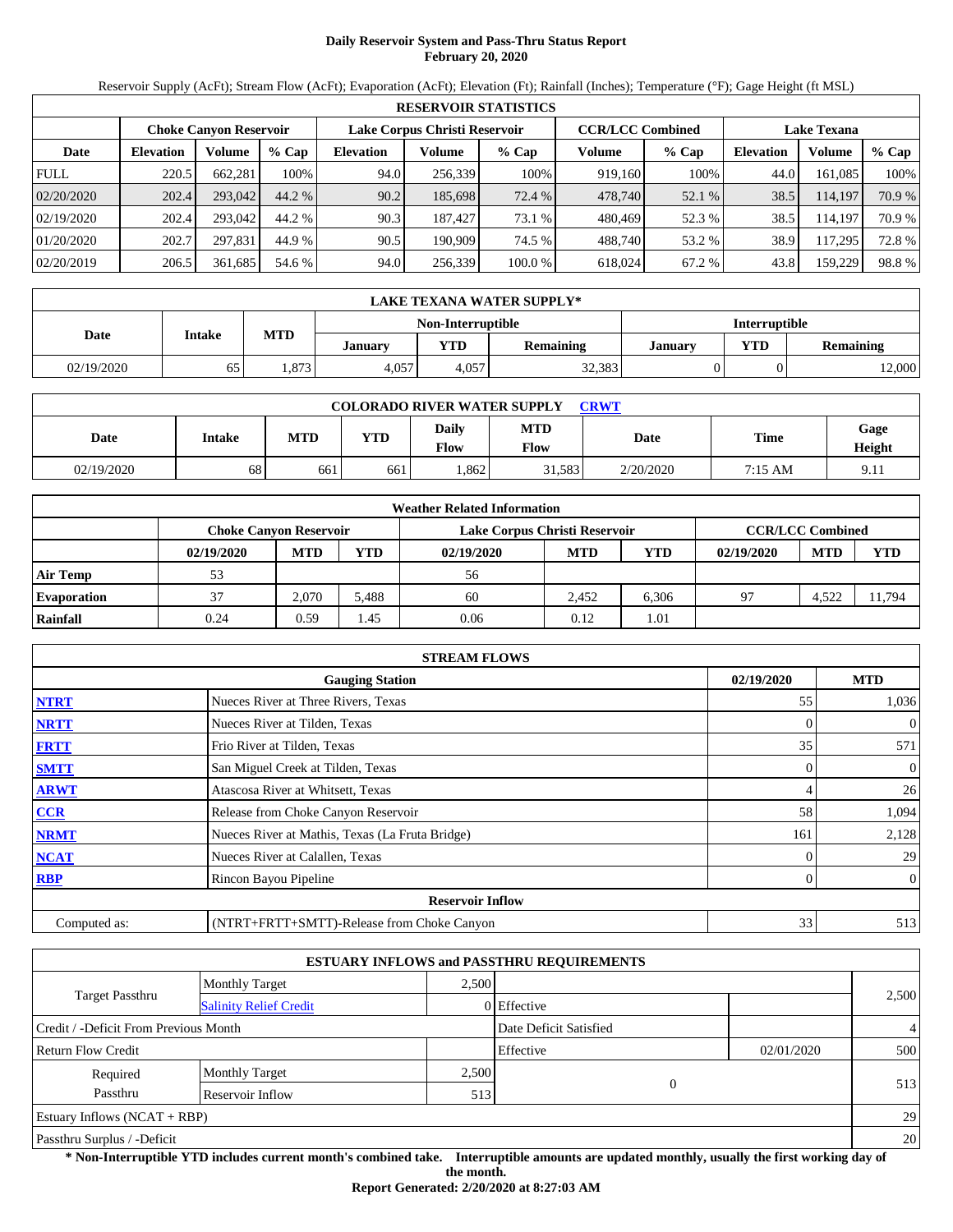# **Daily Reservoir System and Pass-Thru Status Report February 20, 2020**

Reservoir Supply (AcFt); Stream Flow (AcFt); Evaporation (AcFt); Elevation (Ft); Rainfall (Inches); Temperature (°F); Gage Height (ft MSL)

|             | <b>RESERVOIR STATISTICS</b> |                               |         |                  |                               |         |                         |         |                    |         |        |  |
|-------------|-----------------------------|-------------------------------|---------|------------------|-------------------------------|---------|-------------------------|---------|--------------------|---------|--------|--|
|             |                             | <b>Choke Canyon Reservoir</b> |         |                  | Lake Corpus Christi Reservoir |         | <b>CCR/LCC Combined</b> |         | <b>Lake Texana</b> |         |        |  |
| Date        | <b>Elevation</b>            | Volume                        | $%$ Cap | <b>Elevation</b> | Volume                        | $%$ Cap | Volume                  | $%$ Cap | <b>Elevation</b>   | Volume  | % Cap  |  |
| <b>FULL</b> | 220.5                       | 662.281                       | 100%    | 94.0             | 256.339                       | 100%    | 919.160                 | 100%    | 44.0               | 161.085 | 100%   |  |
| 02/20/2020  | 202.4                       | 293,042                       | 44.2 %  | 90.2             | 185,698                       | 72.4 %  | 478,740                 | 52.1 %  | 38.5               | 114.197 | 70.9 % |  |
| 02/19/2020  | 202.4                       | 293,042                       | 44.2 %  | 90.3             | 187.427                       | 73.1 %  | 480.469                 | 52.3 %  | 38.5               | 114.197 | 70.9 % |  |
| 01/20/2020  | 202.7                       | 297.831                       | 44.9 %  | 90.5             | 190.909                       | 74.5 %  | 488.740                 | 53.2 %  | 38.9               | 117.295 | 72.8%  |  |
| 02/20/2019  | 206.5                       | 361,685                       | 54.6 %  | 94.0             | 256,339                       | 100.0 % | 618.024                 | 67.2 %  | 43.8               | 159,229 | 98.8%  |  |

|            | LAKE TEXANA WATER SUPPLY* |            |                |                   |                  |                      |            |                  |  |  |  |
|------------|---------------------------|------------|----------------|-------------------|------------------|----------------------|------------|------------------|--|--|--|
|            |                           |            |                | Non-Interruptible |                  | <b>Interruptible</b> |            |                  |  |  |  |
| Date       | <b>Intake</b>             | <b>MTD</b> | <b>January</b> | YTD               | <b>Remaining</b> | <b>January</b>       | <b>VTD</b> | <b>Remaining</b> |  |  |  |
| 02/19/2020 | ნა                        | .873       | 4.057          | 4.057             | 32,383           |                      |            | 12,000           |  |  |  |

| <b>COLORADO RIVER WATER SUPPLY</b><br>CRWT |        |     |            |               |                    |             |             |                |  |  |
|--------------------------------------------|--------|-----|------------|---------------|--------------------|-------------|-------------|----------------|--|--|
| Date                                       | Intake | MTD | <b>YTD</b> | Daily<br>Flow | <b>MTD</b><br>Flow | <b>Date</b> | <b>Time</b> | Gage<br>Height |  |  |
| 02/19/2020                                 | 68     | 661 | 661        | .862          | 31.583             | 2/20/2020   | 7:15 AM     | 9.11           |  |  |

|                    |                               |            |       | <b>Weather Related Information</b> |                         |       |            |            |            |
|--------------------|-------------------------------|------------|-------|------------------------------------|-------------------------|-------|------------|------------|------------|
|                    | <b>Choke Canvon Reservoir</b> |            |       | Lake Corpus Christi Reservoir      | <b>CCR/LCC Combined</b> |       |            |            |            |
|                    | 02/19/2020                    | <b>MTD</b> | YTD   | 02/19/2020                         | <b>MTD</b>              | YTD   | 02/19/2020 | <b>MTD</b> | <b>YTD</b> |
| <b>Air Temp</b>    | 53                            |            |       | 56                                 |                         |       |            |            |            |
| <b>Evaporation</b> | 37                            | 2.070      | 5.488 | 60                                 | 2.452                   | 6.306 | 97         | 4,522      | 11.794     |
| Rainfall           | 0.24                          | 0.59       | l.45  | 0.06                               | 0.12                    | 1.01  |            |            |            |

|              | <b>STREAM FLOWS</b>                             |            |                |
|--------------|-------------------------------------------------|------------|----------------|
|              | <b>Gauging Station</b>                          | 02/19/2020 | <b>MTD</b>     |
| <b>NTRT</b>  | Nueces River at Three Rivers, Texas             | 55         | 1,036          |
| <b>NRTT</b>  | Nueces River at Tilden, Texas                   | 0          | $\overline{0}$ |
| <b>FRTT</b>  | Frio River at Tilden, Texas                     | 35         | 571            |
| <b>SMTT</b>  | San Miguel Creek at Tilden, Texas               | 0          | $\overline{0}$ |
| <b>ARWT</b>  | Atascosa River at Whitsett, Texas               | 4          | 26             |
| CCR          | Release from Choke Canyon Reservoir             | 58         | 1,094          |
| <b>NRMT</b>  | Nueces River at Mathis, Texas (La Fruta Bridge) | 161        | 2,128          |
| <b>NCAT</b>  | Nueces River at Calallen, Texas                 |            | 29             |
| <b>RBP</b>   | Rincon Bayou Pipeline                           | 0          | $\overline{0}$ |
|              | <b>Reservoir Inflow</b>                         |            |                |
| Computed as: | (NTRT+FRTT+SMTT)-Release from Choke Canyon      | 33         | 513            |

|                                       |                               |       | <b>ESTUARY INFLOWS and PASSTHRU REQUIREMENTS</b> |            |                |
|---------------------------------------|-------------------------------|-------|--------------------------------------------------|------------|----------------|
|                                       | <b>Monthly Target</b>         | 2.500 |                                                  |            |                |
| <b>Target Passthru</b>                | <b>Salinity Relief Credit</b> |       | 0 Effective                                      |            | 2,500          |
| Credit / -Deficit From Previous Month |                               |       | Date Deficit Satisfied                           |            | $\overline{4}$ |
| <b>Return Flow Credit</b>             |                               |       | Effective                                        | 02/01/2020 | 500            |
| Required                              | <b>Monthly Target</b>         | 2,500 |                                                  |            |                |
| Passthru                              | Reservoir Inflow              | 513   | $\theta$                                         |            | 513            |
| Estuary Inflows $(NCAT + RBP)$        |                               |       |                                                  |            | 29             |
| Passthru Surplus / -Deficit           |                               |       |                                                  |            | 20             |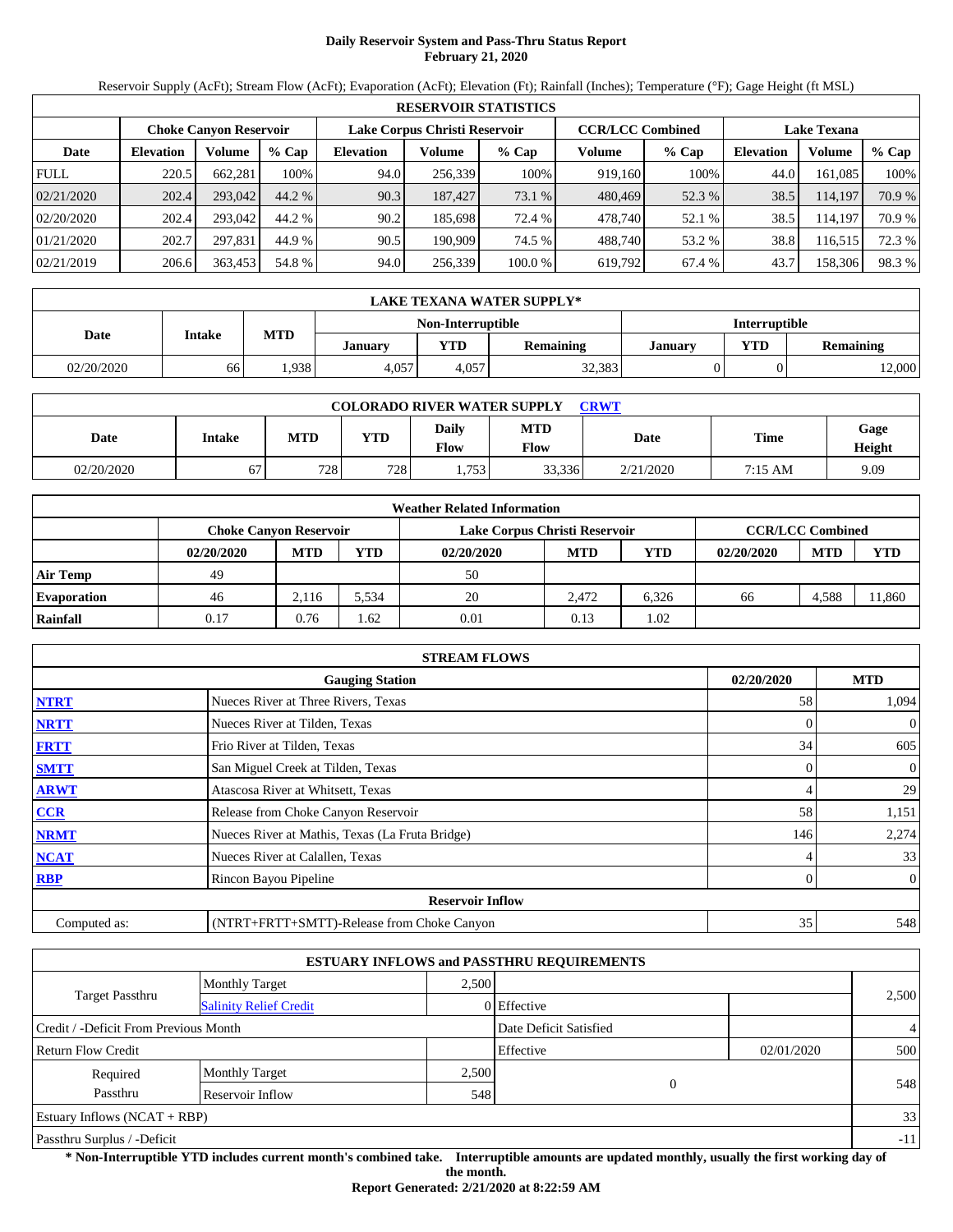# **Daily Reservoir System and Pass-Thru Status Report February 21, 2020**

Reservoir Supply (AcFt); Stream Flow (AcFt); Evaporation (AcFt); Elevation (Ft); Rainfall (Inches); Temperature (°F); Gage Height (ft MSL)

|             | <b>RESERVOIR STATISTICS</b> |                        |         |                               |         |         |                         |         |                    |         |        |  |
|-------------|-----------------------------|------------------------|---------|-------------------------------|---------|---------|-------------------------|---------|--------------------|---------|--------|--|
|             |                             | Choke Canvon Reservoir |         | Lake Corpus Christi Reservoir |         |         | <b>CCR/LCC Combined</b> |         | <b>Lake Texana</b> |         |        |  |
| Date        | <b>Elevation</b>            | <b>Volume</b>          | $%$ Cap | <b>Elevation</b>              | Volume  | $%$ Cap | Volume                  | $%$ Cap | Elevation          | Volume  | % Cap  |  |
| <b>FULL</b> | 220.5                       | 662.281                | 100%    | 94.0                          | 256,339 | 100%    | 919,160                 | 100%    | 44.0               | 161.085 | 100%   |  |
| 02/21/2020  | 202.4                       | 293,042                | 44.2 %  | 90.3                          | 187,427 | 73.1 %  | 480,469                 | 52.3 %  | 38.5               | 114,197 | 70.9 % |  |
| 02/20/2020  | 202.4                       | 293,042                | 44.2 %  | 90.2                          | 185,698 | 72.4 %  | 478.740                 | 52.1 %  | 38.5               | 114.197 | 70.9 % |  |
| 01/21/2020  | 202.7                       | 297.831                | 44.9 %  | 90.5                          | 190.909 | 74.5 %  | 488.740                 | 53.2 %  | 38.8               | 116.515 | 72.3 % |  |
| 02/21/2019  | 206.6                       | 363,453                | 54.8 %  | 94.0                          | 256,339 | 100.0%  | 619,792                 | 67.4 %  | 43.7               | 158,306 | 98.3%  |  |

|            | LAKE TEXANA WATER SUPPLY* |            |                |                   |                  |                      |            |                  |  |  |  |
|------------|---------------------------|------------|----------------|-------------------|------------------|----------------------|------------|------------------|--|--|--|
|            | <b>Intake</b>             |            |                | Non-Interruptible |                  | <b>Interruptible</b> |            |                  |  |  |  |
| Date       |                           | <b>MTD</b> | <b>January</b> | YTD               | <b>Remaining</b> | <b>January</b>       | <b>VTD</b> | <b>Remaining</b> |  |  |  |
| 02/20/2020 | 66                        | .938       | 4.057          | 4.057             | 32,383           |                      |            | 12,000           |  |  |  |

|            | <b>COLORADO RIVER WATER SUPPLY</b><br><b>CRWT</b> |            |            |                      |                           |           |             |                |  |  |  |
|------------|---------------------------------------------------|------------|------------|----------------------|---------------------------|-----------|-------------|----------------|--|--|--|
| Date       | Intake                                            | <b>MTD</b> | <b>YTD</b> | Daily<br><b>Flow</b> | <b>MTD</b><br><b>Flow</b> | Date      | <b>Time</b> | Gage<br>Height |  |  |  |
| 02/20/2020 | 67                                                | 728        | 728        | .753                 | 33,336                    | 2/21/2020 | 7:15 AM     | 9.09           |  |  |  |

|                    |                               |            |            | <b>Weather Related Information</b> |                         |            |            |            |            |
|--------------------|-------------------------------|------------|------------|------------------------------------|-------------------------|------------|------------|------------|------------|
|                    | <b>Choke Canvon Reservoir</b> |            |            | Lake Corpus Christi Reservoir      | <b>CCR/LCC Combined</b> |            |            |            |            |
|                    | 02/20/2020                    | <b>MTD</b> | <b>YTD</b> | 02/20/2020                         | <b>MTD</b>              | <b>YTD</b> | 02/20/2020 | <b>MTD</b> | <b>YTD</b> |
| <b>Air Temp</b>    | 49                            |            |            | 50                                 |                         |            |            |            |            |
| <b>Evaporation</b> | 46                            | 2.116      | 5.534      | 20                                 | 2.472                   | 6.326      | 66         | 4.588      | 11,860     |
| Rainfall           | 0.17                          | 0.76       | .62        | 0.01                               | 0.13                    | l.02       |            |            |            |

|              | <b>STREAM FLOWS</b>                             |                |                |
|--------------|-------------------------------------------------|----------------|----------------|
|              | <b>Gauging Station</b>                          | 02/20/2020     | <b>MTD</b>     |
| <b>NTRT</b>  | Nueces River at Three Rivers, Texas             | 58             | 1,094          |
| <b>NRTT</b>  | Nueces River at Tilden, Texas                   |                | $\mathbf{0}$   |
| <b>FRTT</b>  | Frio River at Tilden, Texas                     | 34             | 605            |
| <b>SMTT</b>  | San Miguel Creek at Tilden, Texas               | $\overline{0}$ | $\overline{0}$ |
| <b>ARWT</b>  | Atascosa River at Whitsett, Texas               | 4              | 29             |
| <b>CCR</b>   | Release from Choke Canyon Reservoir             | 58             | 1,151          |
| <b>NRMT</b>  | Nueces River at Mathis, Texas (La Fruta Bridge) | 146            | 2,274          |
| <b>NCAT</b>  | Nueces River at Calallen, Texas                 |                | 33             |
| <b>RBP</b>   | Rincon Bayou Pipeline                           | $\mathbf{0}$   | $\overline{0}$ |
|              | <b>Reservoir Inflow</b>                         |                |                |
| Computed as: | (NTRT+FRTT+SMTT)-Release from Choke Canyon      | 35             | 548            |

|                                                         |                       |       | <b>ESTUARY INFLOWS and PASSTHRU REQUIREMENTS</b> |            |                |  |
|---------------------------------------------------------|-----------------------|-------|--------------------------------------------------|------------|----------------|--|
|                                                         | <b>Monthly Target</b> | 2,500 |                                                  |            |                |  |
| <b>Target Passthru</b><br><b>Salinity Relief Credit</b> |                       |       | $0$ Effective                                    |            | 2,500          |  |
| Credit / -Deficit From Previous Month                   |                       |       | Date Deficit Satisfied                           |            | $\overline{4}$ |  |
| Return Flow Credit                                      |                       |       | Effective                                        | 02/01/2020 | 500            |  |
| Required                                                | <b>Monthly Target</b> | 2,500 |                                                  |            |                |  |
| Passthru                                                | Reservoir Inflow      | 548   | $\overline{0}$                                   |            | 548            |  |
| Estuary Inflows $(NCAT + RBP)$                          |                       |       |                                                  |            | 33             |  |
| Passthru Surplus / -Deficit                             |                       |       |                                                  |            | $-11$          |  |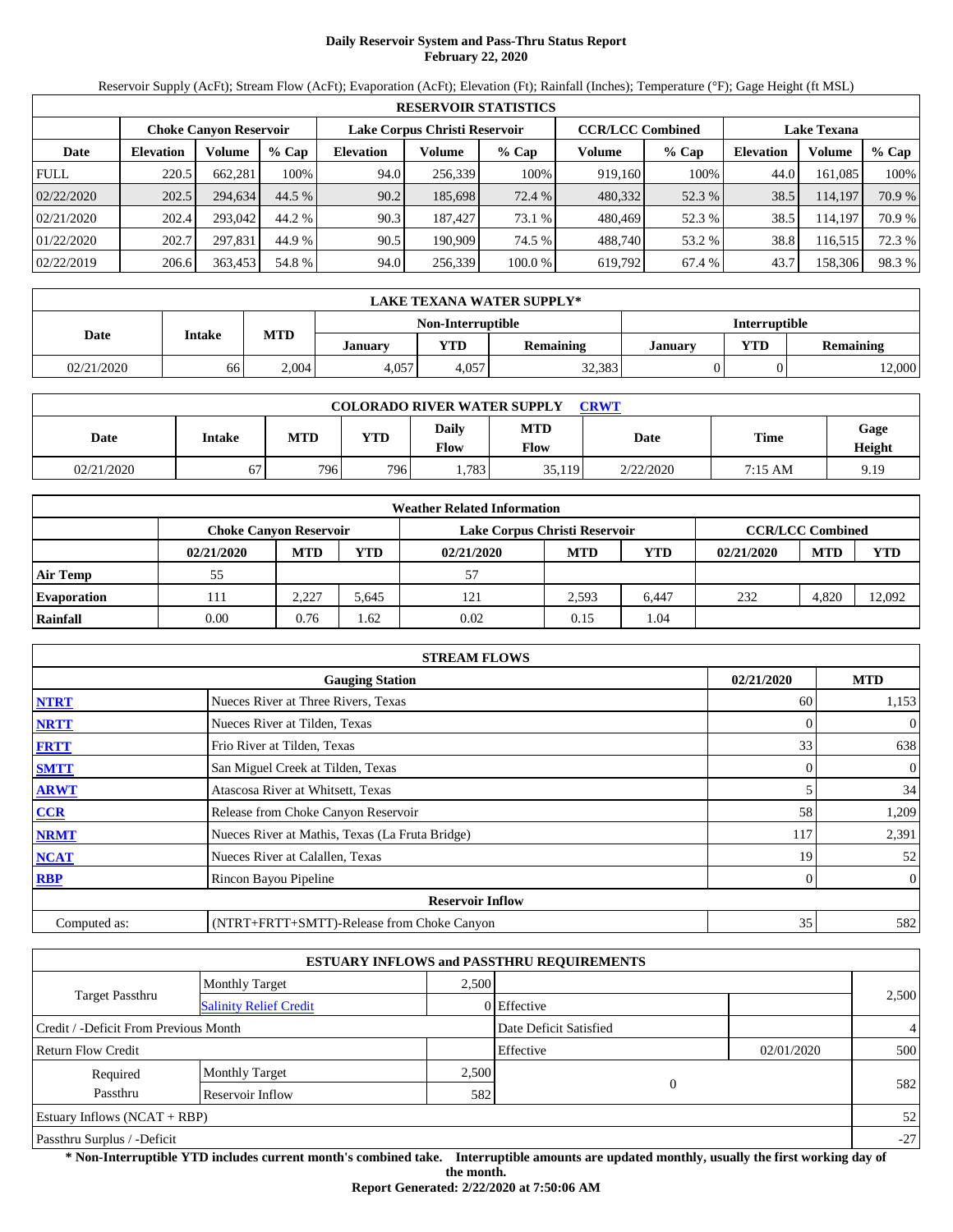# **Daily Reservoir System and Pass-Thru Status Report February 22, 2020**

Reservoir Supply (AcFt); Stream Flow (AcFt); Evaporation (AcFt); Elevation (Ft); Rainfall (Inches); Temperature (°F); Gage Height (ft MSL)

|             | <b>RESERVOIR STATISTICS</b> |                               |         |                  |                               |         |                         |         |                    |         |        |  |
|-------------|-----------------------------|-------------------------------|---------|------------------|-------------------------------|---------|-------------------------|---------|--------------------|---------|--------|--|
|             |                             | <b>Choke Canvon Reservoir</b> |         |                  | Lake Corpus Christi Reservoir |         | <b>CCR/LCC Combined</b> |         | <b>Lake Texana</b> |         |        |  |
| Date        | <b>Elevation</b>            | <b>Volume</b>                 | $%$ Cap | <b>Elevation</b> | Volume                        | $%$ Cap | Volume                  | $%$ Cap | <b>Elevation</b>   | Volume  | % Cap  |  |
| <b>FULL</b> | 220.5                       | 662.281                       | 100%    | 94.0             | 256,339                       | 100%    | 919.160                 | 100%    | 44.0               | 161.085 | 100%   |  |
| 02/22/2020  | 202.5                       | 294,634                       | 44.5 %  | 90.2             | 185,698                       | 72.4 %  | 480,332                 | 52.3 %  | 38.5               | 114,197 | 70.9 % |  |
| 02/21/2020  | 202.4                       | 293,042                       | 44.2 %  | 90.3             | 187.427                       | 73.1 %  | 480.469                 | 52.3 %  | 38.5               | 114.197 | 70.9 % |  |
| 01/22/2020  | 202.7                       | 297.831                       | 44.9 %  | 90.5             | 190.909                       | 74.5 %  | 488.740                 | 53.2 %  | 38.8               | 116.515 | 72.3 % |  |
| 02/22/2019  | 206.6                       | 363,453                       | 54.8 %  | 94.0             | 256,339                       | 100.0%  | 619,792                 | 67.4 %  | 43.7               | 158,306 | 98.3%  |  |

|            | LAKE TEXANA WATER SUPPLY* |            |         |                   |                  |                      |            |                  |  |  |  |
|------------|---------------------------|------------|---------|-------------------|------------------|----------------------|------------|------------------|--|--|--|
|            |                           |            |         | Non-Interruptible |                  | <b>Interruptible</b> |            |                  |  |  |  |
| Date       | <b>Intake</b>             | <b>MTD</b> | Januarv | VTD               | <b>Remaining</b> | <b>January</b>       | <b>VTD</b> | <b>Remaining</b> |  |  |  |
| 02/21/2020 | 66                        | 2.004      | 4.057   | 4.057             | 32,383           |                      |            | 2,000            |  |  |  |

| <b>COLORADO RIVER WATER SUPPLY</b><br><b>CRWT</b> |        |     |            |                        |                           |             |         |                |  |  |
|---------------------------------------------------|--------|-----|------------|------------------------|---------------------------|-------------|---------|----------------|--|--|
| Date                                              | Intake | MTD | <b>YTD</b> | Daily<br>$F_{\rm low}$ | <b>MTD</b><br><b>Flow</b> | <b>Date</b> | Time    | Gage<br>Height |  |  |
| 02/21/2020                                        | 67     | 796 | 7961       | .783                   | 35,119                    | 2/22/2020   | 7:15 AM | 9.19           |  |  |

|                    |            |                               |       | <b>Weather Related Information</b> |                         |       |            |            |            |
|--------------------|------------|-------------------------------|-------|------------------------------------|-------------------------|-------|------------|------------|------------|
|                    |            | <b>Choke Canvon Reservoir</b> |       | Lake Corpus Christi Reservoir      | <b>CCR/LCC Combined</b> |       |            |            |            |
|                    | 02/21/2020 | <b>MTD</b>                    | YTD   | 02/21/2020                         | <b>MTD</b>              | YTD   | 02/21/2020 | <b>MTD</b> | <b>YTD</b> |
| <b>Air Temp</b>    | 55         |                               |       | 57                                 |                         |       |            |            |            |
| <b>Evaporation</b> | 111        | 2,227                         | 5.645 | 121                                | 2.593                   | 6.447 | 232        | 4.820      | 12.092     |
| Rainfall           | 0.00       | 0.76                          | .62   | 0.02                               | 0.15                    | 1.04  |            |            |            |

|              | <b>STREAM FLOWS</b>                             |            |                |
|--------------|-------------------------------------------------|------------|----------------|
|              | <b>Gauging Station</b>                          | 02/21/2020 | <b>MTD</b>     |
| <b>NTRT</b>  | Nueces River at Three Rivers, Texas             | 60         | 1,153          |
| <b>NRTT</b>  | Nueces River at Tilden, Texas                   |            | $\overline{0}$ |
| <b>FRTT</b>  | Frio River at Tilden, Texas                     | 33         | 638            |
| <b>SMTT</b>  | San Miguel Creek at Tilden, Texas               | 0          | $\overline{0}$ |
| <b>ARWT</b>  | Atascosa River at Whitsett, Texas               | 5          | 34             |
| <b>CCR</b>   | Release from Choke Canyon Reservoir             | 58         | 1,209          |
| <b>NRMT</b>  | Nueces River at Mathis, Texas (La Fruta Bridge) | 117        | 2,391          |
| <b>NCAT</b>  | Nueces River at Calallen, Texas                 | 19         | 52             |
| <b>RBP</b>   | Rincon Bayou Pipeline                           | 0          | $\overline{0}$ |
|              | <b>Reservoir Inflow</b>                         |            |                |
| Computed as: | (NTRT+FRTT+SMTT)-Release from Choke Canyon      | 35         | 582            |

|                                                         |                       |       | <b>ESTUARY INFLOWS and PASSTHRU REQUIREMENTS</b> |            |       |
|---------------------------------------------------------|-----------------------|-------|--------------------------------------------------|------------|-------|
|                                                         | <b>Monthly Target</b> | 2.500 |                                                  |            |       |
| <b>Target Passthru</b><br><b>Salinity Relief Credit</b> |                       |       | $0$ Effective                                    |            | 2,500 |
| Credit / -Deficit From Previous Month                   |                       |       | Date Deficit Satisfied                           |            | 4     |
| <b>Return Flow Credit</b>                               |                       |       | Effective                                        | 02/01/2020 | 500   |
| Required                                                | <b>Monthly Target</b> | 2,500 |                                                  |            |       |
| Passthru                                                | Reservoir Inflow      | 582   | $\mathbf{0}$                                     |            | 582   |
| Estuary Inflows $(NCAT + RBP)$                          |                       |       |                                                  |            | 52    |
| Passthru Surplus / -Deficit                             |                       |       |                                                  |            | $-27$ |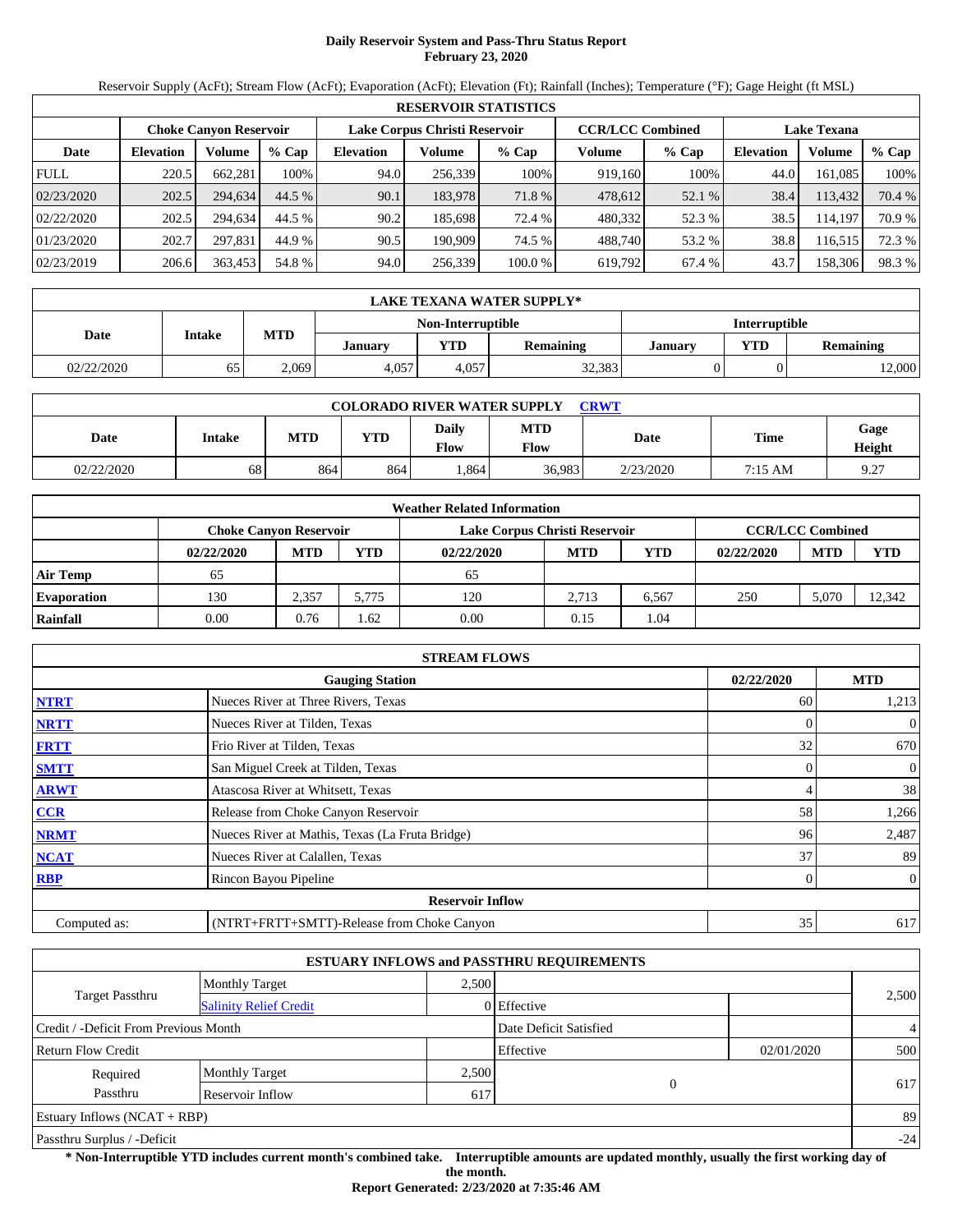# **Daily Reservoir System and Pass-Thru Status Report February 23, 2020**

Reservoir Supply (AcFt); Stream Flow (AcFt); Evaporation (AcFt); Elevation (Ft); Rainfall (Inches); Temperature (°F); Gage Height (ft MSL)

|             | <b>RESERVOIR STATISTICS</b> |                        |         |                  |         |                                                          |         |         |           |                    |        |  |
|-------------|-----------------------------|------------------------|---------|------------------|---------|----------------------------------------------------------|---------|---------|-----------|--------------------|--------|--|
|             |                             | Choke Canvon Reservoir |         |                  |         | Lake Corpus Christi Reservoir<br><b>CCR/LCC Combined</b> |         |         |           | <b>Lake Texana</b> |        |  |
| Date        | <b>Elevation</b>            | <b>Volume</b>          | $%$ Cap | <b>Elevation</b> | Volume  | $%$ Cap                                                  | Volume  | $%$ Cap | Elevation | Volume             | % Cap  |  |
| <b>FULL</b> | 220.5                       | 662.281                | 100%    | 94.0             | 256.339 | 100%                                                     | 919,160 | 100%    | 44.0      | 161.085            | 100%   |  |
| 02/23/2020  | 202.5                       | 294.634                | 44.5 %  | 90.1             | 183,978 | 71.8 %                                                   | 478,612 | 52.1 %  | 38.4      | 113,432            | 70.4 % |  |
| 02/22/2020  | 202.5                       | 294.634                | 44.5 %  | 90.2             | 185,698 | 72.4 %                                                   | 480,332 | 52.3 %  | 38.5      | 114.197            | 70.9 % |  |
| 01/23/2020  | 202.7                       | 297.831                | 44.9 %  | 90.5             | 190.909 | 74.5 %                                                   | 488.740 | 53.2 %  | 38.8      | 116.515            | 72.3 % |  |
| 02/23/2019  | 206.6                       | 363,453                | 54.8 %  | 94.0             | 256,339 | 100.0%                                                   | 619,792 | 67.4 %  | 43.7      | 158,306            | 98.3%  |  |

|            | LAKE TEXANA WATER SUPPLY* |            |         |                   |                  |                                           |                      |        |  |  |  |
|------------|---------------------------|------------|---------|-------------------|------------------|-------------------------------------------|----------------------|--------|--|--|--|
|            |                           |            |         | Non-Interruptible |                  |                                           | <b>Interruptible</b> |        |  |  |  |
| Date       | <b>Intake</b>             | <b>MTD</b> | Januarv | VTD               | <b>Remaining</b> | <b>VTD</b><br><b>Remaining</b><br>Januarv |                      |        |  |  |  |
| 02/22/2020 | 65                        | 2.069      | 4,057   | 4.057             | 32,383           |                                           |                      | 12,000 |  |  |  |

| <b>COLORADO RIVER WATER SUPPLY</b><br>CRWT |        |     |            |               |                    |             |             |                |  |  |
|--------------------------------------------|--------|-----|------------|---------------|--------------------|-------------|-------------|----------------|--|--|
| Date                                       | Intake | MTD | <b>YTD</b> | Daily<br>Flow | <b>MTD</b><br>Flow | <b>Date</b> | <b>Time</b> | Gage<br>Height |  |  |
| 02/22/2020                                 | 68     | 864 | 864        | .864          | 36,983             | 2/23/2020   | 7:15 AM     | 9.27           |  |  |

|                    |                               |            |       | <b>Weather Related Information</b> |            |            |            |                         |            |
|--------------------|-------------------------------|------------|-------|------------------------------------|------------|------------|------------|-------------------------|------------|
|                    | <b>Choke Canvon Reservoir</b> |            |       | Lake Corpus Christi Reservoir      |            |            |            | <b>CCR/LCC Combined</b> |            |
|                    | 02/22/2020                    | <b>MTD</b> | YTD   | 02/22/2020                         | <b>MTD</b> | <b>YTD</b> | 02/22/2020 | <b>MTD</b>              | <b>YTD</b> |
| <b>Air Temp</b>    | 65                            |            |       | 65                                 |            |            |            |                         |            |
| <b>Evaporation</b> | 130                           | 2.357      | 5.775 | 120                                | 2.713      | 6.567      | 250        | 5.070                   | 12.342     |
| Rainfall           | 0.00                          | 0.76       | .62   | 0.00                               | 0.15       | 1.04       |            |                         |            |

|              | <b>STREAM FLOWS</b>                             |            |                |
|--------------|-------------------------------------------------|------------|----------------|
|              | <b>Gauging Station</b>                          | 02/22/2020 | <b>MTD</b>     |
| <b>NTRT</b>  | Nueces River at Three Rivers, Texas             | 60         | 1,213          |
| <b>NRTT</b>  | Nueces River at Tilden, Texas                   |            | $\overline{0}$ |
| <b>FRTT</b>  | Frio River at Tilden, Texas                     | 32         | 670            |
| <b>SMTT</b>  | San Miguel Creek at Tilden, Texas               | 0          | $\overline{0}$ |
| <b>ARWT</b>  | Atascosa River at Whitsett, Texas               | 4          | 38             |
| <b>CCR</b>   | Release from Choke Canyon Reservoir             | 58         | 1,266          |
| <b>NRMT</b>  | Nueces River at Mathis, Texas (La Fruta Bridge) | 96         | 2,487          |
| <b>NCAT</b>  | Nueces River at Calallen, Texas                 | 37         | 89             |
| <b>RBP</b>   | Rincon Bayou Pipeline                           | 0          | $\overline{0}$ |
|              | <b>Reservoir Inflow</b>                         |            |                |
| Computed as: | (NTRT+FRTT+SMTT)-Release from Choke Canyon      | 35         | 617            |

|                                       |                               |       | <b>ESTUARY INFLOWS and PASSTHRU REQUIREMENTS</b> |            |       |
|---------------------------------------|-------------------------------|-------|--------------------------------------------------|------------|-------|
|                                       | <b>Monthly Target</b>         | 2.500 |                                                  |            |       |
| <b>Target Passthru</b>                | <b>Salinity Relief Credit</b> |       | 0 Effective                                      |            | 2,500 |
| Credit / -Deficit From Previous Month |                               |       | Date Deficit Satisfied                           |            | 4     |
| <b>Return Flow Credit</b>             |                               |       | Effective                                        | 02/01/2020 | 500   |
| Required                              | <b>Monthly Target</b>         | 2,500 |                                                  |            |       |
| Passthru                              | Reservoir Inflow              | 617   | 0                                                |            | 617   |
| Estuary Inflows $(NCAT + RBP)$        |                               |       |                                                  |            | 89    |
| Passthru Surplus / -Deficit           |                               |       |                                                  |            | $-24$ |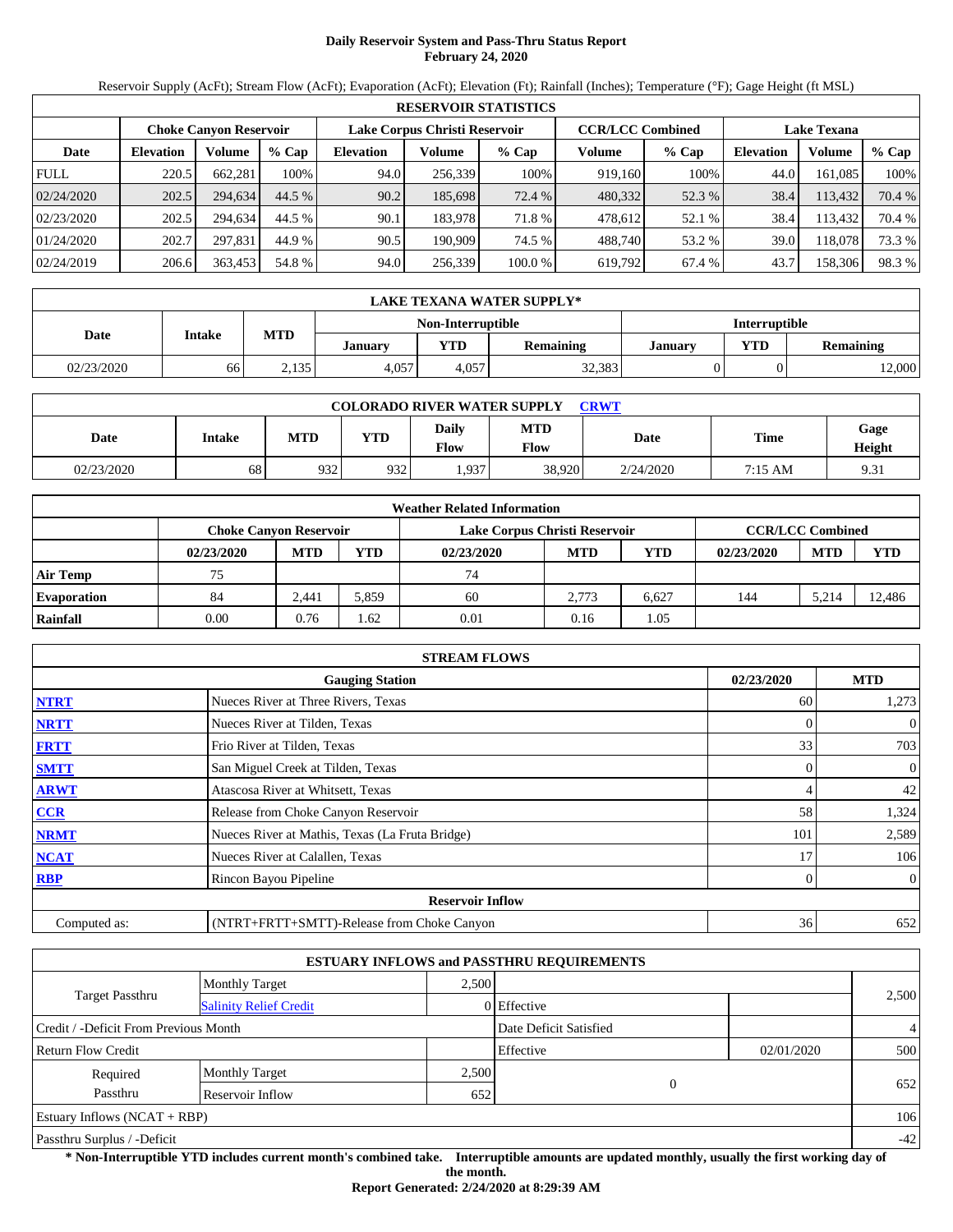# **Daily Reservoir System and Pass-Thru Status Report February 24, 2020**

Reservoir Supply (AcFt); Stream Flow (AcFt); Evaporation (AcFt); Elevation (Ft); Rainfall (Inches); Temperature (°F); Gage Height (ft MSL)

|             | <b>RESERVOIR STATISTICS</b> |                        |         |                               |         |         |                         |         |                    |         |        |  |
|-------------|-----------------------------|------------------------|---------|-------------------------------|---------|---------|-------------------------|---------|--------------------|---------|--------|--|
|             |                             | Choke Canvon Reservoir |         | Lake Corpus Christi Reservoir |         |         | <b>CCR/LCC Combined</b> |         | <b>Lake Texana</b> |         |        |  |
| Date        | <b>Elevation</b>            | Volume                 | $%$ Cap | <b>Elevation</b>              | Volume  | $%$ Cap | Volume                  | $%$ Cap | <b>Elevation</b>   | Volume  | % Cap  |  |
| <b>FULL</b> | 220.5                       | 662,281                | 100%    | 94.0                          | 256,339 | 100%    | 919,160                 | 100%    | 44.0               | 161.085 | 100%   |  |
| 02/24/2020  | 202.5                       | 294.634                | 44.5 %  | 90.2                          | 185,698 | 72.4 %  | 480,332                 | 52.3 %  | 38.4               | 113,432 | 70.4 % |  |
| 02/23/2020  | 202.5                       | 294.634                | 44.5 %  | 90.1                          | 183.978 | 71.8 %  | 478,612                 | 52.1 %  | 38.4               | 13.432  | 70.4 % |  |
| 01/24/2020  | 202.7                       | 297.831                | 44.9 %  | 90.5                          | 190.909 | 74.5 %  | 488,740                 | 53.2 %  | 39.0               | 118.078 | 73.3 % |  |
| 02/24/2019  | 206.6                       | 363,453                | 54.8 %  | 94.0                          | 256,339 | 100.0 % | 619,792                 | 67.4 %  | 43.7               | 158,306 | 98.3%  |  |

|            | LAKE TEXANA WATER SUPPLY* |            |         |                   |                  |                      |            |                  |  |  |  |
|------------|---------------------------|------------|---------|-------------------|------------------|----------------------|------------|------------------|--|--|--|
|            |                           |            |         | Non-Interruptible |                  | <b>Interruptible</b> |            |                  |  |  |  |
| Date       | <b>Intake</b>             | <b>MTD</b> | Januarv | <b>YTD</b>        | <b>Remaining</b> | Januarv              | <b>VTD</b> | <b>Remaining</b> |  |  |  |
| 02/23/2020 | 66                        | 2,135      | 4,057   | 4.057             | 32,383           |                      |            | 12,000           |  |  |  |

| <b>COLORADO RIVER WATER SUPPLY</b><br>CRWT |        |     |            |               |                    |             |             |                |  |  |
|--------------------------------------------|--------|-----|------------|---------------|--------------------|-------------|-------------|----------------|--|--|
| Date                                       | Intake | MTD | <b>YTD</b> | Daily<br>Flow | <b>MTD</b><br>Flow | <b>Date</b> | <b>Time</b> | Gage<br>Height |  |  |
| 02/23/2020                                 | 68     | 932 | 932        | .937          | 38,920             | 2/24/2020   | 7:15 AM     | 9.31           |  |  |

|                    |                               |            |            | <b>Weather Related Information</b> |            |       |            |                         |            |
|--------------------|-------------------------------|------------|------------|------------------------------------|------------|-------|------------|-------------------------|------------|
|                    | <b>Choke Canyon Reservoir</b> |            |            | Lake Corpus Christi Reservoir      |            |       |            | <b>CCR/LCC Combined</b> |            |
|                    | 02/23/2020                    | <b>MTD</b> | <b>YTD</b> | 02/23/2020                         | <b>MTD</b> | YTD   | 02/23/2020 | <b>MTD</b>              | <b>YTD</b> |
| <b>Air Temp</b>    | 75                            |            |            | 74                                 |            |       |            |                         |            |
| <b>Evaporation</b> | 84                            | 2.441      | 5.859      | 60                                 | 2.773      | 6.627 | 144        | 5.214                   | 12.486     |
| Rainfall           | 0.00                          | 0.76       | .62        | 0.01                               | 0.16       | 1.05  |            |                         |            |

|              | <b>STREAM FLOWS</b>                             |                |              |
|--------------|-------------------------------------------------|----------------|--------------|
|              | <b>Gauging Station</b>                          | 02/23/2020     | <b>MTD</b>   |
| <b>NTRT</b>  | Nueces River at Three Rivers, Texas             | 60             | 1,273        |
| <b>NRTT</b>  | Nueces River at Tilden, Texas                   | $\Omega$       | $\mathbf{0}$ |
| <b>FRTT</b>  | Frio River at Tilden, Texas                     | 33             | 703          |
| <b>SMTT</b>  | San Miguel Creek at Tilden, Texas               | $\overline{0}$ | $\mathbf{0}$ |
| <b>ARWT</b>  | Atascosa River at Whitsett, Texas               | 4              | 42           |
| <b>CCR</b>   | Release from Choke Canyon Reservoir             | 58             | 1,324        |
| <b>NRMT</b>  | Nueces River at Mathis, Texas (La Fruta Bridge) | 101            | 2,589        |
| <b>NCAT</b>  | Nueces River at Calallen, Texas                 | 17             | 106          |
| <b>RBP</b>   | Rincon Bayou Pipeline                           | $\mathbf{0}$   | $\mathbf{0}$ |
|              | <b>Reservoir Inflow</b>                         |                |              |
| Computed as: | (NTRT+FRTT+SMTT)-Release from Choke Canyon      | 36             | 652          |

|                                                         |                       |       | <b>ESTUARY INFLOWS and PASSTHRU REQUIREMENTS</b> |            |                |
|---------------------------------------------------------|-----------------------|-------|--------------------------------------------------|------------|----------------|
|                                                         | <b>Monthly Target</b> | 2.500 |                                                  |            |                |
| <b>Target Passthru</b><br><b>Salinity Relief Credit</b> |                       |       | 0 Effective                                      |            | 2,500          |
| Credit / -Deficit From Previous Month                   |                       |       | Date Deficit Satisfied                           |            | $\overline{4}$ |
| <b>Return Flow Credit</b>                               |                       |       | Effective                                        | 02/01/2020 | 500            |
| Required                                                | <b>Monthly Target</b> | 2,500 |                                                  |            |                |
| Passthru                                                | Reservoir Inflow      | 652   | $\mathbf{0}$                                     |            | 652            |
| Estuary Inflows $(NCAT + RBP)$                          |                       |       |                                                  |            | 106            |
| Passthru Surplus / -Deficit                             |                       |       |                                                  |            | $-42$          |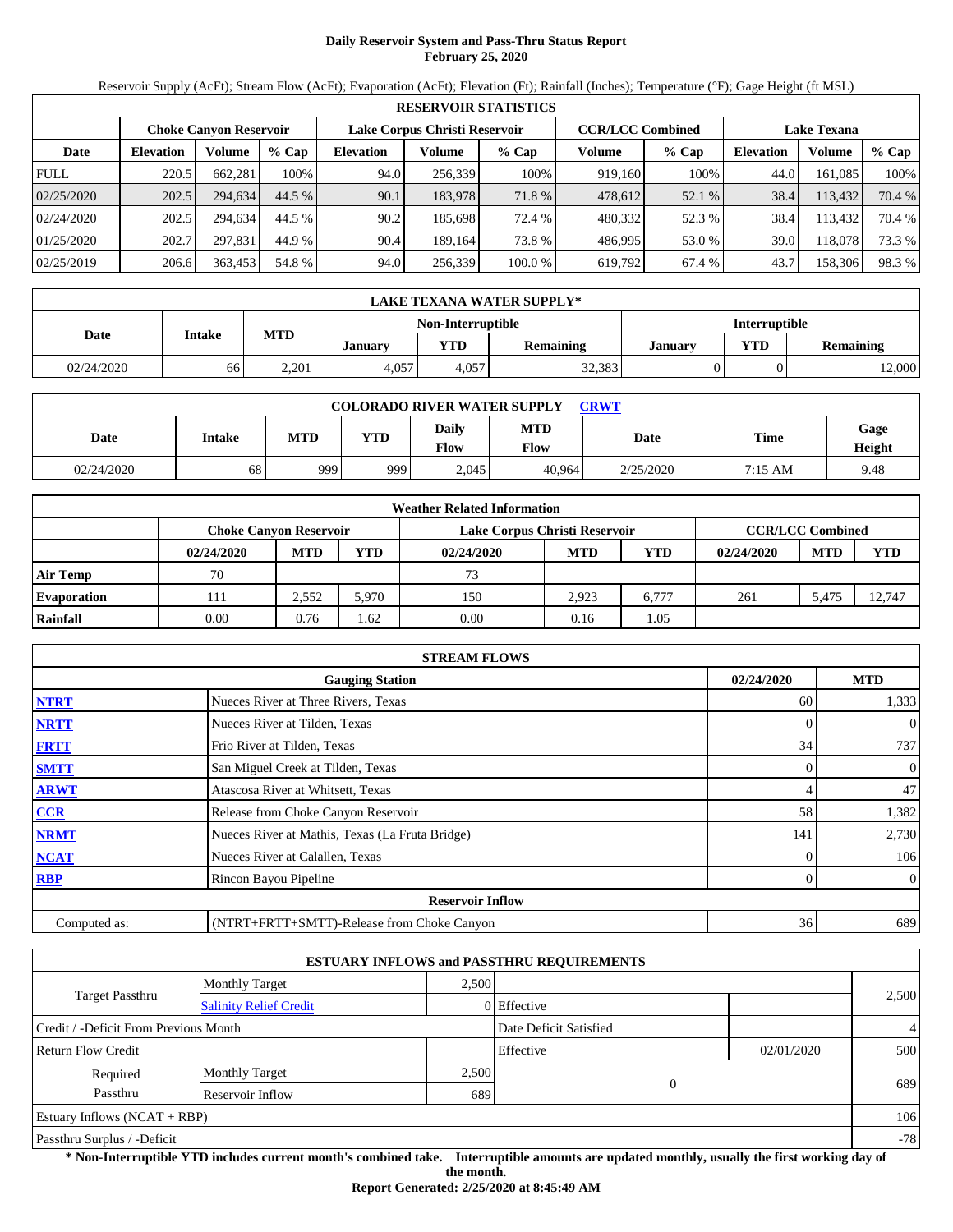### **Daily Reservoir System and Pass-Thru Status Report February 25, 2020**

Reservoir Supply (AcFt); Stream Flow (AcFt); Evaporation (AcFt); Elevation (Ft); Rainfall (Inches); Temperature (°F); Gage Height (ft MSL)

|             | <b>RESERVOIR STATISTICS</b> |                               |         |                               |         |         |                         |         |                    |         |        |
|-------------|-----------------------------|-------------------------------|---------|-------------------------------|---------|---------|-------------------------|---------|--------------------|---------|--------|
|             |                             | <b>Choke Canyon Reservoir</b> |         | Lake Corpus Christi Reservoir |         |         | <b>CCR/LCC Combined</b> |         | <b>Lake Texana</b> |         |        |
| Date        | <b>Elevation</b>            | Volume                        | $%$ Cap | <b>Elevation</b>              | Volume  | $%$ Cap | Volume                  | $%$ Cap | <b>Elevation</b>   | Volume  | % Cap  |
| <b>FULL</b> | 220.5                       | 662.281                       | 100%    | 94.0                          | 256,339 | 100%    | 919,160                 | 100%    | 44.0               | 161.085 | 100%   |
| 02/25/2020  | 202.5                       | 294.634                       | 44.5 %  | 90.1                          | 183,978 | 71.8 %  | 478,612                 | 52.1 %  | 38.4               | 113,432 | 70.4 % |
| 02/24/2020  | 202.5                       | 294.634                       | 44.5 %  | 90.2                          | 185,698 | 72.4 %  | 480,332                 | 52.3 %  | 38.4               | 113.432 | 70.4 % |
| 01/25/2020  | 202.7                       | 297.831                       | 44.9 %  | 90.4                          | 189.164 | 73.8 %  | 486.995                 | 53.0 %  | 39.0               | 118.078 | 73.3 % |
| 02/25/2019  | 206.6                       | 363,453                       | 54.8 %  | 94.0                          | 256,339 | 100.0 % | 619,792                 | 67.4 %  | 43.7               | 158,306 | 98.3%  |

|            | LAKE TEXANA WATER SUPPLY* |            |         |                   |                  |                      |            |                  |  |  |  |
|------------|---------------------------|------------|---------|-------------------|------------------|----------------------|------------|------------------|--|--|--|
|            |                           |            |         | Non-Interruptible |                  | <b>Interruptible</b> |            |                  |  |  |  |
| Date       | <b>Intake</b>             | <b>MTD</b> | Januarv | VTD               | <b>Remaining</b> | <b>January</b>       | <b>VTD</b> | <b>Remaining</b> |  |  |  |
| 02/24/2020 | 66                        | 2.201      | 4.057   | 4.057             | 32,383           |                      |            | 12,000           |  |  |  |

| <b>COLORADO RIVER WATER SUPPLY</b><br><b>CRWT</b> |        |     |            |                        |                           |             |         |                |  |  |
|---------------------------------------------------|--------|-----|------------|------------------------|---------------------------|-------------|---------|----------------|--|--|
| Date                                              | Intake | MTD | <b>YTD</b> | Daily<br>$F_{\rm low}$ | <b>MTD</b><br><b>Flow</b> | <b>Date</b> | Time    | Gage<br>Height |  |  |
| 02/24/2020                                        | 68     | 999 | 999        | 2.045                  | 40.964                    | 2/25/2020   | 7:15 AM | 9.48           |  |  |

|                    |            |                               |       | <b>Weather Related Information</b> |            |       |            |                         |            |
|--------------------|------------|-------------------------------|-------|------------------------------------|------------|-------|------------|-------------------------|------------|
|                    |            | <b>Choke Canvon Reservoir</b> |       | Lake Corpus Christi Reservoir      |            |       |            | <b>CCR/LCC Combined</b> |            |
|                    | 02/24/2020 | <b>MTD</b>                    | YTD   | 02/24/2020                         | <b>MTD</b> | YTD   | 02/24/2020 | <b>MTD</b>              | <b>YTD</b> |
| <b>Air Temp</b>    | 70         |                               |       | 73                                 |            |       |            |                         |            |
| <b>Evaporation</b> | 111        | 2.552                         | 5.970 | 150                                | 2.923      | 6.777 | 261        | 5.475                   | 12,747     |
| Rainfall           | 0.00       | 0.76                          | l.62  | 0.00                               | 0.16       | 1.05  |            |                         |            |

|              | <b>STREAM FLOWS</b>                             |            |                |
|--------------|-------------------------------------------------|------------|----------------|
|              | <b>Gauging Station</b>                          | 02/24/2020 | <b>MTD</b>     |
| <b>NTRT</b>  | Nueces River at Three Rivers, Texas             | 60         | 1,333          |
| <b>NRTT</b>  | Nueces River at Tilden, Texas                   |            | $\overline{0}$ |
| <b>FRTT</b>  | Frio River at Tilden, Texas                     | 34         | 737            |
| <b>SMTT</b>  | San Miguel Creek at Tilden, Texas               | 0          | $\overline{0}$ |
| <b>ARWT</b>  | Atascosa River at Whitsett, Texas               | 4          | 47             |
| CCR          | Release from Choke Canyon Reservoir             | 58         | 1,382          |
| <b>NRMT</b>  | Nueces River at Mathis, Texas (La Fruta Bridge) | 141        | 2,730          |
| <b>NCAT</b>  | Nueces River at Calallen, Texas                 |            | 106            |
| <b>RBP</b>   | Rincon Bayou Pipeline                           | 0          | $\overline{0}$ |
|              | <b>Reservoir Inflow</b>                         |            |                |
| Computed as: | (NTRT+FRTT+SMTT)-Release from Choke Canyon      | 36         | 689            |

|                                       |                               |       | <b>ESTUARY INFLOWS and PASSTHRU REQUIREMENTS</b> |            |                |
|---------------------------------------|-------------------------------|-------|--------------------------------------------------|------------|----------------|
|                                       | <b>Monthly Target</b>         | 2.500 |                                                  |            |                |
| <b>Target Passthru</b>                | <b>Salinity Relief Credit</b> |       | 0 Effective                                      |            | 2,500          |
| Credit / -Deficit From Previous Month |                               |       | Date Deficit Satisfied                           |            | $\overline{4}$ |
| <b>Return Flow Credit</b>             |                               |       | Effective                                        | 02/01/2020 | 500            |
| Required                              | <b>Monthly Target</b>         | 2,500 |                                                  |            |                |
| Passthru                              | Reservoir Inflow              | 689   | $\Omega$                                         |            | 689            |
| Estuary Inflows $(NCAT + RBP)$        |                               |       |                                                  |            | 106            |
| Passthru Surplus / -Deficit           |                               |       |                                                  |            | $-78$          |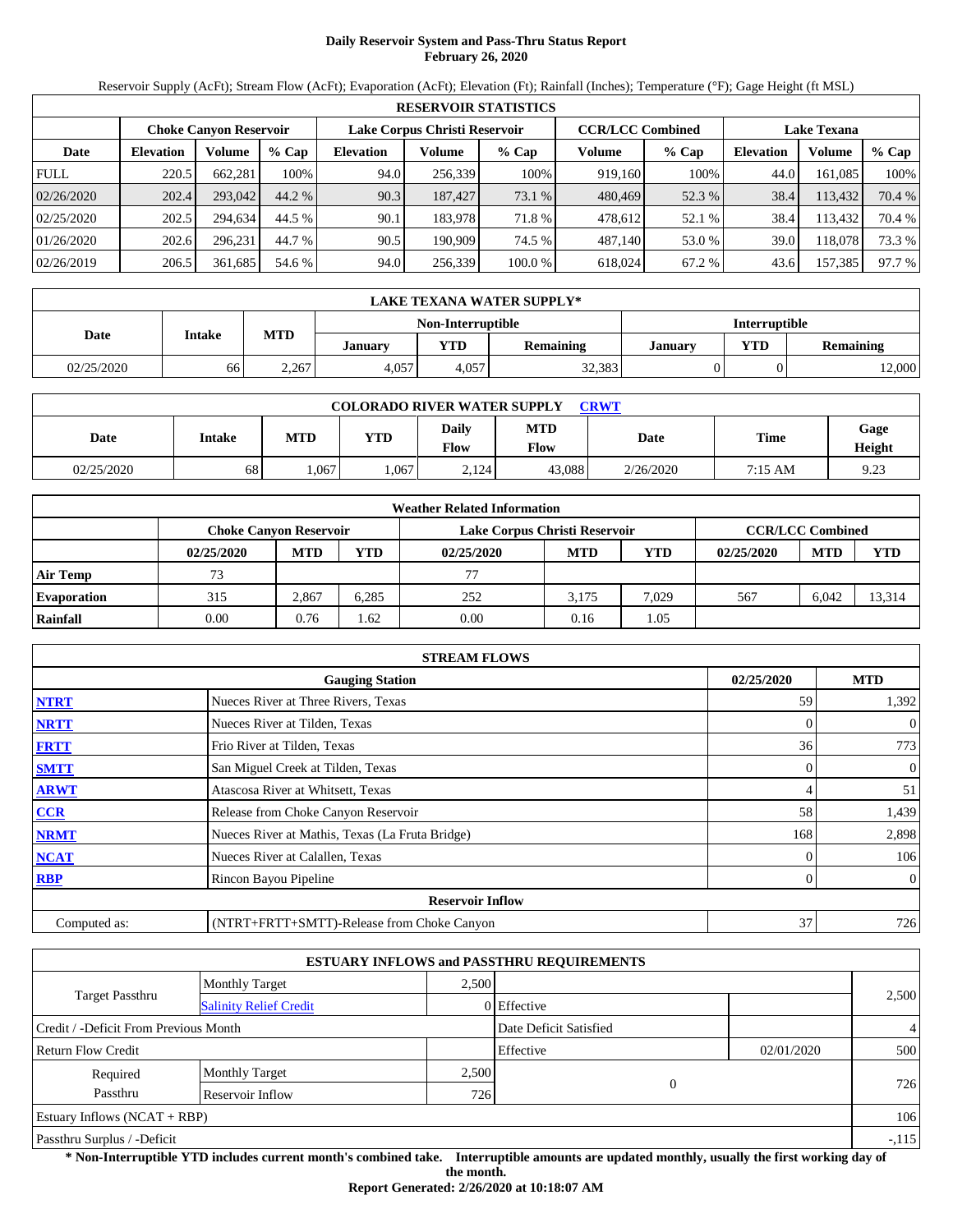# **Daily Reservoir System and Pass-Thru Status Report February 26, 2020**

Reservoir Supply (AcFt); Stream Flow (AcFt); Evaporation (AcFt); Elevation (Ft); Rainfall (Inches); Temperature (°F); Gage Height (ft MSL)

|             |                  |                               |         |                               |         | <b>RESERVOIR STATISTICS</b> |                         |         |                    |         |        |
|-------------|------------------|-------------------------------|---------|-------------------------------|---------|-----------------------------|-------------------------|---------|--------------------|---------|--------|
|             |                  | <b>Choke Canyon Reservoir</b> |         | Lake Corpus Christi Reservoir |         |                             | <b>CCR/LCC Combined</b> |         | <b>Lake Texana</b> |         |        |
| Date        | <b>Elevation</b> | Volume                        | $%$ Cap | <b>Elevation</b>              | Volume  | $%$ Cap                     | Volume                  | $%$ Cap | <b>Elevation</b>   | Volume  | % Cap  |
| <b>FULL</b> | 220.5            | 662.281                       | 100%    | 94.0                          | 256.339 | 100%                        | 919.160                 | 100%    | 44.0               | 161.085 | 100%   |
| 02/26/2020  | 202.4            | 293,042                       | 44.2 %  | 90.3                          | 187,427 | 73.1 %                      | 480,469                 | 52.3 %  | 38.4               | 113,432 | 70.4 % |
| 02/25/2020  | 202.5            | 294.634                       | 44.5 %  | 90.1                          | 183.978 | 71.8 %                      | 478.612                 | 52.1 %  | 38.4               | 113.432 | 70.4 % |
| 01/26/2020  | 202.6            | 296.231                       | 44.7 %  | 90.5                          | 190.909 | 74.5 %                      | 487.140                 | 53.0 %  | 39.0               | 118.078 | 73.3 % |
| 02/26/2019  | 206.5            | 361,685                       | 54.6 %  | 94.0                          | 256,339 | 100.0 %                     | 618.024                 | 67.2 %  | 43.6               | 157,385 | 97.7 % |

|            | LAKE TEXANA WATER SUPPLY* |                      |                |       |                  |                |            |                  |  |  |
|------------|---------------------------|----------------------|----------------|-------|------------------|----------------|------------|------------------|--|--|
|            |                           | <b>Interruptible</b> |                |       |                  |                |            |                  |  |  |
| Date       | <b>Intake</b>             | <b>MTD</b>           | <b>January</b> | YTD   | <b>Remaining</b> | <b>January</b> | <b>VTD</b> | <b>Remaining</b> |  |  |
| 02/25/2020 | 66                        | 2.267                | 4.057          | 4.057 | 32,383           |                |            | 12,000           |  |  |

| <b>COLORADO RIVER WATER SUPPLY</b><br>CRWT |        |            |            |               |                    |           |         |                |  |  |
|--------------------------------------------|--------|------------|------------|---------------|--------------------|-----------|---------|----------------|--|--|
| Date                                       | Intake | <b>MTD</b> | <b>YTD</b> | Daily<br>Flow | <b>MTD</b><br>Flow | Date      | Time    | Gage<br>Height |  |  |
| 02/25/2020                                 | 68     | .067       | .067       | 2.124         | 43.088             | 2/26/2020 | 7:15 AM | 9.23           |  |  |

|                    |                               |            |       | <b>Weather Related Information</b> |            |            |            |                         |            |
|--------------------|-------------------------------|------------|-------|------------------------------------|------------|------------|------------|-------------------------|------------|
|                    | <b>Choke Canvon Reservoir</b> |            |       | Lake Corpus Christi Reservoir      |            |            |            | <b>CCR/LCC Combined</b> |            |
|                    | 02/25/2020                    | <b>MTD</b> | YTD   | 02/25/2020                         | <b>MTD</b> | <b>YTD</b> | 02/25/2020 | <b>MTD</b>              | <b>YTD</b> |
| <b>Air Temp</b>    | 73                            |            |       | 77                                 |            |            |            |                         |            |
| <b>Evaporation</b> | 315                           | 2.867      | 6.285 | 252                                | 3.175      | 7.029      | 567        | 6.042                   | 13,314     |
| Rainfall           | 0.00                          | 0.76       | .62   | 0.00                               | 0.16       | 1.05       |            |                         |            |

|              | <b>STREAM FLOWS</b>                             |            |                |
|--------------|-------------------------------------------------|------------|----------------|
|              | <b>Gauging Station</b>                          | 02/25/2020 | <b>MTD</b>     |
| <b>NTRT</b>  | Nueces River at Three Rivers, Texas             | 59         | 1,392          |
| <b>NRTT</b>  | Nueces River at Tilden, Texas                   | 0          | $\overline{0}$ |
| <b>FRTT</b>  | Frio River at Tilden, Texas                     | 36         | 773            |
| <b>SMTT</b>  | San Miguel Creek at Tilden, Texas               | 0          | $\overline{0}$ |
| <b>ARWT</b>  | Atascosa River at Whitsett, Texas               | 4          | 51             |
| CCR          | Release from Choke Canyon Reservoir             | 58         | 1,439          |
| <b>NRMT</b>  | Nueces River at Mathis, Texas (La Fruta Bridge) | 168        | 2,898          |
| <b>NCAT</b>  | Nueces River at Calallen, Texas                 |            | 106            |
| <b>RBP</b>   | Rincon Bayou Pipeline                           | 0          | $\overline{0}$ |
|              | <b>Reservoir Inflow</b>                         |            |                |
| Computed as: | (NTRT+FRTT+SMTT)-Release from Choke Canyon      | 37         | 726            |

|                                       |                               |       | <b>ESTUARY INFLOWS and PASSTHRU REQUIREMENTS</b> |            |        |
|---------------------------------------|-------------------------------|-------|--------------------------------------------------|------------|--------|
|                                       | <b>Monthly Target</b>         | 2.500 |                                                  |            |        |
| <b>Target Passthru</b>                | <b>Salinity Relief Credit</b> |       | 0 Effective                                      |            | 2,500  |
| Credit / -Deficit From Previous Month |                               |       | Date Deficit Satisfied                           |            | 4      |
| <b>Return Flow Credit</b>             |                               |       | Effective                                        | 02/01/2020 | 500    |
| Required                              | <b>Monthly Target</b>         | 2,500 |                                                  |            |        |
| Passthru                              | Reservoir Inflow              | 726   | 0                                                |            | 726    |
| Estuary Inflows $(NCAT + RBP)$        |                               |       |                                                  |            | 106    |
| Passthru Surplus / -Deficit           |                               |       |                                                  |            | $-115$ |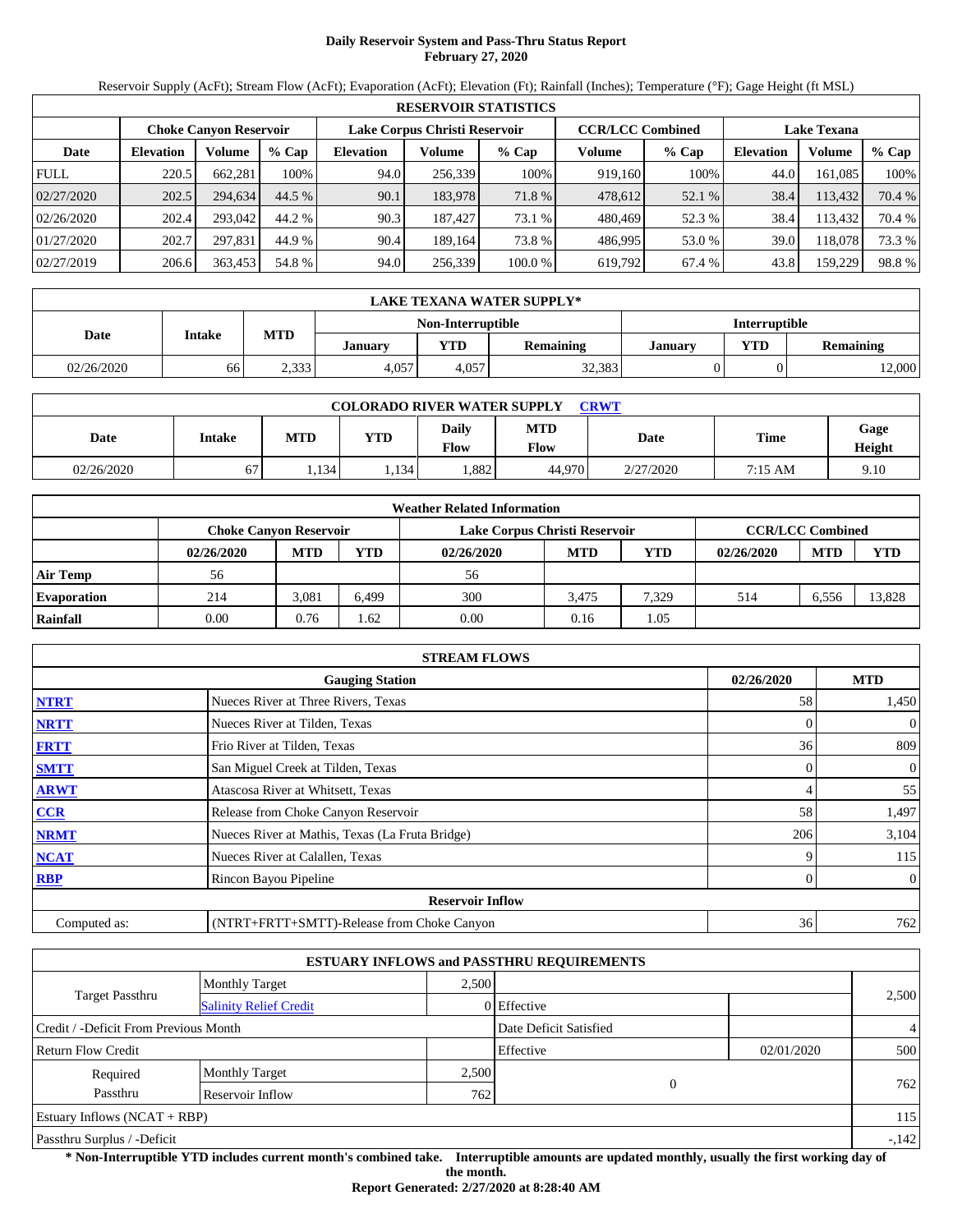# **Daily Reservoir System and Pass-Thru Status Report February 27, 2020**

Reservoir Supply (AcFt); Stream Flow (AcFt); Evaporation (AcFt); Elevation (Ft); Rainfall (Inches); Temperature (°F); Gage Height (ft MSL)

|             | <b>RESERVOIR STATISTICS</b> |                        |         |                               |         |         |                         |         |                    |         |        |  |
|-------------|-----------------------------|------------------------|---------|-------------------------------|---------|---------|-------------------------|---------|--------------------|---------|--------|--|
|             |                             | Choke Canvon Reservoir |         | Lake Corpus Christi Reservoir |         |         | <b>CCR/LCC Combined</b> |         | <b>Lake Texana</b> |         |        |  |
| Date        | <b>Elevation</b>            | Volume                 | $%$ Cap | <b>Elevation</b>              | Volume  | $%$ Cap | Volume                  | $%$ Cap | <b>Elevation</b>   | Volume  | % Cap  |  |
| <b>FULL</b> | 220.5                       | 662,281                | 100%    | 94.0                          | 256,339 | 100%    | 919,160                 | 100%    | 44.0               | 161.085 | 100%   |  |
| 02/27/2020  | 202.5                       | 294.634                | 44.5 %  | 90.1                          | 183,978 | 71.8 %  | 478,612                 | 52.1 %  | 38.4               | 113,432 | 70.4 % |  |
| 02/26/2020  | 202.4                       | 293,042                | 44.2 %  | 90.3                          | 187.427 | 73.1 %  | 480.469                 | 52.3 %  | 38.4               | 13.432  | 70.4 % |  |
| 01/27/2020  | 202.7                       | 297.831                | 44.9 %  | 90.4                          | 189.164 | 73.8 %  | 486.995                 | 53.0 %  | 39.0               | 118.078 | 73.3 % |  |
| 02/27/2019  | 206.6                       | 363,453                | 54.8 %  | 94.0                          | 256,339 | 100.0 % | 619,792                 | 67.4 %  | 43.8               | 159,229 | 98.8%  |  |

|            | LAKE TEXANA WATER SUPPLY*                      |       |       |                   |                  |                      |            |                  |  |  |  |
|------------|------------------------------------------------|-------|-------|-------------------|------------------|----------------------|------------|------------------|--|--|--|
|            |                                                |       |       | Non-Interruptible |                  | <b>Interruptible</b> |            |                  |  |  |  |
|            | <b>MTD</b><br><b>Intake</b><br>Date<br>Januarv |       |       |                   | <b>Remaining</b> | <b>January</b>       | <b>VTD</b> | <b>Remaining</b> |  |  |  |
| 02/26/2020 | 66                                             | 2.333 | 4.057 | 4.057             | 32,383           |                      |            | 12,000           |  |  |  |

| <b>COLORADO RIVER WATER SUPPLY</b><br><b>CRWT</b> |        |       |            |                      |             |             |             |                |  |  |  |
|---------------------------------------------------|--------|-------|------------|----------------------|-------------|-------------|-------------|----------------|--|--|--|
| Date                                              | Intake | MTD   | <b>YTD</b> | <b>Daily</b><br>Flow | MTD<br>Flow | <b>Date</b> | <b>Time</b> | Gage<br>Height |  |  |  |
| 02/26/2020                                        | 67     | 1,134 | .134       | .882                 | 44.970      | 2/27/2020   | 7:15 AM     | 9.10           |  |  |  |

|                    |            |                                                                                           |       | <b>Weather Related Information</b> |            |       |            |            |            |  |
|--------------------|------------|-------------------------------------------------------------------------------------------|-------|------------------------------------|------------|-------|------------|------------|------------|--|
|                    |            | <b>CCR/LCC Combined</b><br>Lake Corpus Christi Reservoir<br><b>Choke Canvon Reservoir</b> |       |                                    |            |       |            |            |            |  |
|                    | 02/26/2020 | <b>MTD</b>                                                                                | YTD   | 02/26/2020                         | <b>MTD</b> | YTD   | 02/26/2020 | <b>MTD</b> | <b>YTD</b> |  |
| <b>Air Temp</b>    | 56         |                                                                                           |       | 56                                 |            |       |            |            |            |  |
| <b>Evaporation</b> | 214        | 3.081                                                                                     | 6.499 | 300                                | 3.475      | 7.329 | 514        | 6.556      | 13,828     |  |
| Rainfall           | 0.00       | 0.76                                                                                      | .62   | 0.00                               | 0.16       | 1.05  |            |            |            |  |

|              | <b>STREAM FLOWS</b>                             |            |                |
|--------------|-------------------------------------------------|------------|----------------|
|              | <b>Gauging Station</b>                          | 02/26/2020 | <b>MTD</b>     |
| <b>NTRT</b>  | Nueces River at Three Rivers, Texas             | 58         | 1,450          |
| <b>NRTT</b>  | Nueces River at Tilden, Texas                   |            | $\overline{0}$ |
| <b>FRTT</b>  | Frio River at Tilden, Texas                     | 36         | 809            |
| <b>SMTT</b>  | San Miguel Creek at Tilden, Texas               | 0          | $\overline{0}$ |
| <b>ARWT</b>  | Atascosa River at Whitsett, Texas               | 4          | 55             |
| <b>CCR</b>   | Release from Choke Canyon Reservoir             | 58         | 1,497          |
| <b>NRMT</b>  | Nueces River at Mathis, Texas (La Fruta Bridge) | 206        | 3,104          |
| <b>NCAT</b>  | Nueces River at Calallen, Texas                 |            | 115            |
| <b>RBP</b>   | Rincon Bayou Pipeline                           | 0          | $\overline{0}$ |
|              | <b>Reservoir Inflow</b>                         |            |                |
| Computed as: | (NTRT+FRTT+SMTT)-Release from Choke Canyon      | 36         | 762            |

|                                                         |                       |       | <b>ESTUARY INFLOWS and PASSTHRU REQUIREMENTS</b> |            |        |
|---------------------------------------------------------|-----------------------|-------|--------------------------------------------------|------------|--------|
|                                                         | <b>Monthly Target</b> | 2.500 |                                                  |            |        |
| <b>Target Passthru</b><br><b>Salinity Relief Credit</b> |                       |       | 0 Effective                                      |            | 2,500  |
| Credit / -Deficit From Previous Month                   |                       |       | Date Deficit Satisfied                           |            | 4      |
| <b>Return Flow Credit</b>                               |                       |       | Effective                                        | 02/01/2020 | 500    |
| Required                                                | <b>Monthly Target</b> | 2,500 |                                                  |            |        |
| Passthru                                                | Reservoir Inflow      | 762   | 0                                                |            | 762    |
| Estuary Inflows $(NCAT + RBP)$                          |                       |       |                                                  |            | 115    |
| Passthru Surplus / -Deficit                             |                       |       |                                                  |            | $-142$ |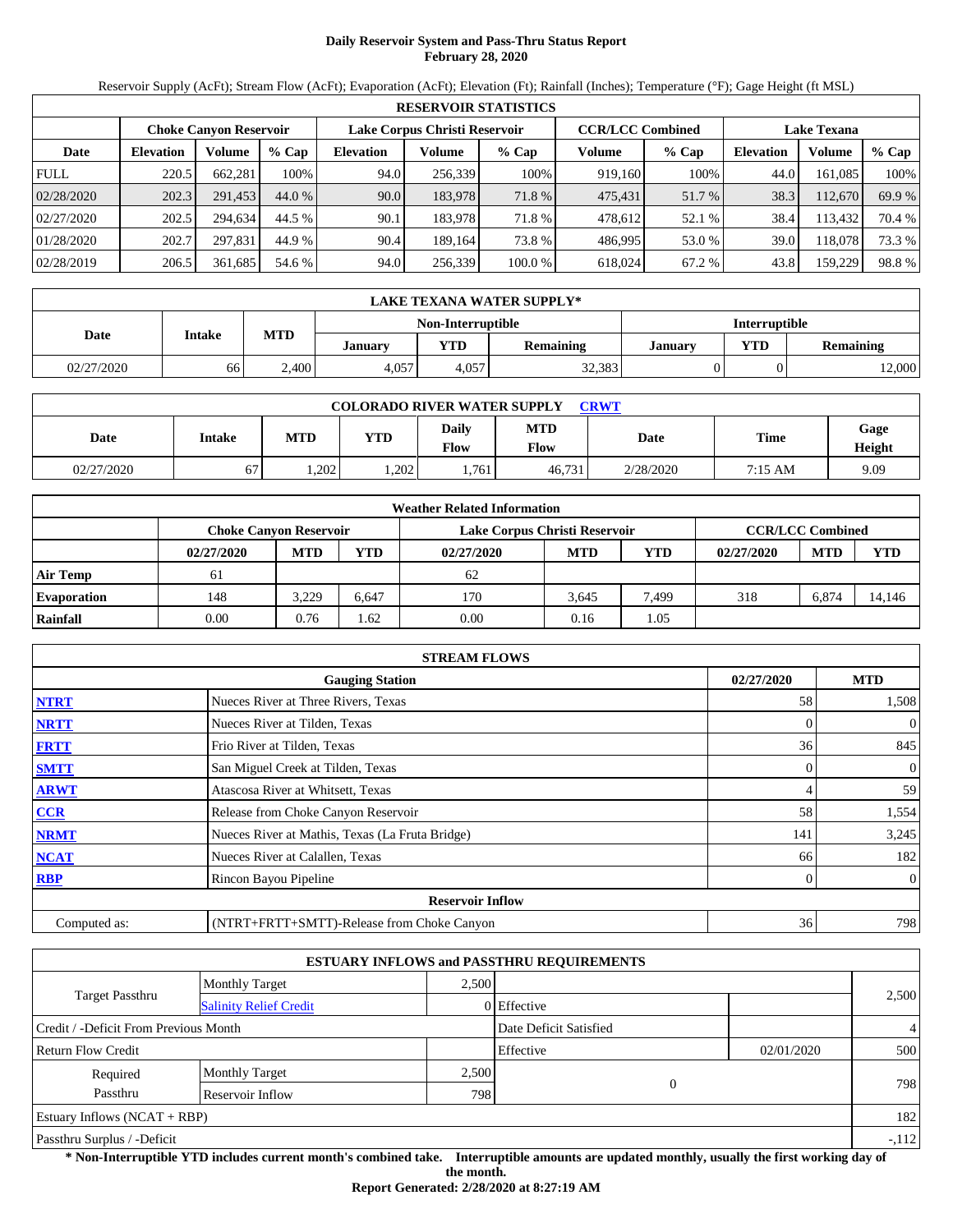# **Daily Reservoir System and Pass-Thru Status Report February 28, 2020**

Reservoir Supply (AcFt); Stream Flow (AcFt); Evaporation (AcFt); Elevation (Ft); Rainfall (Inches); Temperature (°F); Gage Height (ft MSL)

|             | <b>RESERVOIR STATISTICS</b> |                        |         |                  |                               |         |                         |         |                    |         |        |  |
|-------------|-----------------------------|------------------------|---------|------------------|-------------------------------|---------|-------------------------|---------|--------------------|---------|--------|--|
|             |                             | Choke Canvon Reservoir |         |                  | Lake Corpus Christi Reservoir |         | <b>CCR/LCC Combined</b> |         | <b>Lake Texana</b> |         |        |  |
| Date        | <b>Elevation</b>            | Volume                 | $%$ Cap | <b>Elevation</b> | Volume                        | $%$ Cap | Volume                  | $%$ Cap | <b>Elevation</b>   | Volume  | % Cap  |  |
| <b>FULL</b> | 220.5                       | 662,281                | 100%    | 94.0             | 256,339                       | 100%    | 919,160                 | 100%    | 44.0               | 161.085 | 100%   |  |
| 02/28/2020  | 202.3                       | 291.453                | 44.0 %  | 90.0             | 183,978                       | 71.8 %  | 475,431                 | 51.7 %  | 38.3               | 112,670 | 69.9 % |  |
| 02/27/2020  | 202.5                       | 294.634                | 44.5 %  | 90.1             | 183.978                       | 71.8 %  | 478,612                 | 52.1 %  | 38.4               | 13.432  | 70.4 % |  |
| 01/28/2020  | 202.7                       | 297.831                | 44.9 %  | 90.4             | 189.164                       | 73.8 %  | 486.995                 | 53.0 %  | 39.0               | 118.078 | 73.3 % |  |
| 02/28/2019  | 206.5                       | 361,685                | 54.6 %  | 94.0             | 256,339                       | 100.0 % | 618,024                 | 67.2 %  | 43.8               | 159,229 | 98.8%  |  |

|            | LAKE TEXANA WATER SUPPLY* |            |         |                   |                  |                      |            |                  |  |  |  |
|------------|---------------------------|------------|---------|-------------------|------------------|----------------------|------------|------------------|--|--|--|
|            |                           |            |         | Non-Interruptible |                  | <b>Interruptible</b> |            |                  |  |  |  |
| Date       | <b>Intake</b>             | <b>MTD</b> | Januarv | <b>YTD</b>        | <b>Remaining</b> | January              | <b>VTD</b> | <b>Remaining</b> |  |  |  |
| 02/27/2020 | 66                        | 2,400      | 4,057   | 4.057             | 32,383           |                      |            | 12,000           |  |  |  |

| <b>COLORADO RIVER WATER SUPPLY</b><br><b>CRWT</b> |        |      |            |                      |             |             |             |                |  |  |  |
|---------------------------------------------------|--------|------|------------|----------------------|-------------|-------------|-------------|----------------|--|--|--|
| Date                                              | Intake | MTD  | <b>YTD</b> | <b>Daily</b><br>Flow | MTD<br>Flow | <b>Date</b> | <b>Time</b> | Gage<br>Height |  |  |  |
| 02/27/2020                                        | 67     | .202 | .202       | .761                 | 46.731      | 2/28/2020   | 7:15 AM     | 9.09           |  |  |  |

|                    |            |                                                                                           |       | <b>Weather Related Information</b> |            |            |            |            |            |  |  |
|--------------------|------------|-------------------------------------------------------------------------------------------|-------|------------------------------------|------------|------------|------------|------------|------------|--|--|
|                    |            | <b>CCR/LCC Combined</b><br>Lake Corpus Christi Reservoir<br><b>Choke Canvon Reservoir</b> |       |                                    |            |            |            |            |            |  |  |
|                    | 02/27/2020 | <b>MTD</b>                                                                                | YTD   | 02/27/2020                         | <b>MTD</b> | <b>YTD</b> | 02/27/2020 | <b>MTD</b> | <b>YTD</b> |  |  |
| <b>Air Temp</b>    | 61         |                                                                                           |       | 62                                 |            |            |            |            |            |  |  |
| <b>Evaporation</b> | 148        | 3.229                                                                                     | 6.647 | 170                                | 3.645      | 7.499      | 318        | 6.874      | 14.146     |  |  |
| Rainfall           | 0.00       | 0.76                                                                                      | .62   | 0.00                               | 0.16       | 1.05       |            |            |            |  |  |

|              | <b>STREAM FLOWS</b>                             |            |                |
|--------------|-------------------------------------------------|------------|----------------|
|              | <b>Gauging Station</b>                          | 02/27/2020 | <b>MTD</b>     |
| <b>NTRT</b>  | Nueces River at Three Rivers, Texas             | 58         | 1,508          |
| <b>NRTT</b>  | Nueces River at Tilden, Texas                   | 0          | $\overline{0}$ |
| <b>FRTT</b>  | Frio River at Tilden, Texas                     | 36         | 845            |
| <b>SMTT</b>  | San Miguel Creek at Tilden, Texas               | 0          | $\overline{0}$ |
| <b>ARWT</b>  | Atascosa River at Whitsett, Texas               |            | 59             |
| <b>CCR</b>   | Release from Choke Canyon Reservoir             | 58         | 1,554          |
| <b>NRMT</b>  | Nueces River at Mathis, Texas (La Fruta Bridge) | 141        | 3,245          |
| <b>NCAT</b>  | Nueces River at Calallen, Texas                 | 66         | 182            |
| <b>RBP</b>   | Rincon Bayou Pipeline                           | 0          | $\overline{0}$ |
|              | <b>Reservoir Inflow</b>                         |            |                |
| Computed as: | (NTRT+FRTT+SMTT)-Release from Choke Canyon      | 36         | 798            |

|                                                         |                       |       | <b>ESTUARY INFLOWS and PASSTHRU REQUIREMENTS</b> |            |                |
|---------------------------------------------------------|-----------------------|-------|--------------------------------------------------|------------|----------------|
|                                                         | <b>Monthly Target</b> | 2.500 |                                                  |            |                |
| <b>Target Passthru</b><br><b>Salinity Relief Credit</b> |                       |       | 0 Effective                                      |            | 2,500          |
| Credit / -Deficit From Previous Month                   |                       |       | Date Deficit Satisfied                           |            | $\overline{4}$ |
| <b>Return Flow Credit</b>                               |                       |       | Effective                                        | 02/01/2020 | 500            |
| Required                                                | <b>Monthly Target</b> | 2,500 |                                                  |            |                |
| Passthru                                                | Reservoir Inflow      | 798   | $\Omega$                                         |            | 798            |
| Estuary Inflows $(NCAT + RBP)$                          |                       |       |                                                  |            | 182            |
| Passthru Surplus / -Deficit                             |                       |       |                                                  |            | $-112$         |